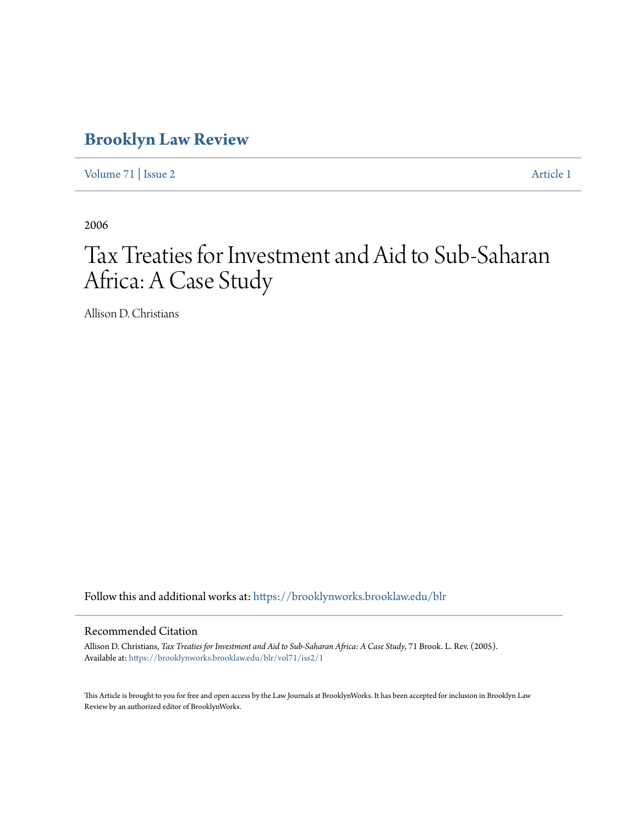# **[Brooklyn Law Review](https://brooklynworks.brooklaw.edu/blr?utm_source=brooklynworks.brooklaw.edu%2Fblr%2Fvol71%2Fiss2%2F1&utm_medium=PDF&utm_campaign=PDFCoverPages)**

[Volume 71](https://brooklynworks.brooklaw.edu/blr/vol71?utm_source=brooklynworks.brooklaw.edu%2Fblr%2Fvol71%2Fiss2%2F1&utm_medium=PDF&utm_campaign=PDFCoverPages) | [Issue 2](https://brooklynworks.brooklaw.edu/blr/vol71/iss2?utm_source=brooklynworks.brooklaw.edu%2Fblr%2Fvol71%2Fiss2%2F1&utm_medium=PDF&utm_campaign=PDFCoverPages) [Article 1](https://brooklynworks.brooklaw.edu/blr/vol71/iss2/1?utm_source=brooklynworks.brooklaw.edu%2Fblr%2Fvol71%2Fiss2%2F1&utm_medium=PDF&utm_campaign=PDFCoverPages)

2006

# Tax Treaties for Investment and Aid to Sub-Saharan Africa: A Case Study

Allison D. Christians

Follow this and additional works at: [https://brooklynworks.brooklaw.edu/blr](https://brooklynworks.brooklaw.edu/blr?utm_source=brooklynworks.brooklaw.edu%2Fblr%2Fvol71%2Fiss2%2F1&utm_medium=PDF&utm_campaign=PDFCoverPages)

### Recommended Citation

Allison D. Christians, *Tax Treaties for Investment and Aid to Sub-Saharan Africa: A Case Study*, 71 Brook. L. Rev. (2005). Available at: [https://brooklynworks.brooklaw.edu/blr/vol71/iss2/1](https://brooklynworks.brooklaw.edu/blr/vol71/iss2/1?utm_source=brooklynworks.brooklaw.edu%2Fblr%2Fvol71%2Fiss2%2F1&utm_medium=PDF&utm_campaign=PDFCoverPages)

This Article is brought to you for free and open access by the Law Journals at BrooklynWorks. It has been accepted for inclusion in Brooklyn Law Review by an authorized editor of BrooklynWorks.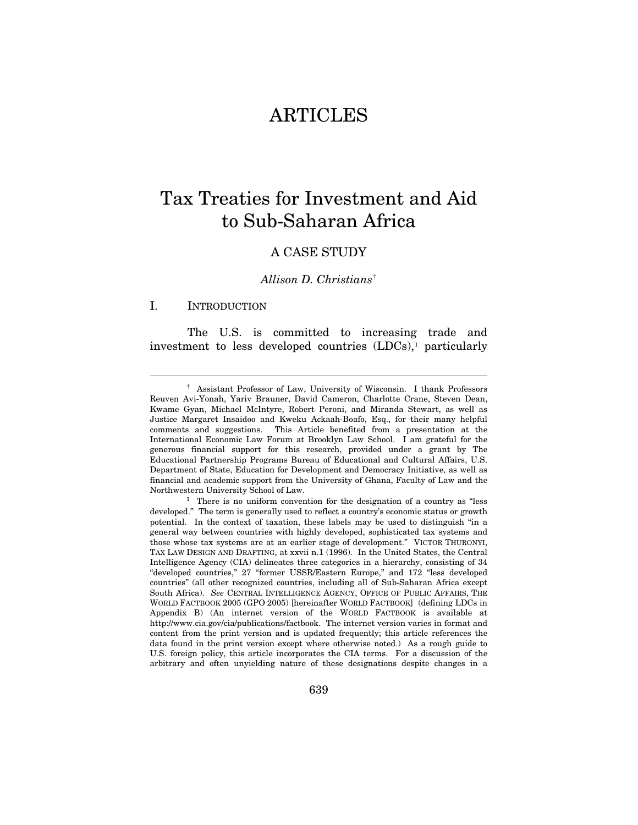# ARTICLES

# Tax Treaties for Investment and Aid to Sub-Saharan Africa

### A CASE STUDY

#### *Allison D. Christians*[†](#page-1-0)

#### I. INTRODUCTION

 $\overline{a}$ 

The U.S. is committed to increasing trade and investment to less developed countries  $(LDCs)$ , particularly

<span id="page-1-0"></span> <sup>†</sup> Assistant Professor of Law, University of Wisconsin. I thank Professors Reuven Avi-Yonah, Yariv Brauner, David Cameron, Charlotte Crane, Steven Dean, Kwame Gyan, Michael McIntyre, Robert Peroni, and Miranda Stewart, as well as Justice Margaret Insaidoo and Kweku Ackaah-Boafo, Esq., for their many helpful comments and suggestions. This Article benefited from a presentation at the International Economic Law Forum at Brooklyn Law School. I am grateful for the generous financial support for this research, provided under a grant by The Educational Partnership Programs Bureau of Educational and Cultural Affairs, U.S. Department of State, Education for Development and Democracy Initiative, as well as financial and academic support from the University of Ghana, Faculty of Law and the Northwestern University School of Law.<br><sup>1</sup> There is no uniform convention for the designation of a country as "less"

<span id="page-1-1"></span>developed." The term is generally used to reflect a country's economic status or growth potential. In the context of taxation, these labels may be used to distinguish "in a general way between countries with highly developed, sophisticated tax systems and those whose tax systems are at an earlier stage of development." VICTOR THURONYI, TAX LAW DESIGN AND DRAFTING, at xxvii n.1 (1996). In the United States, the Central Intelligence Agency (CIA) delineates three categories in a hierarchy, consisting of 34 "developed countries," 27 "former USSR/Eastern Europe," and 172 "less developed countries" (all other recognized countries, including all of Sub-Saharan Africa except South Africa). *See* CENTRAL INTELLIGENCE AGENCY, OFFICE OF PUBLIC AFFAIRS, THE WORLD FACTBOOK 2005 (GPO 2005) [hereinafter WORLD FACTBOOK] (defining LDCs in Appendix B) (An internet version of the WORLD FACTBOOK is available at http://www.cia.gov/cia/publications/factbook. The internet version varies in format and content from the print version and is updated frequently; this article references the data found in the print version except where otherwise noted.) As a rough guide to U.S. foreign policy, this article incorporates the CIA terms. For a discussion of the arbitrary and often unyielding nature of these designations despite changes in a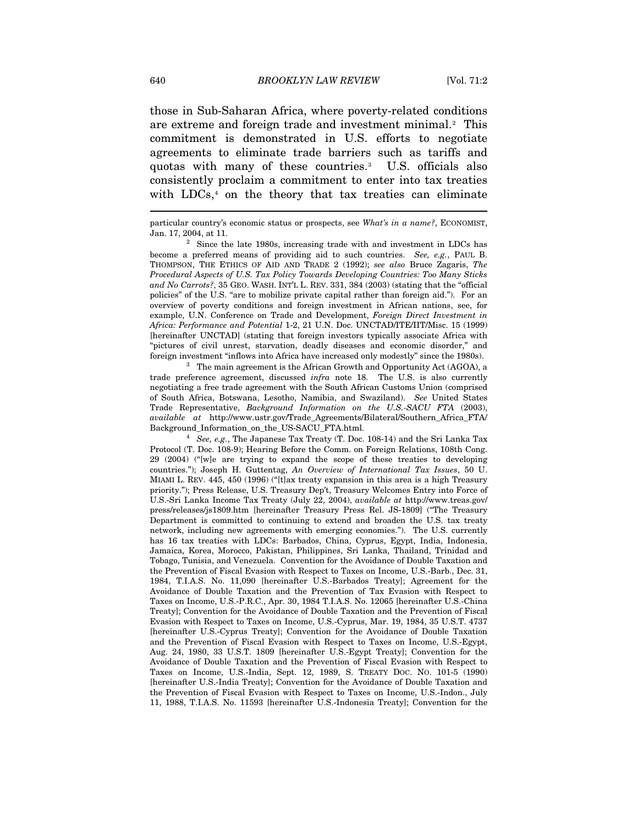those in Sub-Saharan Africa, where poverty-related conditions are extreme and foreign trade and investment minimal.[2](#page-2-0) This commitment is demonstrated in U.S. efforts to negotiate agreements to eliminate trade barriers such as tariffs and quotas with many of these countries.[3](#page-2-1) U.S. officials also consistently proclaim a commitment to enter into tax treaties with  $LDCs<sub>1</sub>$ <sup>[4](#page-2-2)</sup> on the theory that tax treaties can eliminate

<span id="page-2-1"></span>trade preference agreement, discussed *infra* note 18. The U.S. is also currently negotiating a free trade agreement with the South African Customs Union (comprised of South Africa, Botswana, Lesotho, Namibia, and Swaziland). *See* United States Trade Representative, *Background Information on the U.S.-SACU FTA* (2003), *available at* http://www.ustr.gov/Trade\_Agreements/Bilateral/Southern\_Africa\_FTA/ Background\_Information\_on\_the\_US-SACU\_FTA.html. 4 *See, e.g.*, The Japanese Tax Treaty (T. Doc. 108-14) and the Sri Lanka Tax

<span id="page-2-2"></span>Protocol (T. Doc. 108-9); Hearing Before the Comm. on Foreign Relations, 108th Cong. 29 (2004) ("[w]e are trying to expand the scope of these treaties to developing countries."); Joseph H. Guttentag, *An Overview of International Tax Issues*, 50 U. MIAMI L. REV. 445, 450 (1996) ("[t]ax treaty expansion in this area is a high Treasury priority."); Press Release, U.S. Treasury Dep't, Treasury Welcomes Entry into Force of U.S.-Sri Lanka Income Tax Treaty (July 22, 2004), *available at* http://www.treas.gov/ press/releases/js1809.htm [hereinafter Treasury Press Rel. JS-1809] ("The Treasury Department is committed to continuing to extend and broaden the U.S. tax treaty network, including new agreements with emerging economies."). The U.S. currently has 16 tax treaties with LDCs: Barbados, China, Cyprus, Egypt, India, Indonesia, Jamaica, Korea, Morocco, Pakistan, Philippines, Sri Lanka, Thailand, Trinidad and Tobago, Tunisia, and Venezuela. Convention for the Avoidance of Double Taxation and the Prevention of Fiscal Evasion with Respect to Taxes on Income, U.S.-Barb., Dec. 31, 1984, T.I.A.S. No. 11,090 [hereinafter U.S.-Barbados Treaty]; Agreement for the Avoidance of Double Taxation and the Prevention of Tax Evasion with Respect to Taxes on Income, U.S.-P.R.C., Apr. 30, 1984 T.I.A.S. No. 12065 [hereinafter U.S.-China Treaty]; Convention for the Avoidance of Double Taxation and the Prevention of Fiscal Evasion with Respect to Taxes on Income, U.S.-Cyprus, Mar. 19, 1984, 35 U.S.T. 4737 [hereinafter U.S.-Cyprus Treaty]; Convention for the Avoidance of Double Taxation and the Prevention of Fiscal Evasion with Respect to Taxes on Income, U.S.-Egypt, Aug. 24, 1980, 33 U.S.T. 1809 [hereinafter U.S.-Egypt Treaty]; Convention for the Avoidance of Double Taxation and the Prevention of Fiscal Evasion with Respect to Taxes on Income, U.S.-India, Sept. 12, 1989, S. TREATY DOC. NO. 101-5 (1990) [hereinafter U.S.-India Treaty]; Convention for the Avoidance of Double Taxation and the Prevention of Fiscal Evasion with Respect to Taxes on Income, U.S.-Indon., July 11, 1988, T.I.A.S. No. 11593 [hereinafter U.S.-Indonesia Treaty]; Convention for the

particular country's economic status or prospects, see *What's in a name?*, ECONOMIST,

<span id="page-2-0"></span>Jan. 17, 2004, at 11.<br><sup>2</sup> Since the late 1980s, increasing trade with and investment in LDCs has become a preferred means of providing aid to such countries. *See, e.g.*, PAUL B. THOMPSON, THE ETHICS OF AID AND TRADE 2 (1992); *see also* Bruce Zagaris, *The Procedural Aspects of U.S. Tax Policy Towards Developing Countries: Too Many Sticks and No Carrots?*, 35 GEO. WASH. INT'L L. REV. 331, 384 (2003) (stating that the "official policies" of the U.S. "are to mobilize private capital rather than foreign aid."). For an overview of poverty conditions and foreign investment in African nations, see, for example, U.N. Conference on Trade and Development, *Foreign Direct Investment in Africa: Performance and Potential* 1-2, 21 U.N. Doc. UNCTAD/ITE/IIT/Misc. 15 (1999) [hereinafter UNCTAD] (stating that foreign investors typically associate Africa with "pictures of civil unrest, starvation, deadly diseases and economic disorder," and foreign investment "inflows into Africa have increased only modestly" since the 1980s). 3 The main agreement is the African Growth and Opportunity Act (AGOA), a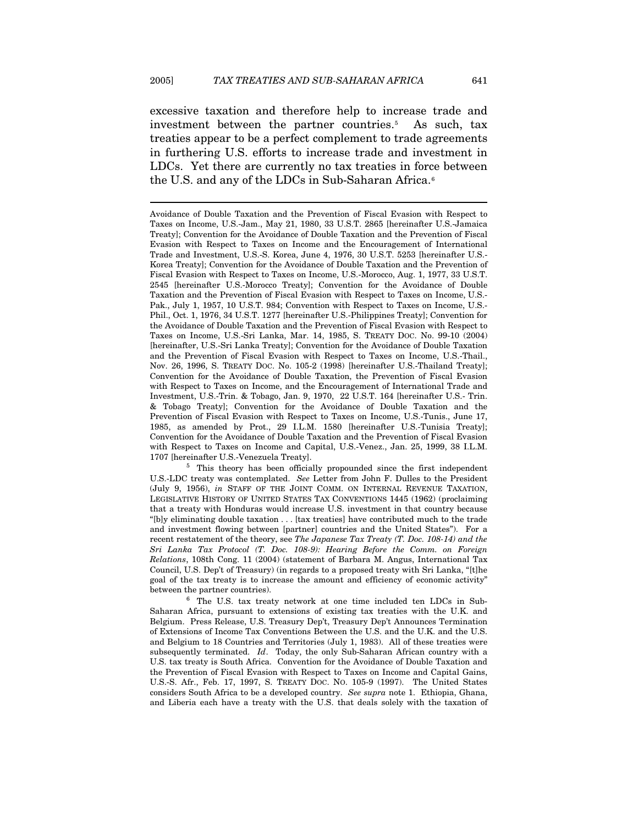$\overline{a}$ 

excessive taxation and therefore help to increase trade and investment between the partner countries.<sup>[5](#page-3-0)</sup> As such, tax treaties appear to be a perfect complement to trade agreements in furthering U.S. efforts to increase trade and investment in LDCs. Yet there are currently no tax treaties in force between the U.S. and any of the LDCs in Sub-Saharan Africa.<sup>[6](#page-3-1)</sup>

Avoidance of Double Taxation and the Prevention of Fiscal Evasion with Respect to Taxes on Income, U.S.-Jam., May 21, 1980, 33 U.S.T. 2865 [hereinafter U.S.-Jamaica Treaty]; Convention for the Avoidance of Double Taxation and the Prevention of Fiscal Evasion with Respect to Taxes on Income and the Encouragement of International Trade and Investment, U.S.-S. Korea, June 4, 1976, 30 U.S.T. 5253 [hereinafter U.S.- Korea Treaty]; Convention for the Avoidance of Double Taxation and the Prevention of Fiscal Evasion with Respect to Taxes on Income, U.S.-Morocco, Aug. 1, 1977, 33 U.S.T. 2545 [hereinafter U.S.-Morocco Treaty]; Convention for the Avoidance of Double Taxation and the Prevention of Fiscal Evasion with Respect to Taxes on Income, U.S.- Pak., July 1, 1957, 10 U.S.T. 984; Convention with Respect to Taxes on Income, U.S.- Phil., Oct. 1, 1976, 34 U.S.T. 1277 [hereinafter U.S.-Philippines Treaty]; Convention for the Avoidance of Double Taxation and the Prevention of Fiscal Evasion with Respect to Taxes on Income, U.S.-Sri Lanka, Mar. 14, 1985, S. TREATY DOC. No. 99-10 (2004) [hereinafter, U.S.-Sri Lanka Treaty]; Convention for the Avoidance of Double Taxation and the Prevention of Fiscal Evasion with Respect to Taxes on Income, U.S.-Thail., Nov. 26, 1996, S. TREATY DOC. No. 105-2 (1998) [hereinafter U.S.-Thailand Treaty]; Convention for the Avoidance of Double Taxation, the Prevention of Fiscal Evasion with Respect to Taxes on Income, and the Encouragement of International Trade and Investment, U.S.-Trin. & Tobago, Jan. 9, 1970, 22 U.S.T. 164 [hereinafter U.S.- Trin. & Tobago Treaty]; Convention for the Avoidance of Double Taxation and the Prevention of Fiscal Evasion with Respect to Taxes on Income, U.S.-Tunis., June 17, 1985, as amended by Prot., 29 I.L.M. 1580 [hereinafter U.S.-Tunisia Treaty]; Convention for the Avoidance of Double Taxation and the Prevention of Fiscal Evasion with Respect to Taxes on Income and Capital, U.S.-Venez., Jan. 25, 1999, 38 I.L.M.

<span id="page-3-0"></span><sup>1707 [</sup>hereinafter U.S.-Venezuela Treaty]. 5 This theory has been officially propounded since the first independent U.S.-LDC treaty was contemplated. *See* Letter from John F. Dulles to the President (July 9, 1956), *in* STAFF OF THE JOINT COMM. ON INTERNAL REVENUE TAXATION, LEGISLATIVE HISTORY OF UNITED STATES TAX CONVENTIONS 1445 (1962) (proclaiming that a treaty with Honduras would increase U.S. investment in that country because "[b]y eliminating double taxation . . . [tax treaties] have contributed much to the trade and investment flowing between [partner] countries and the United States"). For a recent restatement of the theory, see *The Japanese Tax Treaty (T. Doc. 108-14) and the Sri Lanka Tax Protocol (T. Doc. 108-9): Hearing Before the Comm. on Foreign Relations*, 108th Cong. 11 (2004) (statement of Barbara M. Angus, International Tax Council, U.S. Dep't of Treasury) (in regards to a proposed treaty with Sri Lanka, "[t]he goal of the tax treaty is to increase the amount and efficiency of economic activity" between the partner countries).

<span id="page-3-1"></span><sup>6</sup> The U.S. tax treaty network at one time included ten LDCs in Sub-Saharan Africa, pursuant to extensions of existing tax treaties with the U.K. and Belgium. Press Release, U.S. Treasury Dep't, Treasury Dep't Announces Termination of Extensions of Income Tax Conventions Between the U.S. and the U.K. and the U.S. and Belgium to 18 Countries and Territories (July 1, 1983). All of these treaties were subsequently terminated. *Id*.Today, the only Sub-Saharan African country with a U.S. tax treaty is South Africa. Convention for the Avoidance of Double Taxation and the Prevention of Fiscal Evasion with Respect to Taxes on Income and Capital Gains, U.S.-S. Afr., Feb. 17, 1997, S. TREATY DOC. NO. 105-9 (1997). The United States considers South Africa to be a developed country. *See supra* note 1. Ethiopia, Ghana, and Liberia each have a treaty with the U.S. that deals solely with the taxation of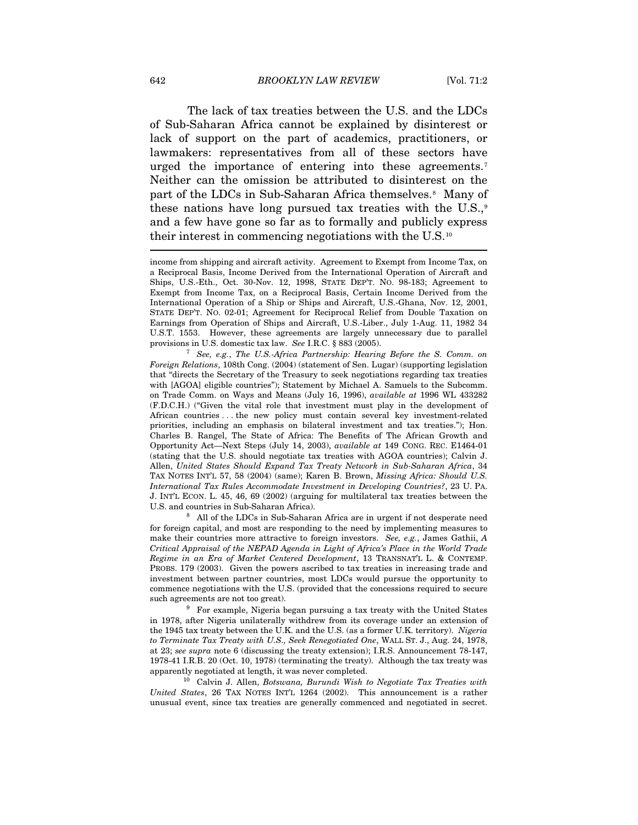The lack of tax treaties between the U.S. and the LDCs of Sub-Saharan Africa cannot be explained by disinterest or lack of support on the part of academics, practitioners, or lawmakers: representatives from all of these sectors have urged the importance of entering into these agreements.<sup>[7](#page-4-0)</sup> Neither can the omission be attributed to disinterest on the part of the LDCs in Sub-Saharan Africa themselves.<sup>[8](#page-4-1)</sup> Many of these nations have long pursued tax treaties with the U.S.,<sup>[9](#page-4-2)</sup> and a few have gone so far as to formally and publicly express their interest in commencing negotiations with the U.S.[10](#page-4-3)  $\overline{\phantom{a}}$ 

<span id="page-4-0"></span>*Foreign Relations*, 108th Cong. (2004) (statement of Sen. Lugar) (supporting legislation that "directs the Secretary of the Treasury to seek negotiations regarding tax treaties with [AGOA] eligible countries"); Statement by Michael A. Samuels to the Subcomm. on Trade Comm. on Ways and Means (July 16, 1996), *available at* 1996 WL 433282 (F.D.C.H.) ("Given the vital role that investment must play in the development of African countries . . . the new policy must contain several key investment-related priorities, including an emphasis on bilateral investment and tax treaties."); Hon. Charles B. Rangel, The State of Africa: The Benefits of The African Growth and Opportunity Act—Next Steps (July 14, 2003), *available at* 149 CONG. REC. E1464-01 (stating that the U.S. should negotiate tax treaties with AGOA countries); Calvin J. Allen, *United States Should Expand Tax Treaty Network in Sub-Saharan Africa*, 34 TAX NOTES INT'L 57, 58 (2004) (same); Karen B. Brown, *Missing Africa: Should U.S. International Tax Rules Accommodate Investment in Developing Countries?*, 23 U. PA. J. INT'L ECON. L. 45, 46, 69 (2002) (arguing for multilateral tax treaties between the U.S. and countries in Sub-Saharan Africa). 8 All of the LDCs in Sub-Saharan Africa are in urgent if not desperate need

<span id="page-4-1"></span>for foreign capital, and most are responding to the need by implementing measures to make their countries more attractive to foreign investors. *See, e.g.*, James Gathii, *A Critical Appraisal of the NEPAD Agenda in Light of Africa's Place in the World Trade Regime in an Era of Market Centered Development*, 13 TRANSNAT'L L. & CONTEMP. PROBS. 179 (2003). Given the powers ascribed to tax treaties in increasing trade and investment between partner countries, most LDCs would pursue the opportunity to commence negotiations with the U.S. (provided that the concessions required to secure

<span id="page-4-2"></span>such agreements are not too great).<br><sup>9</sup> For example, Nigeria began pursuing a tax treaty with the United States in 1978, after Nigeria unilaterally withdrew from its coverage under an extension of the 1945 tax treaty between the U.K. and the U.S. (as a former U.K. territory). *Nigeria to Terminate Tax Treaty with U.S., Seek Renegotiated One*, WALL ST. J., Aug. 24, 1978, at 23; *see supra* note 6 (discussing the treaty extension); I.R.S. Announcement 78-147, 1978-41 I.R.B. 20 (Oct. 10, 1978) (terminating the treaty). Although the tax treaty was apparently negotiated at length, it was never completed. 10 Calvin J. Allen, *Botswana, Burundi Wish to Negotiate Tax Treaties with* 

<span id="page-4-3"></span>*United States*, 26 TAX NOTES INT'L 1264 (2002). This announcement is a rather unusual event, since tax treaties are generally commenced and negotiated in secret.

income from shipping and aircraft activity. Agreement to Exempt from Income Tax, on a Reciprocal Basis, Income Derived from the International Operation of Aircraft and Ships, U.S.-Eth., Oct. 30-Nov. 12, 1998, STATE DEP'T. NO. 98-183; Agreement to Exempt from Income Tax, on a Reciprocal Basis, Certain Income Derived from the International Operation of a Ship or Ships and Aircraft, U.S.-Ghana, Nov. 12, 2001, STATE DEP'T. NO. 02-01; Agreement for Reciprocal Relief from Double Taxation on Earnings from Operation of Ships and Aircraft, U.S.-Liber., July 1-Aug. 11, 1982 34 U.S.T. 1553. However, these agreements are largely unnecessary due to parallel provisions in U.S. domestic tax law. *See* I.R.C. § 883 (2005). 7 *See, e.g.*, *The U.S.-Africa Partnership: Hearing Before the S. Comm. on*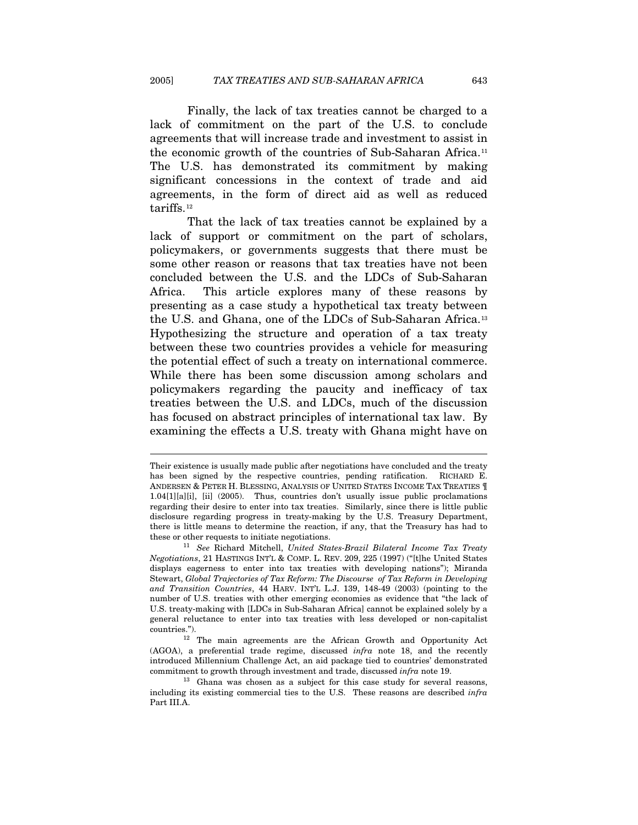Finally, the lack of tax treaties cannot be charged to a lack of commitment on the part of the U.S. to conclude agreements that will increase trade and investment to assist in the economic growth of the countries of Sub-Saharan Africa.[11](#page-5-0) The U.S. has demonstrated its commitment by making significant concessions in the context of trade and aid agreements, in the form of direct aid as well as reduced tariffs.[12](#page-5-1)

That the lack of tax treaties cannot be explained by a lack of support or commitment on the part of scholars, policymakers, or governments suggests that there must be some other reason or reasons that tax treaties have not been concluded between the U.S. and the LDCs of Sub-Saharan Africa. This article explores many of these reasons by presenting as a case study a hypothetical tax treaty between the U.S. and Ghana, one of the LDCs of Sub-Saharan Africa.[13](#page-5-2) Hypothesizing the structure and operation of a tax treaty between these two countries provides a vehicle for measuring the potential effect of such a treaty on international commerce. While there has been some discussion among scholars and policymakers regarding the paucity and inefficacy of tax treaties between the U.S. and LDCs, much of the discussion has focused on abstract principles of international tax law. By examining the effects a U.S. treaty with Ghana might have on

Their existence is usually made public after negotiations have concluded and the treaty has been signed by the respective countries, pending ratification. RICHARD E. ANDERSEN & PETER H. BLESSING, ANALYSIS OF UNITED STATES INCOME TAX TREATIES ¶ 1.04[1][a][i], [ii] (2005). Thus, countries don't usually issue public proclamations regarding their desire to enter into tax treaties. Similarly, since there is little public disclosure regarding progress in treaty-making by the U.S. Treasury Department, there is little means to determine the reaction, if any, that the Treasury has had to these or other requests to initiate negotiations. 11 *See* Richard Mitchell, *United States-Brazil Bilateral Income Tax Treaty* 

<span id="page-5-0"></span>*Negotiations*, 21 HASTINGS INT'L & COMP. L. REV. 209, 225 (1997) ("[t]he United States displays eagerness to enter into tax treaties with developing nations"); Miranda Stewart, *Global Trajectories of Tax Reform: The Discourse of Tax Reform in Developing and Transition Countries*, 44 HARV. INT'L L.J. 139, 148-49 (2003) (pointing to the number of U.S. treaties with other emerging economies as evidence that "the lack of U.S. treaty-making with [LDCs in Sub-Saharan Africa] cannot be explained solely by a general reluctance to enter into tax treaties with less developed or non-capitalist

<span id="page-5-1"></span>countries."). 12 The main agreements are the African Growth and Opportunity Act (AGOA), a preferential trade regime, discussed *infra* note 18, and the recently introduced Millennium Challenge Act, an aid package tied to countries' demonstrated commitment to growth through investment and trade, discussed *infra* note 19.<br><sup>13</sup> Ghana was chosen as a subject for this case study for several reasons,

<span id="page-5-2"></span>including its existing commercial ties to the U.S. These reasons are described *infra* Part III.A.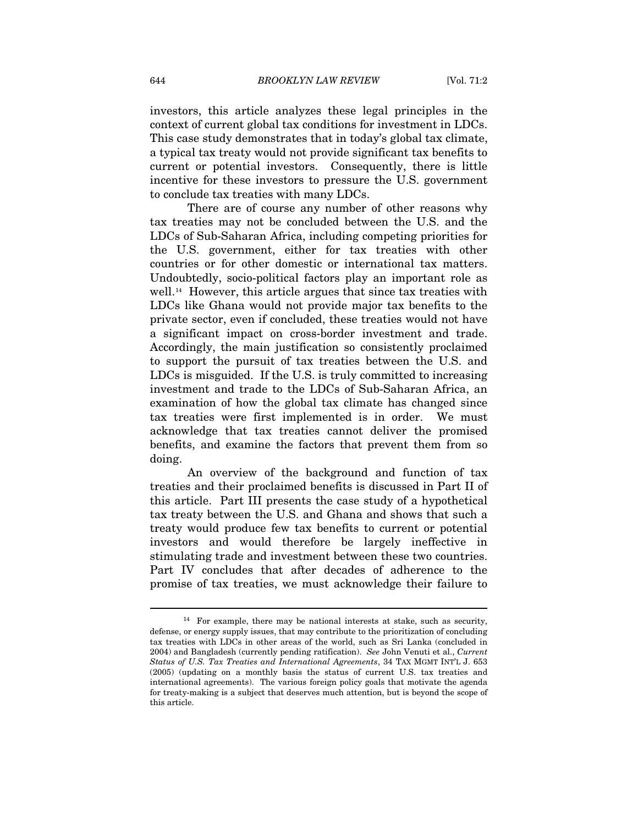investors, this article analyzes these legal principles in the context of current global tax conditions for investment in LDCs. This case study demonstrates that in today's global tax climate, a typical tax treaty would not provide significant tax benefits to current or potential investors. Consequently, there is little incentive for these investors to pressure the U.S. government to conclude tax treaties with many LDCs.

There are of course any number of other reasons why tax treaties may not be concluded between the U.S. and the LDCs of Sub-Saharan Africa, including competing priorities for the U.S. government, either for tax treaties with other countries or for other domestic or international tax matters. Undoubtedly, socio-political factors play an important role as well.<sup>[14](#page-6-0)</sup> However, this article argues that since tax treaties with LDCs like Ghana would not provide major tax benefits to the private sector, even if concluded, these treaties would not have a significant impact on cross-border investment and trade. Accordingly, the main justification so consistently proclaimed to support the pursuit of tax treaties between the U.S. and LDCs is misguided. If the U.S. is truly committed to increasing investment and trade to the LDCs of Sub-Saharan Africa, an examination of how the global tax climate has changed since tax treaties were first implemented is in order. We must acknowledge that tax treaties cannot deliver the promised benefits, and examine the factors that prevent them from so doing.

An overview of the background and function of tax treaties and their proclaimed benefits is discussed in Part II of this article. Part III presents the case study of a hypothetical tax treaty between the U.S. and Ghana and shows that such a treaty would produce few tax benefits to current or potential investors and would therefore be largely ineffective in stimulating trade and investment between these two countries. Part IV concludes that after decades of adherence to the promise of tax treaties, we must acknowledge their failure to

<span id="page-6-0"></span> $14$  For example, there may be national interests at stake, such as security, defense, or energy supply issues, that may contribute to the prioritization of concluding tax treaties with LDCs in other areas of the world, such as Sri Lanka (concluded in 2004) and Bangladesh (currently pending ratification). *See* John Venuti et al., *Current Status of U.S. Tax Treaties and International Agreements*, 34 TAX MGMT INT'L J. 653 (2005) (updating on a monthly basis the status of current U.S. tax treaties and international agreements). The various foreign policy goals that motivate the agenda for treaty-making is a subject that deserves much attention, but is beyond the scope of this article.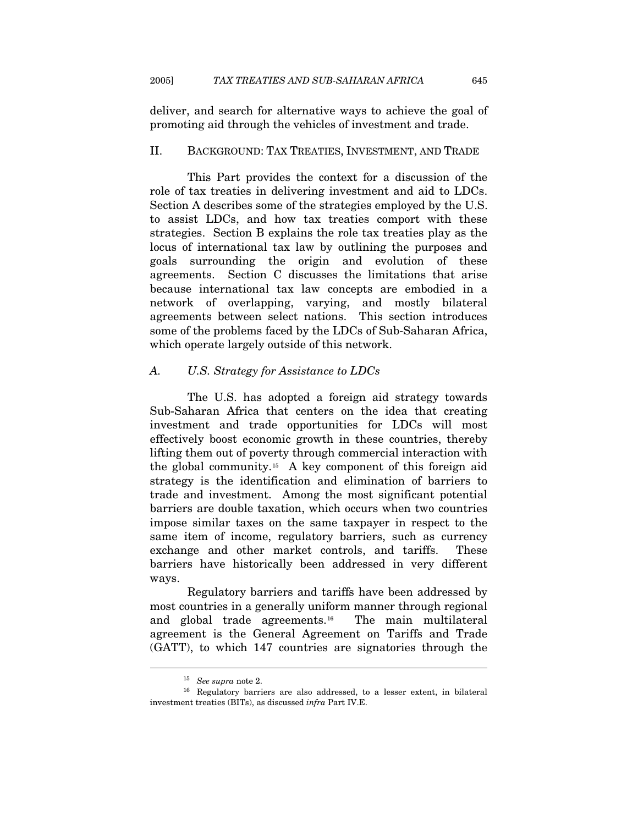deliver, and search for alternative ways to achieve the goal of promoting aid through the vehicles of investment and trade.

#### II. BACKGROUND: TAX TREATIES, INVESTMENT, AND TRADE

This Part provides the context for a discussion of the role of tax treaties in delivering investment and aid to LDCs. Section A describes some of the strategies employed by the U.S. to assist LDCs, and how tax treaties comport with these strategies. Section B explains the role tax treaties play as the locus of international tax law by outlining the purposes and goals surrounding the origin and evolution of these agreements. Section C discusses the limitations that arise because international tax law concepts are embodied in a network of overlapping, varying, and mostly bilateral agreements between select nations. This section introduces some of the problems faced by the LDCs of Sub-Saharan Africa, which operate largely outside of this network.

#### *A. U.S. Strategy for Assistance to LDCs*

The U.S. has adopted a foreign aid strategy towards Sub-Saharan Africa that centers on the idea that creating investment and trade opportunities for LDCs will most effectively boost economic growth in these countries, thereby lifting them out of poverty through commercial interaction with the global community.[1](#page-7-0)5 A key component of this foreign aid strategy is the identification and elimination of barriers to trade and investment. Among the most significant potential barriers are double taxation, which occurs when two countries impose similar taxes on the same taxpayer in respect to the same item of income, regulatory barriers, such as currency exchange and other market controls, and tariffs. These barriers have historically been addressed in very different ways.

Regulatory barriers and tariffs have been addressed by most countries in a generally uniform manner through regional and global trade agreements.[1](#page-7-1)6 The main multilateral agreement is the General Agreement on Tariffs and Trade (GATT), to which 147 countries are signatories through the

<span id="page-7-1"></span><span id="page-7-0"></span> $^\mathrm{15}$   $\,$  See supra note 2.  $^\mathrm{16}$  Regulatory barriers are also addressed, to a lesser extent, in bilateral  $^\mathrm{16}$ investment treaties (BITs), as discussed *infra* Part IV.E.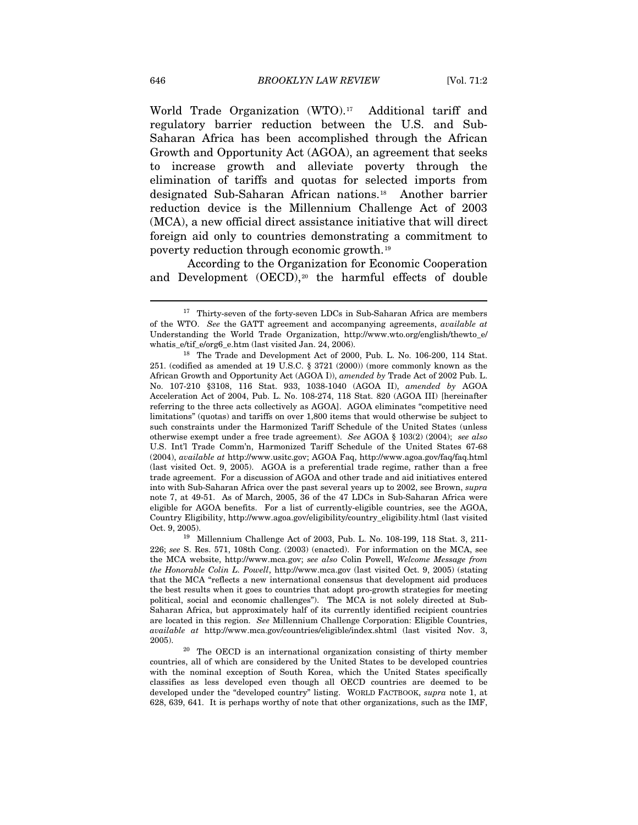World Trade Organization (WTO).<sup>[17](#page-8-0)</sup> Additional tariff and regulatory barrier reduction between the U.S. and Sub-Saharan Africa has been accomplished through the African Growth and Opportunity Act (AGOA), an agreement that seeks to increase growth and alleviate poverty through the elimination of tariffs and quotas for selected imports from designated Sub-Saharan African nations.[18](#page-8-1) Another barrier reduction device is the Millennium Challenge Act of 2003 (MCA), a new official direct assistance initiative that will direct foreign aid only to countries demonstrating a commitment to poverty reduction through economic growth.[1](#page-8-2)9

According to the Organization for Economic Cooperation and Development  $(OECD)$ ,<sup>[20](#page-8-3)</sup> the harmful effects of double

<span id="page-8-0"></span> $17$  Thirty-seven of the forty-seven LDCs in Sub-Saharan Africa are members of the WTO. *See* the GATT agreement and accompanying agreements, *available at*  Understanding the World Trade Organization, http://www.wto.org/english/thewto\_e/ whatis\_e/tif\_e/org6\_e.htm (last visited Jan. 24, 2006).<br><sup>18</sup> The Trade and Development Act of 2000, Pub. L. No. 106-200, 114 Stat.

<span id="page-8-1"></span><sup>251. (</sup>codified as amended at 19 U.S.C. § 3721 (2000)) (more commonly known as the African Growth and Opportunity Act (AGOA I)), *amended by* Trade Act of 2002 Pub. L. No. 107-210 §3108, 116 Stat. 933, 1038-1040 (AGOA II), *amended by* AGOA Acceleration Act of 2004, Pub. L. No. 108-274, 118 Stat. 820 (AGOA III) [hereinafter referring to the three acts collectively as AGOA]. AGOA eliminates "competitive need limitations" (quotas) and tariffs on over 1,800 items that would otherwise be subject to such constraints under the Harmonized Tariff Schedule of the United States (unless otherwise exempt under a free trade agreement). *See* AGOA § 103(2) (2004); *see also* U.S. Int'l Trade Comm'n, Harmonized Tariff Schedule of the United States 67-68 (2004), *available at* http://www.usitc.gov; AGOA Faq, http://www.agoa.gov/faq/faq.html (last visited Oct. 9, 2005). AGOA is a preferential trade regime, rather than a free trade agreement. For a discussion of AGOA and other trade and aid initiatives entered into with Sub-Saharan Africa over the past several years up to 2002, see Brown, *supra* note 7, at 49-51. As of March, 2005, 36 of the 47 LDCs in Sub-Saharan Africa were eligible for AGOA benefits. For a list of currently-eligible countries, see the AGOA, Country Eligibility, http://www.agoa.gov/eligibility/country\_eligibility.html (last visited Oct. 9, 2005). 19 Millennium Challenge Act of 2003, Pub. L. No. 108-199, 118 Stat. 3, 211-

<span id="page-8-2"></span><sup>226;</sup> *see* S. Res. 571, 108th Cong. (2003) (enacted). For information on the MCA, see the MCA website, http://www.mca.gov; *see also* Colin Powell, *Welcome Message from the Honorable Colin L. Powell*, http://www.mca.gov (last visited Oct. 9, 2005) (stating that the MCA "reflects a new international consensus that development aid produces the best results when it goes to countries that adopt pro-growth strategies for meeting political, social and economic challenges"). The MCA is not solely directed at Sub-Saharan Africa, but approximately half of its currently identified recipient countries are located in this region. *See* Millennium Challenge Corporation: Eligible Countries, *available at* http://www.mca.gov/countries/eligible/index.shtml (last visited Nov. 3, 2005). 20 The OECD is an international organization consisting of thirty member

<span id="page-8-3"></span>countries, all of which are considered by the United States to be developed countries with the nominal exception of South Korea, which the United States specifically classifies as less developed even though all OECD countries are deemed to be developed under the "developed country" listing. WORLD FACTBOOK, *supra* note 1, at 628, 639, 641. It is perhaps worthy of note that other organizations, such as the IMF,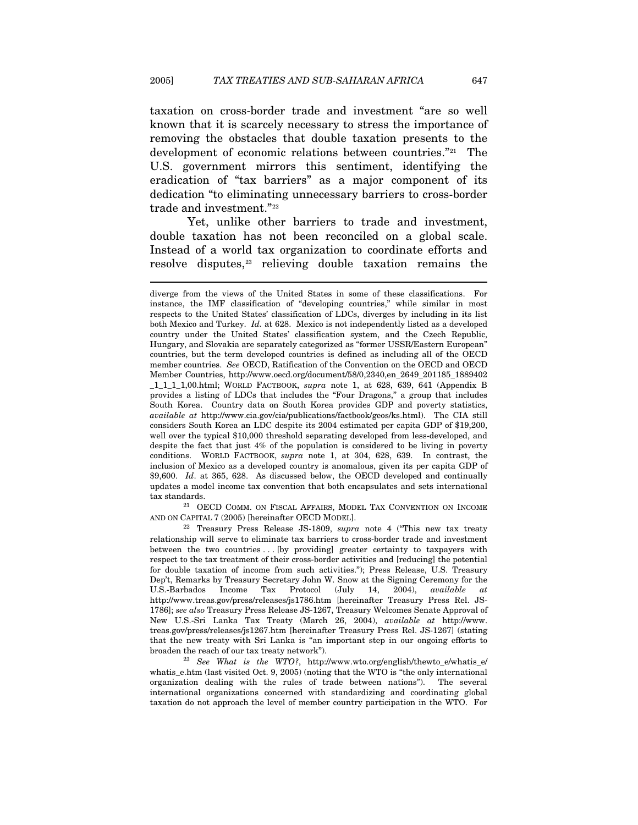taxation on cross-border trade and investment "are so well known that it is scarcely necessary to stress the importance of removing the obstacles that double taxation presents to the development of economic relations between countries."[2](#page-9-0)1 The U.S. government mirrors this sentiment, identifying the eradication of "tax barriers" as a major component of its dedication "to eliminating unnecessary barriers to cross-border trade and investment."[22](#page-9-1)

Yet, unlike other barriers to trade and investment, double taxation has not been reconciled on a global scale. Instead of a world tax organization to coordinate efforts and resolve disputes,<sup>[23](#page-9-2)</sup> relieving double taxation remains the

 $\overline{a}$ 

<span id="page-9-0"></span>AND ON CAPITAL 7 (2005) [hereinafter OECD MODEL]. 22 Treasury Press Release JS-1809, *supra* note 4 ("This new tax treaty

<span id="page-9-1"></span>relationship will serve to eliminate tax barriers to cross-border trade and investment between the two countries . . . [by providing] greater certainty to taxpayers with respect to the tax treatment of their cross-border activities and [reducing] the potential for double taxation of income from such activities."); Press Release, U.S. Treasury Dep't, Remarks by Treasury Secretary John W. Snow at the Signing Ceremony for the U.S.-Barbados Income Tax Protocol (July 14, 2004), *available at*  http://www.treas.gov/press/releases/js1786.htm [hereinafter Treasury Press Rel. JS-1786]; *see also* Treasury Press Release JS-1267, Treasury Welcomes Senate Approval of New U.S.-Sri Lanka Tax Treaty (March 26, 2004), *available at* http://www. treas.gov/press/releases/js1267.htm [hereinafter Treasury Press Rel. JS-1267] (stating that the new treaty with Sri Lanka is "an important step in our ongoing efforts to broaden the reach of our tax treaty network"). 23 *See What is the WTO?*, http://www.wto.org/english/thewto\_e/whatis\_e/

<span id="page-9-2"></span>whatis\_e.htm (last visited Oct. 9, 2005) (noting that the WTO is "the only international organization dealing with the rules of trade between nations"). The several international organizations concerned with standardizing and coordinating global taxation do not approach the level of member country participation in the WTO. For

diverge from the views of the United States in some of these classifications. For instance, the IMF classification of "developing countries," while similar in most respects to the United States' classification of LDCs, diverges by including in its list both Mexico and Turkey. *Id.* at 628. Mexico is not independently listed as a developed country under the United States' classification system, and the Czech Republic, Hungary, and Slovakia are separately categorized as "former USSR/Eastern European" countries, but the term developed countries is defined as including all of the OECD member countries. *See* OECD, Ratification of the Convention on the OECD and OECD Member Countries, http://www.oecd.org/document/58/0,2340,en\_2649\_201185\_1889402 \_1\_1\_1\_1,00.html; WORLD FACTBOOK, *supra* note 1, at 628, 639, 641 (Appendix B provides a listing of LDCs that includes the "Four Dragons," a group that includes South Korea. Country data on South Korea provides GDP and poverty statistics, *available at* http://www.cia.gov/cia/publications/factbook/geos/ks.html). The CIA still considers South Korea an LDC despite its 2004 estimated per capita GDP of \$19,200, well over the typical \$10,000 threshold separating developed from less-developed, and despite the fact that just 4% of the population is considered to be living in poverty conditions. WORLD FACTBOOK, *supra* note 1, at 304, 628, 639.In contrast, the inclusion of Mexico as a developed country is anomalous, given its per capita GDP of \$9,600. *Id*. at 365, 628. As discussed below, the OECD developed and continually updates a model income tax convention that both encapsulates and sets international tax standards. 21 OECD COMM. ON FISCAL AFFAIRS, MODEL TAX CONVENTION ON INCOME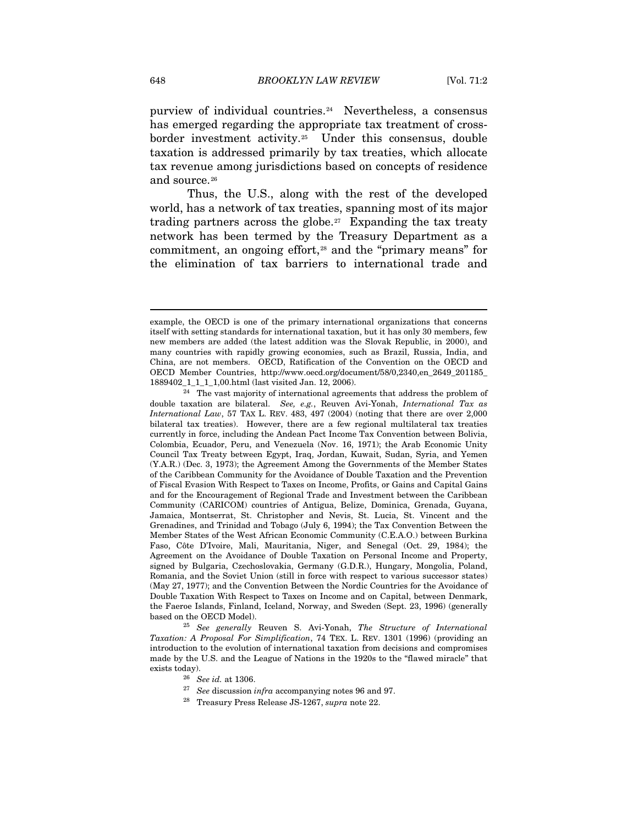purview of individual countries.[2](#page-10-0)4 Nevertheless, a consensus has emerged regarding the appropriate tax treatment of crossborder investment activity.[2](#page-10-1)5 Under this consensus, double taxation is addressed primarily by tax treaties, which allocate tax revenue among jurisdictions based on concepts of residence and source.<sup>[2](#page-10-2)6</sup>

Thus, the U.S., along with the rest of the developed world, has a network of tax treaties, spanning most of its major trading partners across the globe.<sup>[2](#page-10-3)7</sup> Expanding the tax treaty network has been termed by the Treasury Department as a commitment, an ongoing effort,<sup>[28](#page-10-4)</sup> and the "primary means" for the elimination of tax barriers to international trade and

<span id="page-10-4"></span><span id="page-10-3"></span><span id="page-10-2"></span><span id="page-10-1"></span>based on the OECD Model). 25 *See generally* Reuven S. Avi-Yonah, *The Structure of International Taxation: A Proposal For Simplification*, 74 TEX. L. REV. 1301 (1996) (providing an introduction to the evolution of international taxation from decisions and compromises made by the U.S. and the League of Nations in the 1920s to the "flawed miracle" that exists today). 26 *See id.* at 1306. 27 *See* discussion *infra* accompanying notes 96 and 97. 28 Treasury Press Release JS-1267, *supra* note 22.

- 
- 
- 

example, the OECD is one of the primary international organizations that concerns itself with setting standards for international taxation, but it has only 30 members, few new members are added (the latest addition was the Slovak Republic, in 2000), and many countries with rapidly growing economies, such as Brazil, Russia, India, and China, are not members. OECD, Ratification of the Convention on the OECD and OECD Member Countries, http://www.oecd.org/document/58/0,2340,en\_2649\_201185\_ 1889402\_1\_1\_1\_1,00.html (last visited Jan. 12, 2006). <sup>24</sup> The vast majority of international agreements that address the problem of

<span id="page-10-0"></span>double taxation are bilateral. *See, e.g.*, Reuven Avi-Yonah, *International Tax as International Law*, 57 TAX L. REV. 483, 497 (2004) (noting that there are over 2,000 bilateral tax treaties). However, there are a few regional multilateral tax treaties currently in force, including the Andean Pact Income Tax Convention between Bolivia, Colombia, Ecuador, Peru, and Venezuela (Nov. 16, 1971); the Arab Economic Unity Council Tax Treaty between Egypt, Iraq, Jordan, Kuwait, Sudan, Syria, and Yemen (Y.A.R.) (Dec. 3, 1973); the Agreement Among the Governments of the Member States of the Caribbean Community for the Avoidance of Double Taxation and the Prevention of Fiscal Evasion With Respect to Taxes on Income, Profits, or Gains and Capital Gains and for the Encouragement of Regional Trade and Investment between the Caribbean Community (CARICOM) countries of Antigua, Belize, Dominica, Grenada, Guyana, Jamaica, Montserrat, St. Christopher and Nevis, St. Lucia, St. Vincent and the Grenadines, and Trinidad and Tobago (July 6, 1994); the Tax Convention Between the Member States of the West African Economic Community (C.E.A.O.) between Burkina Faso, Côte D'Ivoire, Mali, Mauritania, Niger, and Senegal (Oct. 29, 1984); the Agreement on the Avoidance of Double Taxation on Personal Income and Property, signed by Bulgaria, Czechoslovakia, Germany (G.D.R.), Hungary, Mongolia, Poland, Romania, and the Soviet Union (still in force with respect to various successor states) (May 27, 1977); and the Convention Between the Nordic Countries for the Avoidance of Double Taxation With Respect to Taxes on Income and on Capital, between Denmark, the Faeroe Islands, Finland, Iceland, Norway, and Sweden (Sept. 23, 1996) (generally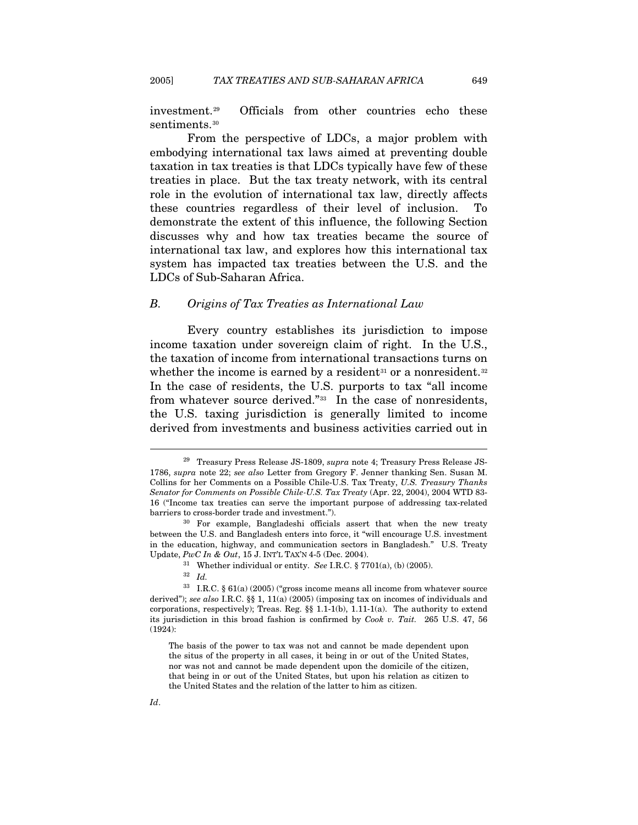investment.[29](#page-11-0) Officials from other countries echo these sentiments.<sup>[3](#page-11-1)0</sup>

From the perspective of LDCs, a major problem with embodying international tax laws aimed at preventing double taxation in tax treaties is that LDCs typically have few of these treaties in place. But the tax treaty network, with its central role in the evolution of international tax law, directly affects these countries regardless of their level of inclusion. To demonstrate the extent of this influence, the following Section discusses why and how tax treaties became the source of international tax law, and explores how this international tax system has impacted tax treaties between the U.S. and the LDCs of Sub-Saharan Africa.

#### *B. Origins of Tax Treaties as International Law*

Every country establishes its jurisdiction to impose income taxation under sovereign claim of right. In the U.S., the taxation of income from international transactions turns on whether the income is earned by a resident<sup>[3](#page-11-2)1</sup> or a nonresident.<sup>[32](#page-11-3)</sup> In the case of residents, the U.S. purports to tax "all income from whatever source derived."[3](#page-11-4)3 In the case of nonresidents, the U.S. taxing jurisdiction is generally limited to income derived from investments and business activities carried out in

<span id="page-11-0"></span><sup>29</sup> Treasury Press Release JS-1809, *supra* note 4; Treasury Press Release JS-1786, *supra* note 22; *see also* Letter from Gregory F. Jenner thanking Sen. Susan M. Collins for her Comments on a Possible Chile-U.S. Tax Treaty, *U.S. Treasury Thanks Senator for Comments on Possible Chile-U.S. Tax Treaty* (Apr. 22, 2004), 2004 WTD 83- 16 ("Income tax treaties can serve the important purpose of addressing tax-related barriers to cross-border trade and investment.").<br><sup>30</sup> For example, Bangladeshi officials assert that when the new treaty

<span id="page-11-1"></span>between the U.S. and Bangladesh enters into force, it "will encourage U.S. investment in the education, highway, and communication sectors in Bangladesh." U.S. Treaty Update, *PwC In & Out*, 15 J. INT'L TAX'N 4-5 (Dec. 2004). 31 Whether individual or entity. *See* I.R.C. § 7701(a), (b) (2005). 32 *Id.*

<span id="page-11-4"></span><span id="page-11-3"></span><span id="page-11-2"></span> $^{33}\;$  I.R.C. § 61(a) (2005) ("gross income means all income from whatever source derived"); *see also* I.R.C. §§ 1, 11(a) (2005) (imposing tax on incomes of individuals and corporations, respectively); Treas. Reg.  $\S$  1.1-1(b), 1.11-1(a). The authority to extend its jurisdiction in this broad fashion is confirmed by *Cook v. Tait.* 265 U.S. 47, 56 (1924):

The basis of the power to tax was not and cannot be made dependent upon the situs of the property in all cases, it being in or out of the United States, nor was not and cannot be made dependent upon the domicile of the citizen, that being in or out of the United States, but upon his relation as citizen to the United States and the relation of the latter to him as citizen.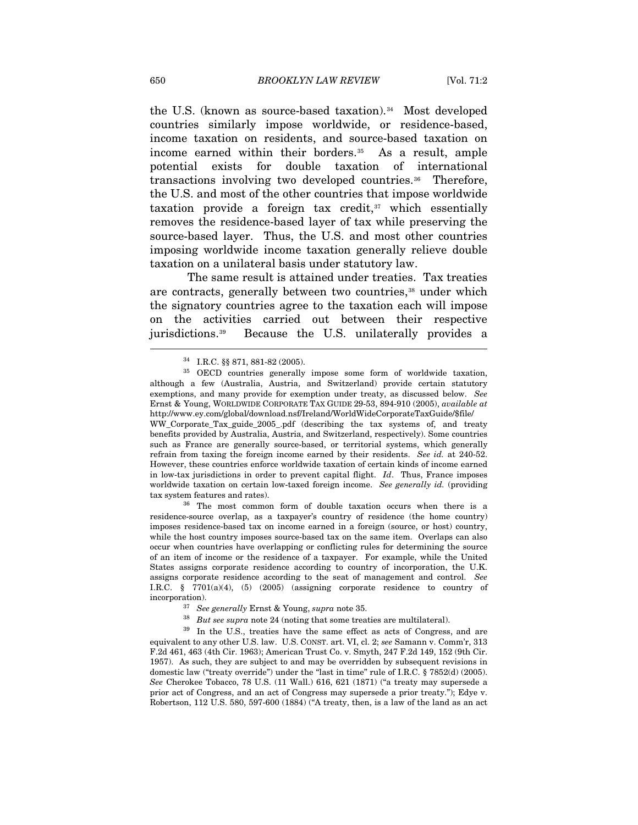the U.S. (known as source-based taxation).[3](#page-12-0)4 Most developed countries similarly impose worldwide, or residence-based, income taxation on residents, and source-based taxation on income earned within their borders.<sup>[3](#page-12-1)5</sup> As a result, ample potential exists for double taxation of international transactions involving two developed countries.<sup>[3](#page-12-2)6</sup> Therefore, the U.S. and most of the other countries that impose worldwide taxation provide a foreign tax credit, $37$  $37$  which essentially removes the residence-based layer of tax while preserving the source-based layer. Thus, the U.S. and most other countries imposing worldwide income taxation generally relieve double taxation on a unilateral basis under statutory law.

The same result is attained under treaties. Tax treaties are contracts, generally between two countries,<sup>[3](#page-12-4)8</sup> under which the signatory countries agree to the taxation each will impose on the activities carried out between their respective jurisdictions.[39](#page-12-5) Because the U.S. unilaterally provides a

<span id="page-12-2"></span>residence-source overlap, as a taxpayer's country of residence (the home country) imposes residence-based tax on income earned in a foreign (source, or host) country, while the host country imposes source-based tax on the same item. Overlaps can also occur when countries have overlapping or conflicting rules for determining the source of an item of income or the residence of a taxpayer. For example, while the United States assigns corporate residence according to country of incorporation, the U.K. assigns corporate residence according to the seat of management and control. *See*  I.R.C. § 7701(a)(4), (5) (2005) (assigning corporate residence to country of incorporation).<br><sup>37</sup> See generally Ernst & Young, *supra* note 35.<br><sup>38</sup> But see supra note 24 (noting that some treaties are multilateral).<br><sup>39</sup> In the U.S., treaties have the same effect as acts of Congress, and are

- 
- 

<span id="page-12-5"></span><span id="page-12-4"></span><span id="page-12-3"></span>equivalent to any other U.S. law. U.S. CONST. art. VI, cl. 2; *see* Samann v. Comm'r, 313 F.2d 461, 463 (4th Cir. 1963); American Trust Co. v. Smyth, 247 F.2d 149, 152 (9th Cir. 1957). As such, they are subject to and may be overridden by subsequent revisions in domestic law ("treaty override") under the "last in time" rule of I.R.C. § 7852(d) (2005). *See* Cherokee Tobacco, 78 U.S. (11 Wall.) 616, 621 (1871) ("a treaty may supersede a prior act of Congress, and an act of Congress may supersede a prior treaty."); Edye v. Robertson, 112 U.S. 580, 597-600 (1884) ("A treaty, then, is a law of the land as an act

<sup>34</sup> I.R.C. §§ 871, 881-82 (2005).

<span id="page-12-1"></span><span id="page-12-0"></span><sup>35</sup> OECD countries generally impose some form of worldwide taxation, although a few (Australia, Austria, and Switzerland) provide certain statutory exemptions, and many provide for exemption under treaty, as discussed below. *See*  Ernst & Young, WORLDWIDE CORPORATE TAX GUIDE 29-53, 894-910 (2005), *available at*  http://www.ey.com/global/download.nsf/Ireland/WorldWideCorporateTaxGuide/\$file/ WW\_Corporate\_Tax\_guide\_2005\_.pdf (describing the tax systems of, and treaty benefits provided by Australia, Austria, and Switzerland, respectively). Some countries such as France are generally source-based, or territorial systems, which generally refrain from taxing the foreign income earned by their residents. *See id.* at 240-52. However, these countries enforce worldwide taxation of certain kinds of income earned in low-tax jurisdictions in order to prevent capital flight. *Id*. Thus, France imposes worldwide taxation on certain low-taxed foreign income. *See generally id.* (providing tax system features and rates). 36 The most common form of double taxation occurs when there is a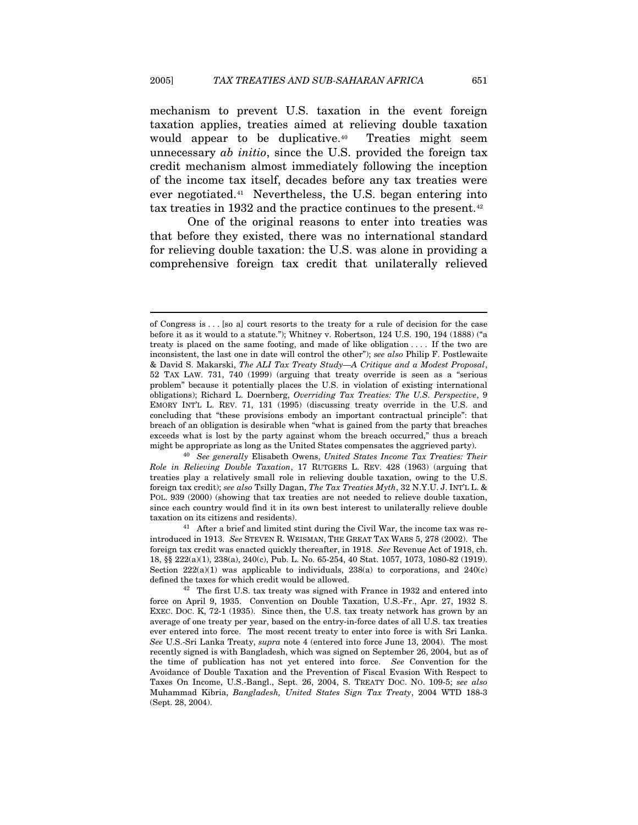mechanism to prevent U.S. taxation in the event foreign taxation applies, treaties aimed at relieving double taxation would appear to be duplicative.[40](#page-13-0) Treaties might seem unnecessary *ab initio*, since the U.S. provided the foreign tax credit mechanism almost immediately following the inception of the income tax itself, decades before any tax treaties were ever negotiated.[41](#page-13-1) Nevertheless, the U.S. began entering into tax treaties in 1932 and the practice continues to the present.<sup>[42](#page-13-2)</sup>

One of the original reasons to enter into treaties was that before they existed, there was no international standard for relieving double taxation: the U.S. was alone in providing a comprehensive foreign tax credit that unilaterally relieved

of Congress is . . . [so a] court resorts to the treaty for a rule of decision for the case before it as it would to a statute."); Whitney v. Robertson, 124 U.S. 190, 194 (1888) ("a treaty is placed on the same footing, and made of like obligation . . . . If the two are inconsistent, the last one in date will control the other"); *see also* Philip F. Postlewaite & David S. Makarski, *The ALI Tax Treaty Study—A Critique and a Modest Proposal*, 52 TAX LAW. 731, 740 (1999) (arguing that treaty override is seen as a "serious problem" because it potentially places the U.S. in violation of existing international obligations); Richard L. Doernberg, *Overriding Tax Treaties: The U.S. Perspective*, 9 EMORY INT'L L. REV. 71, 131 (1995) (discussing treaty override in the U.S. and concluding that "these provisions embody an important contractual principle": that breach of an obligation is desirable when "what is gained from the party that breaches exceeds what is lost by the party against whom the breach occurred," thus a breach might be appropriate as long as the United States compensates the aggrieved party). 40 *See generally* Elisabeth Owens, *United States Income Tax Treaties: Their* 

<span id="page-13-0"></span>*Role in Relieving Double Taxation*, 17 RUTGERS L. REV. 428 (1963) (arguing that treaties play a relatively small role in relieving double taxation, owing to the U.S. foreign tax credit); *see also* Tsilly Dagan, *The Tax Treaties Myth*, 32 N.Y.U. J. INT'L L. & POL. 939 (2000) (showing that tax treaties are not needed to relieve double taxation, since each country would find it in its own best interest to unilaterally relieve double taxation on its citizens and residents). 41 After a brief and limited stint during the Civil War, the income tax was re-

<span id="page-13-1"></span>introduced in 1913. *See* STEVEN R. WEISMAN, THE GREAT TAX WARS 5, 278 (2002). The foreign tax credit was enacted quickly thereafter, in 1918. *See* Revenue Act of 1918, ch. 18, §§ 222(a)(1), 238(a), 240(c), Pub. L. No. 65-254, 40 Stat. 1057, 1073, 1080-82 (1919). Section  $222(a)(1)$  was applicable to individuals,  $238(a)$  to corporations, and  $240(c)$ defined the taxes for which credit would be allowed.<br><sup>42</sup> The first U.S. tax treaty was signed with France in 1932 and entered into

<span id="page-13-2"></span>force on April 9, 1935. Convention on Double Taxation, U.S.-Fr., Apr. 27, 1932 S. EXEC. DOC. K, 72-1 (1935). Since then, the U.S. tax treaty network has grown by an average of one treaty per year, based on the entry-in-force dates of all U.S. tax treaties ever entered into force. The most recent treaty to enter into force is with Sri Lanka. *See* U.S.-Sri Lanka Treaty, *supra* note 4 (entered into force June 13, 2004). The most recently signed is with Bangladesh, which was signed on September 26, 2004, but as of the time of publication has not yet entered into force. *See* Convention for the Avoidance of Double Taxation and the Prevention of Fiscal Evasion With Respect to Taxes On Income, U.S.-Bangl., Sept. 26, 2004, S. TREATY DOC. NO. 109-5; *see also* Muhammad Kibria, *Bangladesh, United States Sign Tax Treaty*, 2004 WTD 188-3 (Sept. 28, 2004).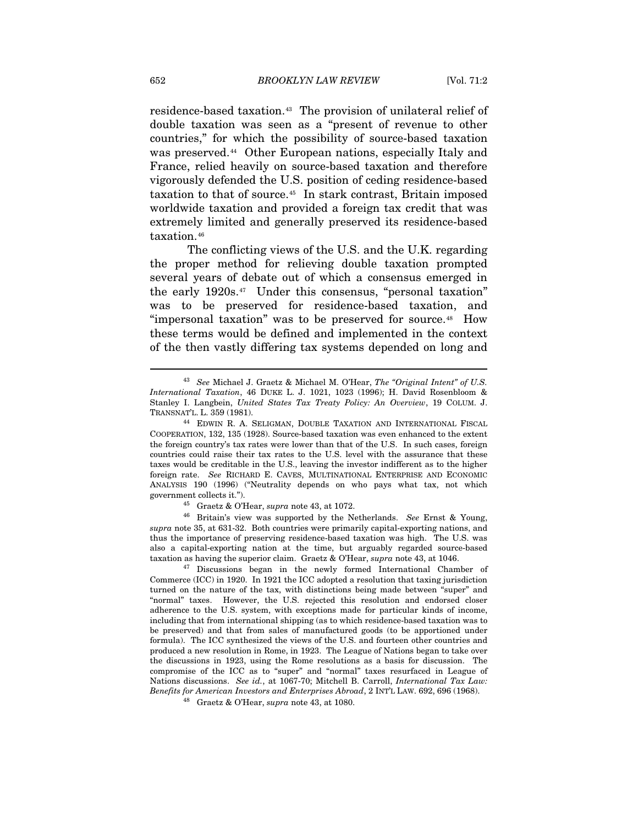residence-based taxation.[4](#page-14-0)3 The provision of unilateral relief of double taxation was seen as a "present of revenue to other countries," for which the possibility of source-based taxation was preserved.<sup>[4](#page-14-1)4</sup> Other European nations, especially Italy and France, relied heavily on source-based taxation and therefore vigorously defended the U.S. position of ceding residence-based taxation to that of source.[45](#page-14-2) In stark contrast, Britain imposed worldwide taxation and provided a foreign tax credit that was extremely limited and generally preserved its residence-based taxation.<sup>[4](#page-14-3)6</sup>

The conflicting views of the U.S. and the U.K. regarding the proper method for relieving double taxation prompted several years of debate out of which a consensus emerged in the early 1920s.<sup>[47](#page-14-4)</sup> Under this consensus, "personal taxation" was to be preserved for residence-based taxation, and "impersonal taxation" was to be preserved for source.[48](#page-14-5) How these terms would be defined and implemented in the context of the then vastly differing tax systems depended on long and

<span id="page-14-0"></span><sup>43</sup> *See* Michael J. Graetz & Michael M. O'Hear, *The "Original Intent" of U.S. International Taxation*, 46 DUKE L. J. 1021, 1023 (1996); H. David Rosenbloom & Stanley I. Langbein, *United States Tax Treaty Policy: An Overview*, 19 COLUM. J. TRANSNAT'L. L. 359 (1981). 44 EDWIN R. A. SELIGMAN, DOUBLE TAXATION AND INTERNATIONAL FISCAL

<span id="page-14-1"></span>COOPERATION, 132, 135 (1928). Source-based taxation was even enhanced to the extent the foreign country's tax rates were lower than that of the U.S. In such cases, foreign countries could raise their tax rates to the U.S. level with the assurance that these taxes would be creditable in the U.S., leaving the investor indifferent as to the higher foreign rate. *See* RICHARD E. CAVES, MULTINATIONAL ENTERPRISE AND ECONOMIC ANALYSIS 190 (1996) ("Neutrality depends on who pays what tax, not which government collects it."). 45 Graetz & O'Hear, *supra* note 43, at 1072. 46 Britain's view was supported by the Netherlands. *See* Ernst & Young,

<span id="page-14-3"></span><span id="page-14-2"></span>*supra* note 35, at 631-32. Both countries were primarily capital-exporting nations, and thus the importance of preserving residence-based taxation was high. The U.S. was also a capital-exporting nation at the time, but arguably regarded source-based taxation as having the superior claim. Graetz & O'Hear, *supra* note 43, at 1046. 47 Discussions began in the newly formed International Chamber of

<span id="page-14-4"></span>Commerce (ICC) in 1920. In 1921 the ICC adopted a resolution that taxing jurisdiction turned on the nature of the tax, with distinctions being made between "super" and "normal" taxes. However, the U.S. rejected this resolution and endorsed closer adherence to the U.S. system, with exceptions made for particular kinds of income, including that from international shipping (as to which residence-based taxation was to be preserved) and that from sales of manufactured goods (to be apportioned under formula). The ICC synthesized the views of the U.S. and fourteen other countries and produced a new resolution in Rome, in 1923. The League of Nations began to take over the discussions in 1923, using the Rome resolutions as a basis for discussion. The compromise of the ICC as to "super" and "normal" taxes resurfaced in League of Nations discussions. *See id.*, at 1067-70; Mitchell B. Carroll, *International Tax Law: Benefits for American Investors and Enterprises Abroad*, 2 INT'L LAW. 692, 696 (1968). 48 Graetz & O'Hear, *supra* note 43, at 1080.

<span id="page-14-5"></span>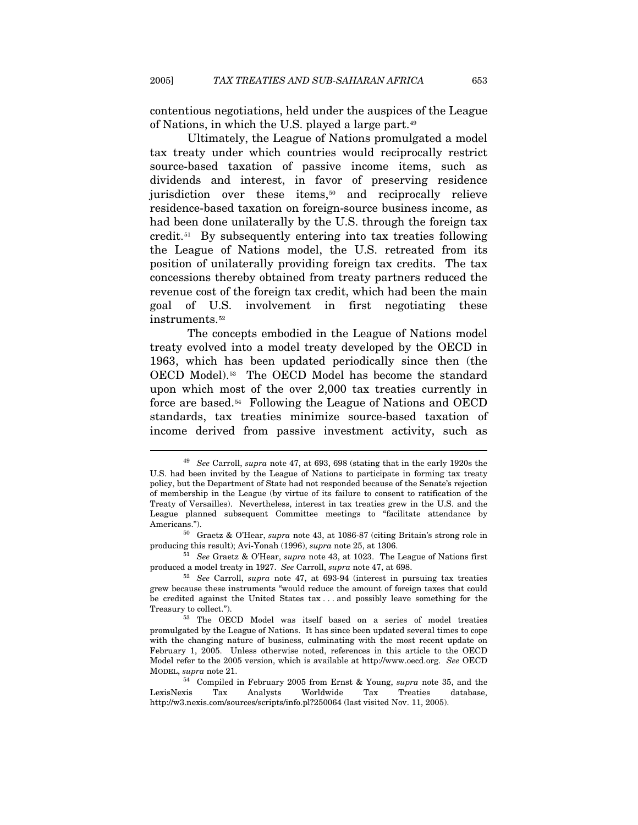contentious negotiations, held under the auspices of the League of Nations, in which the U.S. played a large part.[49](#page-15-0)

Ultimately, the League of Nations promulgated a model tax treaty under which countries would reciprocally restrict source-based taxation of passive income items, such as dividends and interest, in favor of preserving residence jurisdiction over these items,<sup>[50](#page-15-1)</sup> and reciprocally relieve residence-based taxation on foreign-source business income, as had been done unilaterally by the U.S. through the foreign tax credit.[51](#page-15-2) By subsequently entering into tax treaties following the League of Nations model, the U.S. retreated from its position of unilaterally providing foreign tax credits. The tax concessions thereby obtained from treaty partners reduced the revenue cost of the foreign tax credit, which had been the main goal of U.S. involvement in first negotiating these instruments.<sup>[5](#page-15-3)2</sup>

The concepts embodied in the League of Nations model treaty evolved into a model treaty developed by the OECD in 1963, which has been updated periodically since then (the OECD Model).[53](#page-15-4) The OECD Model has become the standard upon which most of the over 2,000 tax treaties currently in force are based[.54](#page-15-5) Following the League of Nations and OECD standards, tax treaties minimize source-based taxation of income derived from passive investment activity, such as

<span id="page-15-0"></span><sup>49</sup> *See* Carroll, *supra* note 47, at 693, 698 (stating that in the early 1920s the U.S. had been invited by the League of Nations to participate in forming tax treaty policy, but the Department of State had not responded because of the Senate's rejection of membership in the League (by virtue of its failure to consent to ratification of the Treaty of Versailles). Nevertheless, interest in tax treaties grew in the U.S. and the League planned subsequent Committee meetings to "facilitate attendance by

Americans."). 50 Graetz & O'Hear, *supra* note 43, at 1086-87 (citing Britain's strong role in

<span id="page-15-2"></span><span id="page-15-1"></span>producing this result); Avi-Yonah (1996), *supra* note 25, at 1306.<br><sup>51</sup> See Graetz & O'Hear, *supra* note 43, at 1023. The League of Nations first produced a model treaty in 1927. See Carroll, *supra* note 47, at 698.

<span id="page-15-3"></span>produced a model treaty in 1927. *See* Carroll, *supra* note 47, at 698. 52 *See* Carroll, *supra* note 47, at 693-94 (interest in pursuing tax treaties grew because these instruments "would reduce the amount of foreign taxes that could be credited against the United States tax . . . and possibly leave something for the Treasury to collect."). 53 The OECD Model was itself based on a series of model treaties

<span id="page-15-4"></span>promulgated by the League of Nations. It has since been updated several times to cope with the changing nature of business, culminating with the most recent update on February 1, 2005. Unless otherwise noted, references in this article to the OECD Model refer to the 2005 version, which is available at http://www.oecd.org. *See* OECD MODEL, *supra* note 21. 54 Compiled in February 2005 from Ernst & Young, *supra* note 35, and the

<span id="page-15-5"></span>LexisNexis Tax Analysts Worldwide Tax Treaties database, http://w3.nexis.com/sources/scripts/info.pl?250064 (last visited Nov. 11, 2005).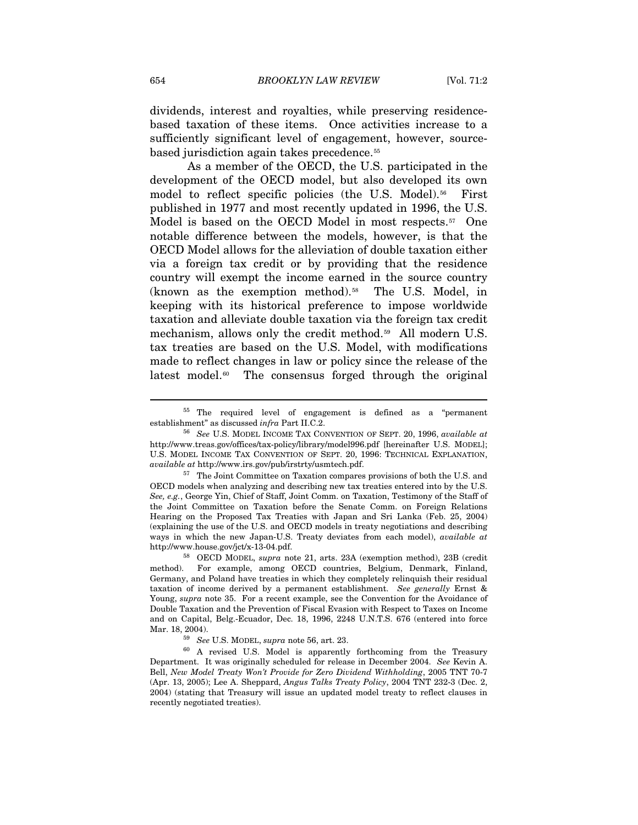dividends, interest and royalties, while preserving residencebased taxation of these items. Once activities increase to a sufficiently significant level of engagement, however, sourcebased jurisdiction again takes precedence.[55](#page-16-0)

As a member of the OECD, the U.S. participated in the development of the OECD model, but also developed its own model to reflect specific policies (the U.S. Model).<sup>[56](#page-16-1)</sup> First published in 1977 and most recently updated in 1996, the U.S. Model is based on the OECD Model in most respects.<sup>[5](#page-16-2)7</sup> One notable difference between the models, however, is that the OECD Model allows for the alleviation of double taxation either via a foreign tax credit or by providing that the residence country will exempt the income earned in the source country (known as the exemption method).[58](#page-16-3) The U.S. Model, in keeping with its historical preference to impose worldwide taxation and alleviate double taxation via the foreign tax credit mechanism, allows only the credit method.<sup>[59](#page-16-4)</sup> All modern U.S. tax treaties are based on the U.S. Model, with modifications made to reflect changes in law or policy since the release of the latest model.<sup>[60](#page-16-5)</sup> The consensus forged through the original

<span id="page-16-0"></span><sup>55</sup> The required level of engagement is defined as a "permanent establishment" as discussed *infra* Part II.C.2. 56 *See* U.S. MODEL INCOME TAX CONVENTION OF SEPT. 20, 1996, *available at*

<span id="page-16-1"></span>http://www.treas.gov/offices/tax-policy/library/model996.pdf [hereinafter U.S. MODEL]; U.S. MODEL INCOME TAX CONVENTION OF SEPT. 20, 1996: TECHNICAL EXPLANATION, *available at* http://www.irs.gov/pub/irstrty/usmtech.pdf. 57 The Joint Committee on Taxation compares provisions of both the U.S. and

<span id="page-16-2"></span>OECD models when analyzing and describing new tax treaties entered into by the U.S. *See, e.g.*, George Yin, Chief of Staff, Joint Comm. on Taxation, Testimony of the Staff of the Joint Committee on Taxation before the Senate Comm. on Foreign Relations Hearing on the Proposed Tax Treaties with Japan and Sri Lanka (Feb. 25, 2004) (explaining the use of the U.S. and OECD models in treaty negotiations and describing ways in which the new Japan-U.S. Treaty deviates from each model), *available at*  http://www.house.gov/jct/x-13-04.pdf.

<span id="page-16-3"></span><sup>58</sup> OECD MODEL, *supra* note 21, arts. 23A (exemption method), 23B (credit method). For example, among OECD countries, Belgium, Denmark, Finland, Germany, and Poland have treaties in which they completely relinquish their residual taxation of income derived by a permanent establishment. *See generally* Ernst & Young, *supra* note 35. For a recent example, see the Convention for the Avoidance of Double Taxation and the Prevention of Fiscal Evasion with Respect to Taxes on Income and on Capital, Belg.-Ecuador, Dec. 18, 1996, 2248 U.N.T.S. 676 (entered into force Mar. 18, 2004).<br><sup>59</sup> *See* U.S. MODEL, *supra* note 56, art. 23.<br><sup>60</sup> A revised U.S. Model is apparently forthcoming from the Treasury

<span id="page-16-5"></span><span id="page-16-4"></span>Department. It was originally scheduled for release in December 2004. *See* Kevin A. Bell, *New Model Treaty Won't Provide for Zero Dividend Withholding*, 2005 TNT 70-7 (Apr. 13, 2005); Lee A. Sheppard, *Angus Talks Treaty Policy*, 2004 TNT 232-3 (Dec. 2, 2004) (stating that Treasury will issue an updated model treaty to reflect clauses in recently negotiated treaties).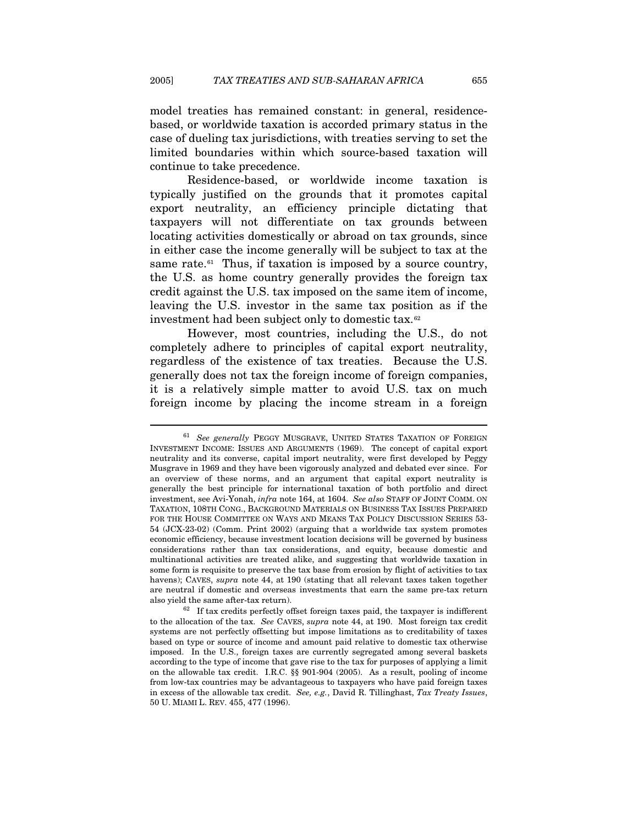model treaties has remained constant: in general, residencebased, or worldwide taxation is accorded primary status in the case of dueling tax jurisdictions, with treaties serving to set the limited boundaries within which source-based taxation will continue to take precedence.

Residence-based, or worldwide income taxation is typically justified on the grounds that it promotes capital export neutrality, an efficiency principle dictating that taxpayers will not differentiate on tax grounds between locating activities domestically or abroad on tax grounds, since in either case the income generally will be subject to tax at the same rate. $61$  $61$  Thus, if taxation is imposed by a source country, the U.S. as home country generally provides the foreign tax credit against the U.S. tax imposed on the same item of income, leaving the U.S. investor in the same tax position as if the investment had been subject only to domestic tax.[62](#page-17-1)

However, most countries, including the U.S., do not completely adhere to principles of capital export neutrality, regardless of the existence of tax treaties. Because the U.S. generally does not tax the foreign income of foreign companies, it is a relatively simple matter to avoid U.S. tax on much foreign income by placing the income stream in a foreign

<span id="page-17-0"></span><sup>61</sup> *See generally* PEGGY MUSGRAVE, UNITED STATES TAXATION OF FOREIGN INVESTMENT INCOME: ISSUES AND ARGUMENTS (1969). The concept of capital export neutrality and its converse, capital import neutrality, were first developed by Peggy Musgrave in 1969 and they have been vigorously analyzed and debated ever since. For an overview of these norms, and an argument that capital export neutrality is generally the best principle for international taxation of both portfolio and direct investment, see Avi-Yonah, *infra* note 164, at 1604. *See also* STAFF OF JOINT COMM. ON TAXATION, 108TH CONG., BACKGROUND MATERIALS ON BUSINESS TAX ISSUES PREPARED FOR THE HOUSE COMMITTEE ON WAYS AND MEANS TAX POLICY DISCUSSION SERIES 53- 54 (JCX-23-02) (Comm. Print 2002) (arguing that a worldwide tax system promotes economic efficiency, because investment location decisions will be governed by business considerations rather than tax considerations, and equity, because domestic and multinational activities are treated alike, and suggesting that worldwide taxation in some form is requisite to preserve the tax base from erosion by flight of activities to tax havens); CAVES, *supra* note 44, at 190 (stating that all relevant taxes taken together are neutral if domestic and overseas investments that earn the same pre-tax return

<span id="page-17-1"></span> $62$  If tax credits perfectly offset foreign taxes paid, the taxpayer is indifferent to the allocation of the tax. *See* CAVES, *supra* note 44, at 190. Most foreign tax credit systems are not perfectly offsetting but impose limitations as to creditability of taxes based on type or source of income and amount paid relative to domestic tax otherwise imposed. In the U.S., foreign taxes are currently segregated among several baskets according to the type of income that gave rise to the tax for purposes of applying a limit on the allowable tax credit. I.R.C. §§ 901-904 (2005). As a result, pooling of income from low-tax countries may be advantageous to taxpayers who have paid foreign taxes in excess of the allowable tax credit. *See, e.g.*, David R. Tillinghast, *Tax Treaty Issues*, 50 U. MIAMI L. REV. 455, 477 (1996).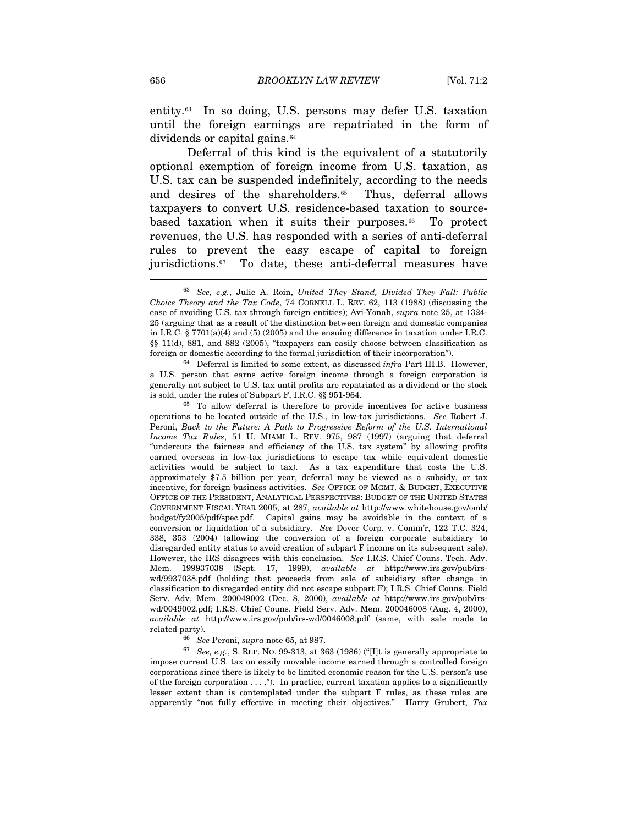entity.[63](#page-18-0) In so doing, U.S. persons may defer U.S. taxation until the foreign earnings are repatriated in the form of dividends or capital gains.<sup>[6](#page-18-1)4</sup>

Deferral of this kind is the equivalent of a statutorily optional exemption of foreign income from U.S. taxation, as U.S. tax can be suspended indefinitely, according to the needs and desires of the shareholders.<sup>[6](#page-18-2)5</sup> Thus, deferral allows taxpayers to convert U.S. residence-based taxation to source-based taxation when it suits their purposes.<sup>[6](#page-18-3)6</sup> To protect revenues, the U.S. has responded with a series of anti-deferral rules to prevent the easy escape of capital to foreign jurisdictions.[67](#page-18-4) To date, these anti-deferral measures have

<span id="page-18-1"></span>a U.S. person that earns active foreign income through a foreign corporation is generally not subject to U.S. tax until profits are repatriated as a dividend or the stock

<span id="page-18-2"></span>is sold, under the rules of Subpart F, I.R.C. §§ 951-964. 65 To allow deferral is therefore to provide incentives for active business operations to be located outside of the U.S., in low-tax jurisdictions. *See* Robert J. Peroni, *Back to the Future: A Path to Progressive Reform of the U.S. International Income Tax Rules*, 51 U. MIAMI L. REV. 975, 987 (1997) (arguing that deferral "undercuts the fairness and efficiency of the U.S. tax system" by allowing profits earned overseas in low-tax jurisdictions to escape tax while equivalent domestic activities would be subject to tax). As a tax expenditure that costs the U.S. approximately \$7.5 billion per year, deferral may be viewed as a subsidy, or tax incentive, for foreign business activities. *See* OFFICE OF MGMT. & BUDGET, EXECUTIVE OFFICE OF THE PRESIDENT, ANALYTICAL PERSPECTIVES: BUDGET OF THE UNITED STATES GOVERNMENT FISCAL YEAR 2005, at 287, *available at* http://www.whitehouse.gov/omb/ budget/fy2005/pdf/spec.pdf. Capital gains may be avoidable in the context of a conversion or liquidation of a subsidiary. *See* Dover Corp. v. Comm'r, 122 T.C. 324, 338, 353 (2004) (allowing the conversion of a foreign corporate subsidiary to disregarded entity status to avoid creation of subpart F income on its subsequent sale). However, the IRS disagrees with this conclusion. *See* I.R.S. Chief Couns. Tech. Adv. Mem. 199937038 (Sept. 17, 1999), *available at* http://www.irs.gov/pub/irswd/9937038.pdf (holding that proceeds from sale of subsidiary after change in classification to disregarded entity did not escape subpart F); I.R.S. Chief Couns. Field Serv. Adv. Mem. 200049002 (Dec. 8, 2000), *available at* http://www.irs.gov/pub/irswd/0049002.pdf; I.R.S. Chief Couns. Field Serv. Adv. Mem. 200046008 (Aug. 4, 2000), *available at* http://www.irs.gov/pub/irs-wd/0046008.pdf (same, with sale made to

<span id="page-18-4"></span><span id="page-18-3"></span>related party). 66 *See* Peroni, *supra* note 65, at 987. 67 *See, e.g.*, S. REP. NO. 99-313, at 363 (1986) ("[I]t is generally appropriate to impose current U.S. tax on easily movable income earned through a controlled foreign corporations since there is likely to be limited economic reason for the U.S. person's use of the foreign corporation  $\dots$ ."). In practice, current taxation applies to a significantly lesser extent than is contemplated under the subpart F rules, as these rules are apparently "not fully effective in meeting their objectives." Harry Grubert, *Tax* 

<span id="page-18-0"></span><sup>63</sup> *See, e.g.*, Julie A. Roin, *United They Stand, Divided They Fall: Public Choice Theory and the Tax Code*, 74 CORNELL L. REV. 62, 113 (1988) (discussing the ease of avoiding U.S. tax through foreign entities); Avi-Yonah, *supra* note 25, at 1324- 25 (arguing that as a result of the distinction between foreign and domestic companies in I.R.C. § 7701(a)(4) and (5) (2005) and the ensuing difference in taxation under I.R.C. §§ 11(d), 881, and 882 (2005), "taxpayers can easily choose between classification as foreign or domestic according to the formal jurisdiction of their incorporation"). 64 Deferral is limited to some extent, as discussed *infra* Part III.B. However,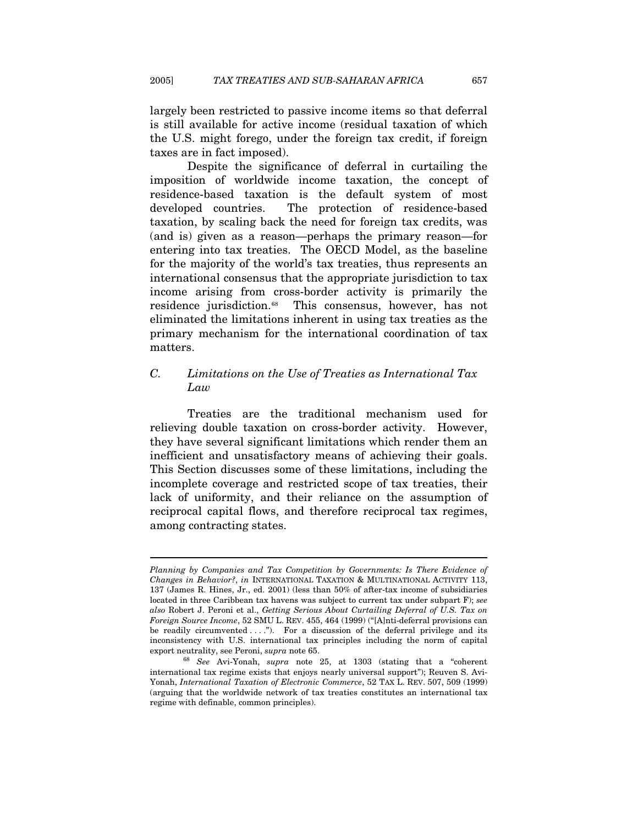largely been restricted to passive income items so that deferral is still available for active income (residual taxation of which the U.S. might forego, under the foreign tax credit, if foreign taxes are in fact imposed).

Despite the significance of deferral in curtailing the imposition of worldwide income taxation, the concept of residence-based taxation is the default system of most developed countries. The protection of residence-based taxation, by scaling back the need for foreign tax credits, was (and is) given as a reason—perhaps the primary reason—for entering into tax treaties. The OECD Model, as the baseline for the majority of the world's tax treaties, thus represents an international consensus that the appropriate jurisdiction to tax income arising from cross-border activity is primarily the residence jurisdiction.<sup>[68](#page-19-0)</sup> This consensus, however, has not eliminated the limitations inherent in using tax treaties as the primary mechanism for the international coordination of tax matters.

### *C. Limitations on the Use of Treaties as International Tax Law*

Treaties are the traditional mechanism used for relieving double taxation on cross-border activity. However, they have several significant limitations which render them an inefficient and unsatisfactory means of achieving their goals. This Section discusses some of these limitations, including the incomplete coverage and restricted scope of tax treaties, their lack of uniformity, and their reliance on the assumption of reciprocal capital flows, and therefore reciprocal tax regimes, among contracting states.

*Planning by Companies and Tax Competition by Governments: Is There Evidence of Changes in Behavior?*, *in* INTERNATIONAL TAXATION & MULTINATIONAL ACTIVITY 113, 137 (James R. Hines, Jr., ed. 2001) (less than 50% of after-tax income of subsidiaries located in three Caribbean tax havens was subject to current tax under subpart F); *see also* Robert J. Peroni et al., *Getting Serious About Curtailing Deferral of U.S. Tax on Foreign Source Income*, 52 SMU L. REV. 455, 464 (1999) ("[A]nti-deferral provisions can be readily circumvented . . . ."). For a discussion of the deferral privilege and its inconsistency with U.S. international tax principles including the norm of capital export neutrality, see Peroni, *supra* note 65. 68 *See* Avi-Yonah, *supra* note 25, at 1303 (stating that a "coherent

<span id="page-19-0"></span>international tax regime exists that enjoys nearly universal support"); Reuven S. Avi-Yonah, *International Taxation of Electronic Commerce*, 52 TAX L. REV. 507, 509 (1999) (arguing that the worldwide network of tax treaties constitutes an international tax regime with definable, common principles).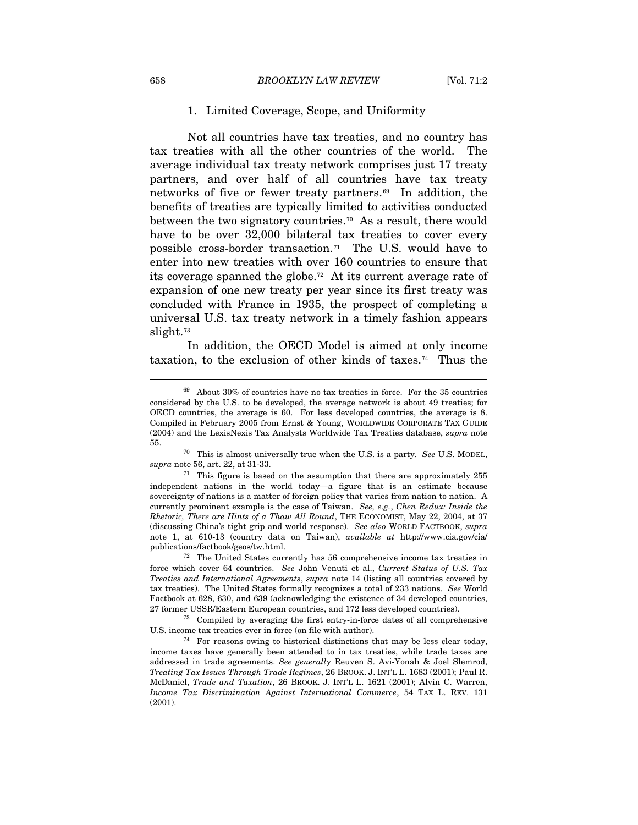#### 1. Limited Coverage, Scope, and Uniformity

Not all countries have tax treaties, and no country has tax treaties with all the other countries of the world. The average individual tax treaty network comprises just 17 treaty partners, and over half of all countries have tax treaty networks of five or fewer treaty partners.<sup>[69](#page-20-0)</sup> In addition, the benefits of treaties are typically limited to activities conducted between the two signatory countries.<sup>[70](#page-20-1)</sup> As a result, there would have to be over 32,000 bilateral tax treaties to cover every possible cross-border transaction.[7](#page-20-2)1 The U.S. would have to enter into new treaties with over 160 countries to ensure that its coverage spanned the globe[.72](#page-20-3) At its current average rate of expansion of one new treaty per year since its first treaty was concluded with France in 1935, the prospect of completing a universal U.S. tax treaty network in a timely fashion appears slight.<sup>[73](#page-20-4)</sup>

In addition, the OECD Model is aimed at only income taxation, to the exclusion of other kinds of taxes.[7](#page-20-5)4 Thus the

<span id="page-20-0"></span> $69$  About  $30\%$  of countries have no tax treaties in force. For the  $35$  countries considered by the U.S. to be developed, the average network is about 49 treaties; for OECD countries, the average is 60. For less developed countries, the average is 8. Compiled in February 2005 from Ernst & Young, WORLDWIDE CORPORATE TAX GUIDE (2004) and the LexisNexis Tax Analysts Worldwide Tax Treaties database, *supra* note 55. 70 This is almost universally true when the U.S. is a party. *See* U.S. MODEL,

<span id="page-20-1"></span>*supra* note 56, art. 22, at 31-33.<br><sup>71</sup> This figure is based on the assumption that there are approximately 255

<span id="page-20-2"></span>independent nations in the world today—a figure that is an estimate because sovereignty of nations is a matter of foreign policy that varies from nation to nation. A currently prominent example is the case of Taiwan. *See, e.g.*, *Chen Redux: Inside the Rhetoric, There are Hints of a Thaw All Round*, THE ECONOMIST, May 22, 2004, at 37 (discussing China's tight grip and world response). *See also* WORLD FACTBOOK, *supra* note 1, at 610-13 (country data on Taiwan), *available at* http://www.cia.gov/cia/ publications/factbook/geos/tw.html. 72 The United States currently has 56 comprehensive income tax treaties in

<span id="page-20-3"></span>force which cover 64 countries. *See* John Venuti et al., *Current Status of U.S. Tax Treaties and International Agreements*, *supra* note 14 (listing all countries covered by tax treaties). The United States formally recognizes a total of 233 nations. *See* World Factbook at 628, 630, and 639 (acknowledging the existence of 34 developed countries, 27 former USSR/Eastern European countries, and 172 less developed countries). 73 Compiled by averaging the first entry-in-force dates of all comprehensive

<span id="page-20-4"></span>U.S. income tax treaties ever in force (on file with author).<br><sup>74</sup> For reasons owing to historical distinctions that may be less clear today,

<span id="page-20-5"></span>income taxes have generally been attended to in tax treaties, while trade taxes are addressed in trade agreements. *See generall*y Reuven S. Avi-Yonah & Joel Slemrod, *Treating Tax Issues Through Trade Regimes*, 26 BROOK. J. INT'L L. 1683 (2001); Paul R. McDaniel, *Trade and Taxation*, 26 BROOK. J. INT'L L. 1621 (2001); Alvin C. Warren, *Income Tax Discrimination Against International Commerce*, 54 TAX L. REV. 131 (2001).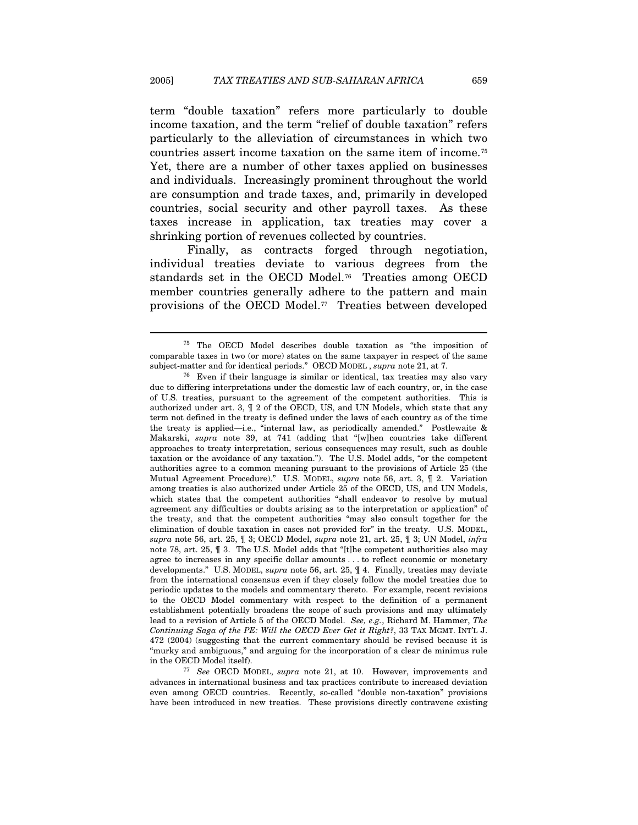term "double taxation" refers more particularly to double income taxation, and the term "relief of double taxation" refers particularly to the alleviation of circumstances in which two countries assert income taxation on the same item of income.[75](#page-21-0) Yet, there are a number of other taxes applied on businesses and individuals. Increasingly prominent throughout the world are consumption and trade taxes, and, primarily in developed countries, social security and other payroll taxes. As these taxes increase in application, tax treaties may cover a shrinking portion of revenues collected by countries.

Finally, as contracts forged through negotiation, individual treaties deviate to various degrees from the standards set in the OECD Model.[7](#page-21-1)6 Treaties among OECD member countries generally adhere to the pattern and main provisions of the OECD Model.[7](#page-21-2)7 Treaties between developed

 $\overline{a}$ 

<span id="page-21-2"></span>advances in international business and tax practices contribute to increased deviation even among OECD countries. Recently, so-called "double non-taxation" provisions have been introduced in new treaties. These provisions directly contravene existing

<span id="page-21-0"></span><sup>75</sup> The OECD Model describes double taxation as "the imposition of comparable taxes in two (or more) states on the same taxpayer in respect of the same subject-matter and for identical periods." OECD MODEL, supra note 21, at 7.

<span id="page-21-1"></span><sup>&</sup>lt;sup>76</sup> Even if their language is similar or identical, tax treaties may also vary due to differing interpretations under the domestic law of each country, or, in the case of U.S. treaties, pursuant to the agreement of the competent authorities. This is authorized under art. 3, ¶ 2 of the OECD, US, and UN Models, which state that any term not defined in the treaty is defined under the laws of each country as of the time the treaty is applied—i.e., "internal law, as periodically amended." Postlewaite & Makarski, *supra* note 39, at 741 (adding that "[w]hen countries take different approaches to treaty interpretation, serious consequences may result, such as double taxation or the avoidance of any taxation."). The U.S. Model adds, "or the competent authorities agree to a common meaning pursuant to the provisions of Article 25 (the Mutual Agreement Procedure)." U.S. MODEL, *supra* note 56, art. 3, ¶ 2. Variation among treaties is also authorized under Article 25 of the OECD, US, and UN Models, which states that the competent authorities "shall endeavor to resolve by mutual agreement any difficulties or doubts arising as to the interpretation or application" of the treaty, and that the competent authorities "may also consult together for the elimination of double taxation in cases not provided for" in the treaty. U.S. MODEL, *supra* note 56, art. 25, ¶ 3; OECD Model, *supra* note 21, art. 25, ¶ 3; UN Model, *infra*  note 78, art. 25, ¶ 3. The U.S. Model adds that "[t]he competent authorities also may agree to increases in any specific dollar amounts . . . to reflect economic or monetary developments." U.S. MODEL, *supra* note 56, art. 25, ¶ 4. Finally, treaties may deviate from the international consensus even if they closely follow the model treaties due to periodic updates to the models and commentary thereto. For example, recent revisions to the OECD Model commentary with respect to the definition of a permanent establishment potentially broadens the scope of such provisions and may ultimately lead to a revision of Article 5 of the OECD Model. *See, e.g.*, Richard M. Hammer, *The Continuing Saga of the PE: Will the OECD Ever Get it Right?*, 33 TAX MGMT. INT'L J. 472 (2004) (suggesting that the current commentary should be revised because it is "murky and ambiguous," and arguing for the incorporation of a clear de minimus rule in the OECD Model itself). 77 *See* OECD MODEL, *supra* note 21, at 10. However, improvements and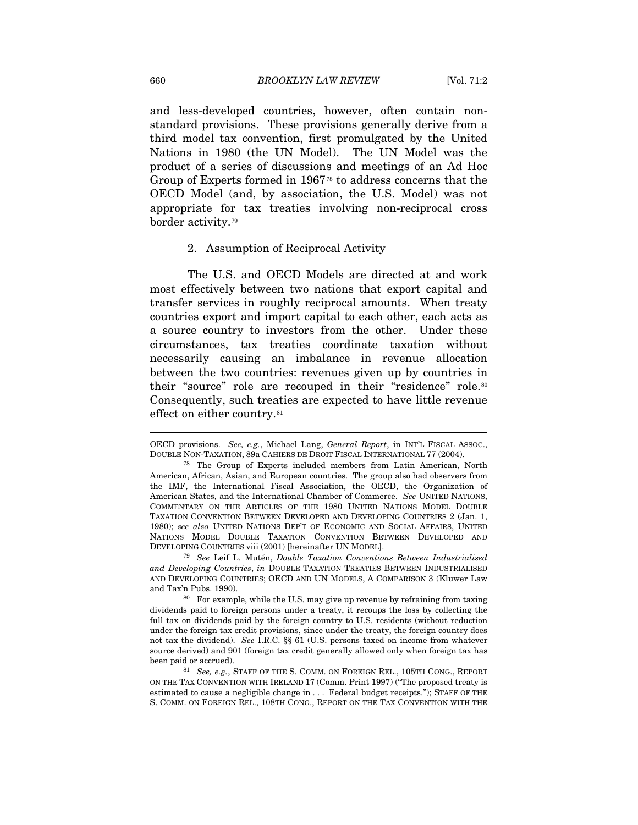and less-developed countries, however, often contain nonstandard provisions. These provisions generally derive from a third model tax convention, first promulgated by the United Nations in 1980 (the UN Model). The UN Model was the product of a series of discussions and meetings of an Ad Hoc Group of Experts formed in 196[7](#page-22-0)<sup>78</sup> to address concerns that the OECD Model (and, by association, the U.S. Model) was not appropriate for tax treaties involving non-reciprocal cross border activity.[7](#page-22-1)9

#### 2. Assumption of Reciprocal Activity

The U.S. and OECD Models are directed at and work most effectively between two nations that export capital and transfer services in roughly reciprocal amounts. When treaty countries export and import capital to each other, each acts as a source country to investors from the other. Under these circumstances, tax treaties coordinate taxation without necessarily causing an imbalance in revenue allocation between the two countries: revenues given up by countries in their "source" role are recouped in their "residence" role.<sup>[80](#page-22-2)</sup> Consequently, such treaties are expected to have little revenue effect on either country.<sup>[81](#page-22-3)</sup>

<span id="page-22-1"></span>*and Developing Countries*, *in* DOUBLE TAXATION TREATIES BETWEEN INDUSTRIALISED AND DEVELOPING COUNTRIES; OECD AND UN MODELS, A COMPARISON 3 (Kluwer Law and Tax'n Pubs. 1990).  $80\degree$  For example, while the U.S. may give up revenue by refraining from taxing

<span id="page-22-2"></span>dividends paid to foreign persons under a treaty, it recoups the loss by collecting the full tax on dividends paid by the foreign country to U.S. residents (without reduction under the foreign tax credit provisions, since under the treaty, the foreign country does not tax the dividend). *See* I.R.C. §§ 61 (U.S. persons taxed on income from whatever source derived) and 901 (foreign tax credit generally allowed only when foreign tax has been paid or accrued). 81 *See, e.g.*, STAFF OF THE S. COMM. ON FOREIGN REL., 105TH CONG., REPORT

<span id="page-22-3"></span>ON THE TAX CONVENTION WITH IRELAND 17 (Comm. Print 1997) ("The proposed treaty is estimated to cause a negligible change in . . . Federal budget receipts."); STAFF OF THE S. COMM. ON FOREIGN REL., 108TH CONG., REPORT ON THE TAX CONVENTION WITH THE

OECD provisions. *See, e.g.*, Michael Lang, *General Report*, in INT'L FISCAL ASSOC., DOUBLE NON-TAXATION, 89a CAHIERS DE DROIT FISCAL INTERNATIONAL 77 (2004). 78 The Group of Experts included members from Latin American, North

<span id="page-22-0"></span>American, African, Asian, and European countries. The group also had observers from the IMF, the International Fiscal Association, the OECD, the Organization of American States, and the International Chamber of Commerce. *See* UNITED NATIONS, COMMENTARY ON THE ARTICLES OF THE 1980 UNITED NATIONS MODEL DOUBLE TAXATION CONVENTION BETWEEN DEVELOPED AND DEVELOPING COUNTRIES 2 (Jan. 1, 1980); *see also* UNITED NATIONS DEP'T OF ECONOMIC AND SOCIAL AFFAIRS, UNITED NATIONS MODEL DOUBLE TAXATION CONVENTION BETWEEN DEVELOPED AND DEVELOPING COUNTRIES viii (2001) [hereinafter UN MODEL]. 79 *See* Leif L. Mutén, *Double Taxation Conventions Between Industrialised*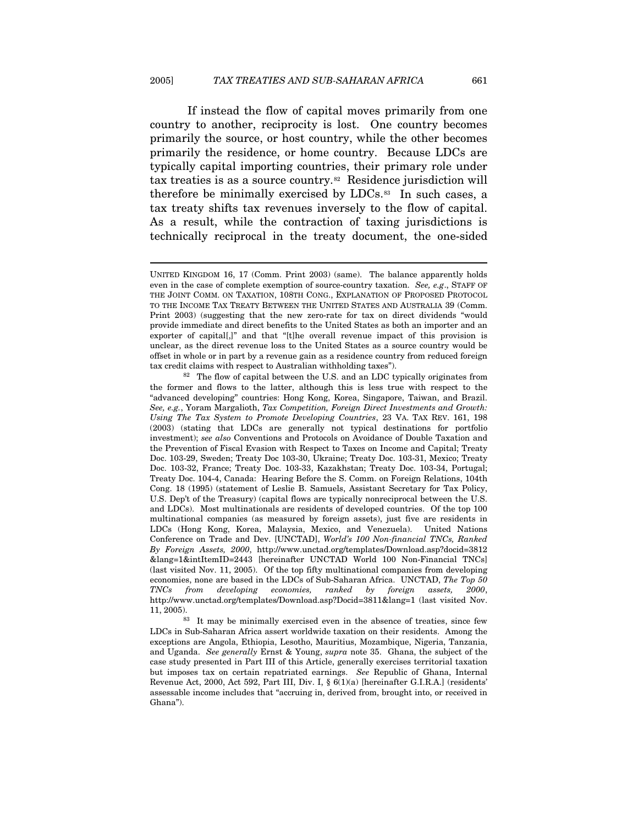$\overline{a}$ 

If instead the flow of capital moves primarily from one country to another, reciprocity is lost. One country becomes primarily the source, or host country, while the other becomes primarily the residence, or home country. Because LDCs are typically capital importing countries, their primary role under tax treaties is as a source country.[82](#page-23-0) Residence jurisdiction will therefore be minimally exercised by  $LDCs$ .<sup>[83](#page-23-1)</sup> In such cases, a tax treaty shifts tax revenues inversely to the flow of capital. As a result, while the contraction of taxing jurisdictions is technically reciprocal in the treaty document, the one-sided

<span id="page-23-1"></span>LDCs in Sub-Saharan Africa assert worldwide taxation on their residents. Among the exceptions are Angola, Ethiopia, Lesotho, Mauritius, Mozambique, Nigeria, Tanzania, and Uganda. *See generally* Ernst & Young, *supra* note 35. Ghana, the subject of the case study presented in Part III of this Article, generally exercises territorial taxation but imposes tax on certain repatriated earnings. *See* Republic of Ghana, Internal Revenue Act, 2000, Act 592, Part III, Div. I, § 6(1)(a) [hereinafter G.I.R.A.] (residents' assessable income includes that "accruing in, derived from, brought into, or received in Ghana").

UNITED KINGDOM 16, 17 (Comm. Print 2003) (same). The balance apparently holds even in the case of complete exemption of source-country taxation. *See, e.g*., STAFF OF THE JOINT COMM. ON TAXATION, 108TH CONG., EXPLANATION OF PROPOSED PROTOCOL TO THE INCOME TAX TREATY BETWEEN THE UNITED STATES AND AUSTRALIA 39 (Comm. Print 2003) (suggesting that the new zero-rate for tax on direct dividends "would provide immediate and direct benefits to the United States as both an importer and an exporter of capital[,]" and that "[t]he overall revenue impact of this provision is unclear, as the direct revenue loss to the United States as a source country would be offset in whole or in part by a revenue gain as a residence country from reduced foreign tax credit claims with respect to Australian withholding taxes"). 82 The flow of capital between the U.S. and an LDC typically originates from

<span id="page-23-0"></span>the former and flows to the latter, although this is less true with respect to the "advanced developing" countries: Hong Kong, Korea, Singapore, Taiwan, and Brazil. *See, e.g.*, Yoram Margalioth, *Tax Competition, Foreign Direct Investments and Growth: Using The Tax System to Promote Developing Countries*, 23 VA. TAX REV. 161, 198 (2003) (stating that LDCs are generally not typical destinations for portfolio investment); *see also* Conventions and Protocols on Avoidance of Double Taxation and the Prevention of Fiscal Evasion with Respect to Taxes on Income and Capital; Treaty Doc. 103-29, Sweden; Treaty Doc 103-30, Ukraine; Treaty Doc. 103-31, Mexico; Treaty Doc. 103-32, France; Treaty Doc. 103-33, Kazakhstan; Treaty Doc. 103-34, Portugal; Treaty Doc. 104-4, Canada: Hearing Before the S. Comm. on Foreign Relations, 104th Cong. 18 (1995) (statement of Leslie B. Samuels, Assistant Secretary for Tax Policy, U.S. Dep't of the Treasury) (capital flows are typically nonreciprocal between the U.S. and LDCs). Most multinationals are residents of developed countries. Of the top 100 multinational companies (as measured by foreign assets), just five are residents in LDCs (Hong Kong, Korea, Malaysia, Mexico, and Venezuela). United Nations Conference on Trade and Dev. [UNCTAD], *World's 100 Non-financial TNCs, Ranked By Foreign Assets, 2000*, http://www.unctad.org/templates/Download.asp?docid=3812 &lang=1&intItemID=2443 [hereinafter UNCTAD World 100 Non-Financial TNCs] (last visited Nov. 11, 2005). Of the top fifty multinational companies from developing economies, none are based in the LDCs of Sub-Saharan Africa. UNCTAD, *The Top 50 TNCs from developing economies, ranked by foreign assets, 2000*, http://www.unctad.org/templates/Download.asp?Docid=3811&lang=1 (last visited Nov. 11, 2005).<br><sup>83</sup> It may be minimally exercised even in the absence of treaties, since few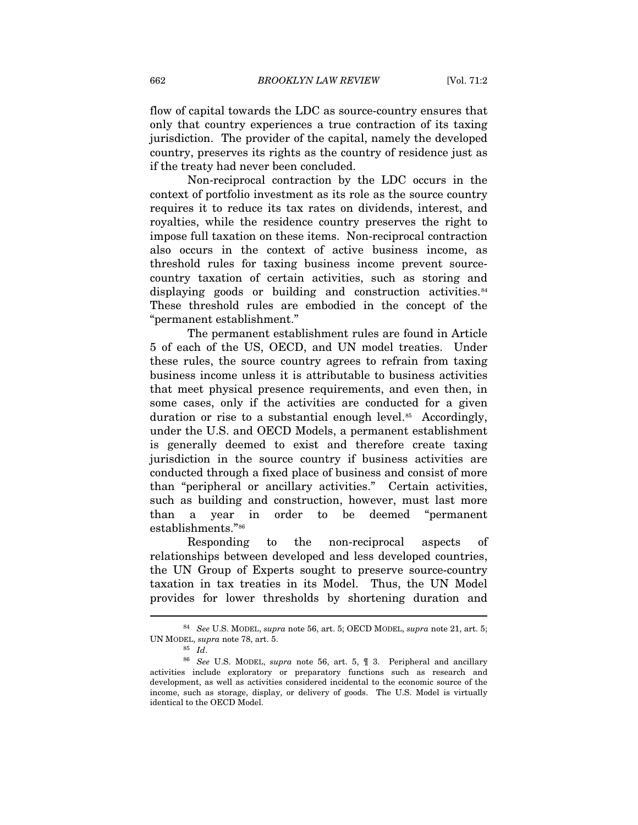flow of capital towards the LDC as source-country ensures that only that country experiences a true contraction of its taxing jurisdiction. The provider of the capital, namely the developed country, preserves its rights as the country of residence just as if the treaty had never been concluded.

Non-reciprocal contraction by the LDC occurs in the context of portfolio investment as its role as the source country requires it to reduce its tax rates on dividends, interest, and royalties, while the residence country preserves the right to impose full taxation on these items. Non-reciprocal contraction also occurs in the context of active business income, as threshold rules for taxing business income prevent sourcecountry taxation of certain activities, such as storing and displaying goods or building and construction activities. $84$ These threshold rules are embodied in the concept of the "permanent establishment."

The permanent establishment rules are found in Article 5 of each of the US, OECD, and UN model treaties. Under these rules, the source country agrees to refrain from taxing business income unless it is attributable to business activities that meet physical presence requirements, and even then, in some cases, only if the activities are conducted for a given duration or rise to a substantial enough level.<sup>[8](#page-24-1)5</sup> Accordingly, under the U.S. and OECD Models, a permanent establishment is generally deemed to exist and therefore create taxing jurisdiction in the source country if business activities are conducted through a fixed place of business and consist of more than "peripheral or ancillary activities." Certain activities, such as building and construction, however, must last more than a year in order to be deemed "permanent establishments."[8](#page-24-2)6

Responding to the non-reciprocal aspects of relationships between developed and less developed countries, the UN Group of Experts sought to preserve source-country taxation in tax treaties in its Model. Thus, the UN Model provides for lower thresholds by shortening duration and

<span id="page-24-0"></span><sup>84</sup> *See* U.S. MODEL, *supra* note 56, art. 5; OECD MODEL, *supra* note 21, art. 5; UN MODEL, *supra* note 78, art. 5.  $^{85}$  *Id.*  $^{86}$  *See* U.S. MODEL, *supra* note 56, art. 5,  $\parallel$  3. Peripheral and ancillary

<span id="page-24-2"></span><span id="page-24-1"></span>activities include exploratory or preparatory functions such as research and development, as well as activities considered incidental to the economic source of the income, such as storage, display, or delivery of goods. The U.S. Model is virtually identical to the OECD Model.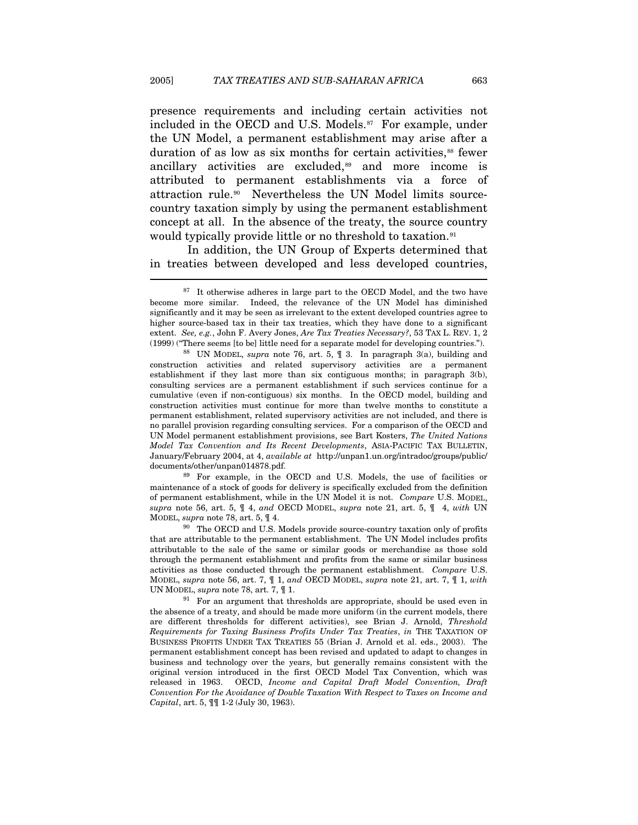presence requirements and including certain activities not included in the OECD and U.S. Models.<sup>[8](#page-25-0)7</sup> For example, under the UN Model, a permanent establishment may arise after a duration of as low as six months for certain activities,<sup>[8](#page-25-1)8</sup> fewer ancillary activities are excluded,<sup>[8](#page-25-2)9</sup> and more income is attributed to permanent establishments via a force of attraction rule.[9](#page-25-3)0 Nevertheless the UN Model limits sourcecountry taxation simply by using the permanent establishment concept at all. In the absence of the treaty, the source country would typically provide little or no threshold to taxation.<sup>[9](#page-25-4)1</sup>

In addition, the UN Group of Experts determined that in treaties between developed and less developed countries,

<span id="page-25-2"></span>maintenance of a stock of goods for delivery is specifically excluded from the definition of permanent establishment, while in the UN Model it is not. *Compare* U.S. MODEL, *supra* note 56, art. 5, ¶ 4, *and* OECD MODEL, *supra* note 21, art. 5, ¶ 4, *with* UN MODEL, *supra* note 78, art. 5,  $\parallel$  4.<br><sup>90</sup> The OECD and U.S. Models provide source-country taxation only of profits

<span id="page-25-3"></span>that are attributable to the permanent establishment. The UN Model includes profits attributable to the sale of the same or similar goods or merchandise as those sold through the permanent establishment and profits from the same or similar business activities as those conducted through the permanent establishment. *Compare* U.S. MODEL, *supra* note 56, art. 7, ¶ 1, *and* OECD MODEL, *supra* note 21, art. 7, ¶ 1, *with* 

<span id="page-25-4"></span>UN MODEL, *supra* note 78, art. 7,  $\parallel$  1.<br><sup>91</sup> For an argument that thresholds are appropriate, should be used even in the absence of a treaty, and should be made more uniform (in the current models, there are different thresholds for different activities), see Brian J. Arnold, *Threshold Requirements for Taxing Business Profits Under Tax Treaties*, *in* THE TAXATION OF BUSINESS PROFITS UNDER TAX TREATIES 55 (Brian J. Arnold et al. eds., 2003). The permanent establishment concept has been revised and updated to adapt to changes in business and technology over the years, but generally remains consistent with the original version introduced in the first OECD Model Tax Convention, which was released in 1963. OECD, *Income and Capital Draft Model Convention, Draft Convention For the Avoidance of Double Taxation With Respect to Taxes on Income and Capital*, art. 5, ¶¶ 1-2 (July 30, 1963).

<span id="page-25-0"></span> $87$  It otherwise adheres in large part to the OECD Model, and the two have become more similar. Indeed, the relevance of the UN Model has diminished significantly and it may be seen as irrelevant to the extent developed countries agree to higher source-based tax in their tax treaties, which they have done to a significant extent. *See, e.g.*, John F. Avery Jones, *Are Tax Treaties Necessary?*, 53 TAX L. REV. 1, 2 (1999) ("There seems [to be] little need for a separate model for developing countries."). 88 UN MODEL, *supra* note 76, art. 5, ¶ 3. In paragraph 3(a), building and

<span id="page-25-1"></span>construction activities and related supervisory activities are a permanent establishment if they last more than six contiguous months; in paragraph 3(b), consulting services are a permanent establishment if such services continue for a cumulative (even if non-contiguous) six months. In the OECD model, building and construction activities must continue for more than twelve months to constitute a permanent establishment, related supervisory activities are not included, and there is no parallel provision regarding consulting services. For a comparison of the OECD and UN Model permanent establishment provisions, see Bart Kosters, *The United Nations Model Tax Convention and Its Recent Developments*, ASIA-PACIFIC TAX BULLETIN, January/February 2004, at 4, *available at* http://unpan1.un.org/intradoc/groups/public/ documents/other/unpan014878.pdf.<br><sup>89</sup> For example, in the OECD and U.S. Models, the use of facilities or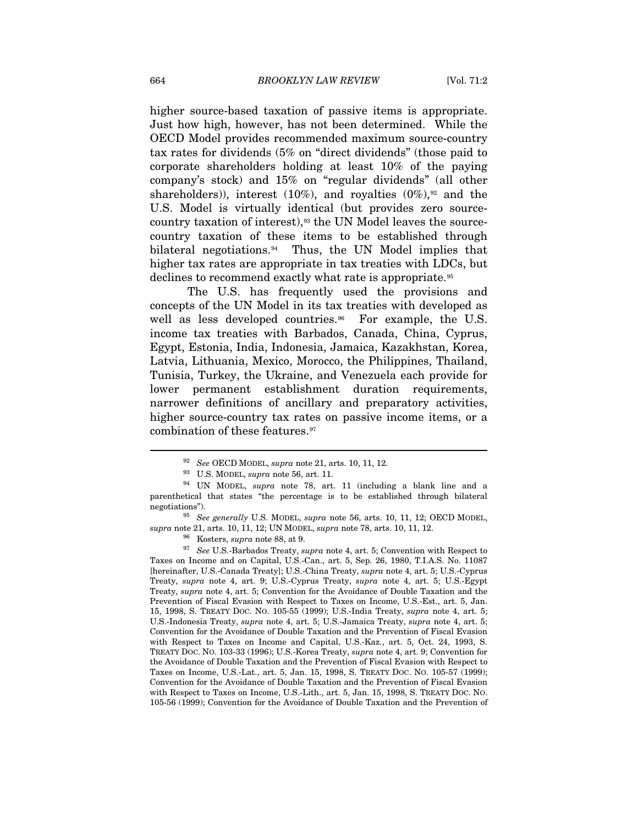higher source-based taxation of passive items is appropriate. Just how high, however, has not been determined. While the OECD Model provides recommended maximum source-country tax rates for dividends (5% on "direct dividends" (those paid to corporate shareholders holding at least 10% of the paying company's stock) and 15% on "regular dividends" (all other shareholders)), interest (10%), and royalties  $(0\%)$ ,<sup>[9](#page-26-0)2</sup> and the U.S. Model is virtually identical (but provides zero sourcecountry taxation of interest),[93](#page-26-1) the UN Model leaves the sourcecountry taxation of these items to be established through bilateral negotiations.[94](#page-26-2) Thus, the UN Model implies that higher tax rates are appropriate in tax treaties with LDCs, but declines to recommend exactly what rate is appropriate.<sup>[9](#page-26-3)5</sup>

The U.S. has frequently used the provisions and concepts of the UN Model in its tax treaties with developed as well as less developed countries.<sup>[96](#page-26-4)</sup> For example, the U.S. income tax treaties with Barbados, Canada, China, Cyprus, Egypt, Estonia, India, Indonesia, Jamaica, Kazakhstan, Korea, Latvia, Lithuania, Mexico, Morocco, the Philippines, Thailand, Tunisia, Turkey, the Ukraine, and Venezuela each provide for lower permanent establishment duration requirements, narrower definitions of ancillary and preparatory activities, higher source-country tax rates on passive income items, or a combination of these features.<sup>[9](#page-26-5)7</sup>

<span id="page-26-5"></span><span id="page-26-4"></span>Taxes on Income and on Capital, U.S.-Can., art. 5, Sep. 26, 1980, T.I.A.S. No. 11087 [hereinafter, U.S.-Canada Treaty]; U.S.-China Treaty, *supra* note 4, art. 5; U.S.-Cyprus Treaty, *supra* note 4, art. 9; U.S.-Cyprus Treaty, *supra* note 4, art. 5; U.S.-Egypt Treaty, *supra* note 4, art. 5; Convention for the Avoidance of Double Taxation and the Prevention of Fiscal Evasion with Respect to Taxes on Income, U.S.-Est., art. 5, Jan. 15, 1998, S. TREATY DOC. NO. 105-55 (1999); U.S.-India Treaty, *supra* note 4, art. 5; U.S.-Indonesia Treaty, *supra* note 4, art. 5; U.S.-Jamaica Treaty, *supra* note 4, art. 5; Convention for the Avoidance of Double Taxation and the Prevention of Fiscal Evasion with Respect to Taxes on Income and Capital, U.S.-Kaz., art. 5, Oct. 24, 1993, S. TREATY DOC. NO. 103-33 (1996); U.S.-Korea Treaty, *supra* note 4, art. 9; Convention for the Avoidance of Double Taxation and the Prevention of Fiscal Evasion with Respect to Taxes on Income, U.S.-Lat., art. 5, Jan. 15, 1998, S. TREATY DOC. NO. 105-57 (1999); Convention for the Avoidance of Double Taxation and the Prevention of Fiscal Evasion with Respect to Taxes on Income, U.S.-Lith., art. 5, Jan. 15, 1998, S. TREATY DOC. NO. 105-56 (1999); Convention for the Avoidance of Double Taxation and the Prevention of

<span id="page-26-2"></span><span id="page-26-1"></span><span id="page-26-0"></span><sup>92</sup> *See* OECD MODEL, *supra* note 21, arts. 10, 11, 12. 93 U.S. MODEL, *supra* note 56, art. 11. 94 UN MODEL, *supra* note 78, art. 11 (including a blank line and a parenthetical that states "the percentage is to be established through bilateral negotiations"). 95 *See generally* U.S. MODEL, *supra* note 56, arts. 10, 11, 12; OECD MODEL,

<span id="page-26-3"></span>*supra* note 21, arts. 10, 11, 12; UN MODEL, *supra* note 78, arts. 10, 11, 12.<br><sup>96</sup> Kosters, *supra* note 88, at 9.<br><sup>97</sup> *See* U.S.-Barbados Treaty, *supra* note 4, art. 5; Convention with Respect to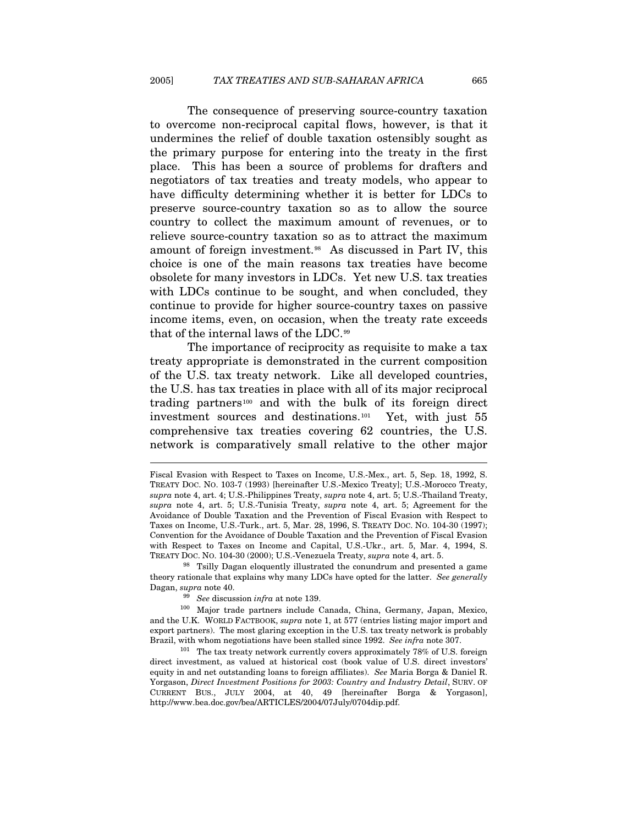The consequence of preserving source-country taxation to overcome non-reciprocal capital flows, however, is that it undermines the relief of double taxation ostensibly sought as the primary purpose for entering into the treaty in the first place. This has been a source of problems for drafters and negotiators of tax treaties and treaty models, who appear to have difficulty determining whether it is better for LDCs to preserve source-country taxation so as to allow the source country to collect the maximum amount of revenues, or to relieve source-country taxation so as to attract the maximum amount of foreign investment.[98](#page-27-0) As discussed in Part IV, this choice is one of the main reasons tax treaties have become obsolete for many investors in LDCs. Yet new U.S. tax treaties with LDCs continue to be sought, and when concluded, they continue to provide for higher source-country taxes on passive income items, even, on occasion, when the treaty rate exceeds that of the internal laws of the LDC.[99](#page-27-1)

The importance of reciprocity as requisite to make a tax treaty appropriate is demonstrated in the current composition of the U.S. tax treaty network. Like all developed countries, the U.S. has tax treaties in place with all of its major reciprocal trading partners[1](#page-27-2)00 and with the bulk of its foreign direct investment sources and destinations[.10](#page-27-3)1 Yet, with just 55 comprehensive tax treaties covering 62 countries, the U.S. network is comparatively small relative to the other major

<span id="page-27-0"></span><sup>98</sup> Tsilly Dagan eloquently illustrated the conundrum and presented a game theory rationale that explains why many LDCs have opted for the latter. *See generally* 

Fiscal Evasion with Respect to Taxes on Income, U.S.-Mex., art. 5, Sep. 18, 1992, S. TREATY DOC. NO. 103-7 (1993) [hereinafter U.S.-Mexico Treaty]; U.S.-Morocco Treaty, *supra* note 4, art. 4; U.S.-Philippines Treaty, *supra* note 4, art. 5; U.S.-Thailand Treaty, *supra* note 4, art. 5; U.S.-Tunisia Treaty, *supra* note 4, art. 5; Agreement for the Avoidance of Double Taxation and the Prevention of Fiscal Evasion with Respect to Taxes on Income, U.S.-Turk., art. 5, Mar. 28, 1996, S. TREATY DOC. NO. 104-30 (1997); Convention for the Avoidance of Double Taxation and the Prevention of Fiscal Evasion with Respect to Taxes on Income and Capital, U.S.-Ukr., art. 5, Mar. 4, 1994, S. TREATY DOC. NO. 104-30 (2000); U.S.-Venezuela Treaty, *supra* note 4, art. 5.

<span id="page-27-2"></span><span id="page-27-1"></span>Dagan, *supra* note 40. 99 *See* discussion *infra* at note 139. 100 Major trade partners include Canada, China, Germany, Japan, Mexico, and the U.K. WORLD FACTBOOK, *supra* note 1, at 577 (entries listing major import and export partners). The most glaring exception in the U.S. tax treaty network is probably Brazil, with whom negotiations have been stalled since 1992. *See infra* note 307.<br><sup>101</sup> The tax treaty network currently covers approximately 78% of U.S. foreign

<span id="page-27-3"></span>direct investment, as valued at historical cost (book value of U.S. direct investors' equity in and net outstanding loans to foreign affiliates). *See* Maria Borga & Daniel R. Yorgason, *Direct Investment Positions for 2003: Country and Industry Detail*, SURV. OF CURRENT BUS., JULY 2004, at 40, 49 [hereinafter Borga & Yorgason], http://www.bea.doc.gov/bea/ARTICLES/2004/07July/0704dip.pdf.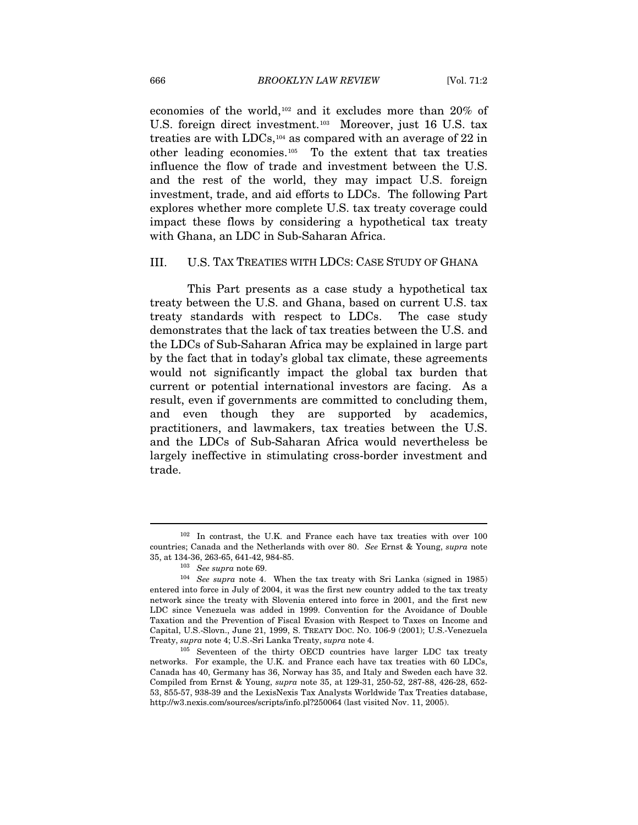economies of the world,[1](#page-28-0)02 and it excludes more than 20% of U.S. foreign direct investment.<sup>[1](#page-28-1)03</sup> Moreover, just 16 U.S. tax treaties are with LDCs,  $104$  $104$  as compared with an average of 22 in other leading economies.[1](#page-28-3)05 To the extent that tax treaties influence the flow of trade and investment between the U.S. and the rest of the world, they may impact U.S. foreign investment, trade, and aid efforts to LDCs. The following Part explores whether more complete U.S. tax treaty coverage could impact these flows by considering a hypothetical tax treaty with Ghana, an LDC in Sub-Saharan Africa.

#### III. U.S. TAX TREATIES WITH LDCS: CASE STUDY OF GHANA

This Part presents as a case study a hypothetical tax treaty between the U.S. and Ghana, based on current U.S. tax treaty standards with respect to LDCs. The case study demonstrates that the lack of tax treaties between the U.S. and the LDCs of Sub-Saharan Africa may be explained in large part by the fact that in today's global tax climate, these agreements would not significantly impact the global tax burden that current or potential international investors are facing. As a result, even if governments are committed to concluding them, and even though they are supported by academics, practitioners, and lawmakers, tax treaties between the U.S. and the LDCs of Sub-Saharan Africa would nevertheless be largely ineffective in stimulating cross-border investment and trade.

<span id="page-28-0"></span><sup>102</sup> In contrast, the U.K. and France each have tax treaties with over 100 countries; Canada and the Netherlands with over 80. *See* Ernst & Young, *supra* note 35, at 134-36, 263-65, 641-42, 984-85. 103 *See supra* note 69. 104 *See supra* note 4. When the tax treaty with Sri Lanka (signed in 1985)

<span id="page-28-2"></span><span id="page-28-1"></span>entered into force in July of 2004, it was the first new country added to the tax treaty network since the treaty with Slovenia entered into force in 2001, and the first new LDC since Venezuela was added in 1999. Convention for the Avoidance of Double Taxation and the Prevention of Fiscal Evasion with Respect to Taxes on Income and Capital, U.S.-Slovn., June 21, 1999, S. TREATY DOC. NO. 106-9 (2001); U.S.-Venezuela Treaty, *supra* note 4; U.S.-Sri Lanka Treaty, *supra* note 4. 105 Seventeen of the thirty OECD countries have larger LDC tax treaty

<span id="page-28-3"></span>networks. For example, the U.K. and France each have tax treaties with 60 LDCs, Canada has 40, Germany has 36, Norway has 35, and Italy and Sweden each have 32. Compiled from Ernst & Young, *supra* note 35, at 129-31, 250-52, 287-88, 426-28, 652- 53, 855-57, 938-39 and the LexisNexis Tax Analysts Worldwide Tax Treaties database, http://w3.nexis.com/sources/scripts/info.pl?250064 (last visited Nov. 11, 2005).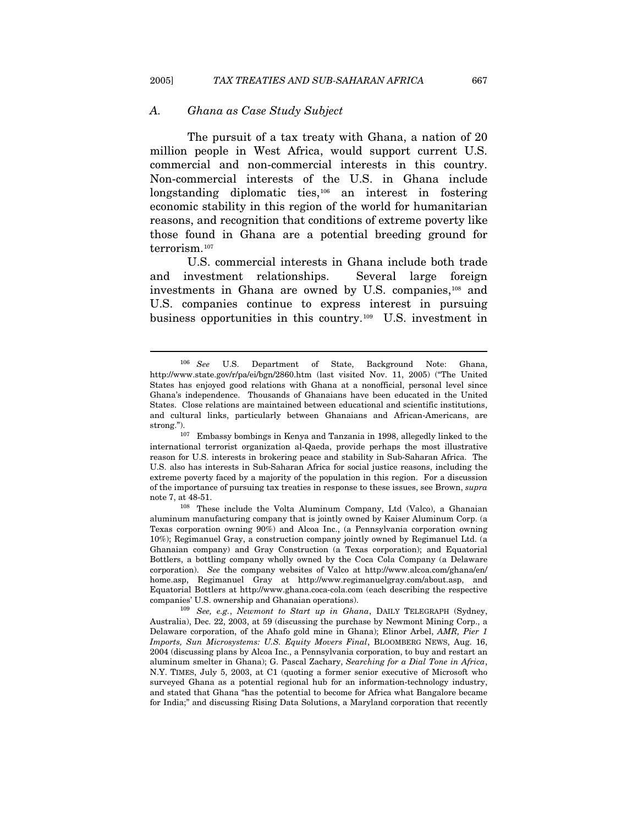#### *A. Ghana as Case Study Subject*

 $\overline{a}$ 

The pursuit of a tax treaty with Ghana, a nation of 20 million people in West Africa, would support current U.S. commercial and non-commercial interests in this country. Non-commercial interests of the U.S. in Ghana include longstanding diplomatic ties,<sup>[10](#page-29-0)6</sup> an interest in fostering economic stability in this region of the world for humanitarian reasons, and recognition that conditions of extreme poverty like those found in Ghana are a potential breeding ground for terrorism.<sup>[10](#page-29-1)7</sup>

U.S. commercial interests in Ghana include both trade and investment relationships. Several large foreign investments in Ghana are owned by U.S. companies,[10](#page-29-2)8 and U.S. companies continue to express interest in pursuing business opportunities in this country.[10](#page-29-3)9 U.S. investment in

<span id="page-29-0"></span><sup>106</sup> *See* U.S. Department of State, Background Note: Ghana, http://www.state.gov/r/pa/ei/bgn/2860.htm (last visited Nov. 11, 2005) ("The United States has enjoyed good relations with Ghana at a nonofficial, personal level since Ghana's independence. Thousands of Ghanaians have been educated in the United States. Close relations are maintained between educational and scientific institutions, and cultural links, particularly between Ghanaians and African-Americans, are

<span id="page-29-1"></span>strong."). 107 Embassy bombings in Kenya and Tanzania in 1998, allegedly linked to the international terrorist organization al-Qaeda, provide perhaps the most illustrative reason for U.S. interests in brokering peace and stability in Sub-Saharan Africa. The U.S. also has interests in Sub-Saharan Africa for social justice reasons, including the extreme poverty faced by a majority of the population in this region. For a discussion of the importance of pursuing tax treaties in response to these issues, see Brown, *supra* note 7, at 48-51.<br><sup>108</sup> These include the Volta Aluminum Company, Ltd (Valco), a Ghanaian

<span id="page-29-2"></span>aluminum manufacturing company that is jointly owned by Kaiser Aluminum Corp. (a Texas corporation owning 90%) and Alcoa Inc., (a Pennsylvania corporation owning 10%); Regimanuel Gray, a construction company jointly owned by Regimanuel Ltd. (a Ghanaian company) and Gray Construction (a Texas corporation); and Equatorial Bottlers, a bottling company wholly owned by the Coca Cola Company (a Delaware corporation). *See* the company websites of Valco at http://www.alcoa.com/ghana/en/ home.asp, Regimanuel Gray at http://www.regimanuelgray.com/about.asp, and Equatorial Bottlers at http://www.ghana.coca-cola.com (each describing the respective companies' U.S. ownership and Ghanaian operations). 109 *See, e.g.*, *Newmont to Start up in Ghana*, DAILY TELEGRAPH (Sydney,

<span id="page-29-3"></span>Australia), Dec. 22, 2003, at 59 (discussing the purchase by Newmont Mining Corp., a Delaware corporation, of the Ahafo gold mine in Ghana); Elinor Arbel, *AMR, Pier 1 Imports, Sun Microsystems: U.S. Equity Movers Final*, BLOOMBERG NEWS, Aug. 16, 2004 (discussing plans by Alcoa Inc., a Pennsylvania corporation, to buy and restart an aluminum smelter in Ghana); G. Pascal Zachary, *Searching for a Dial Tone in Africa*, N.Y. TIMES, July 5, 2003, at C1 (quoting a former senior executive of Microsoft who surveyed Ghana as a potential regional hub for an information-technology industry, and stated that Ghana "has the potential to become for Africa what Bangalore became for India;" and discussing Rising Data Solutions, a Maryland corporation that recently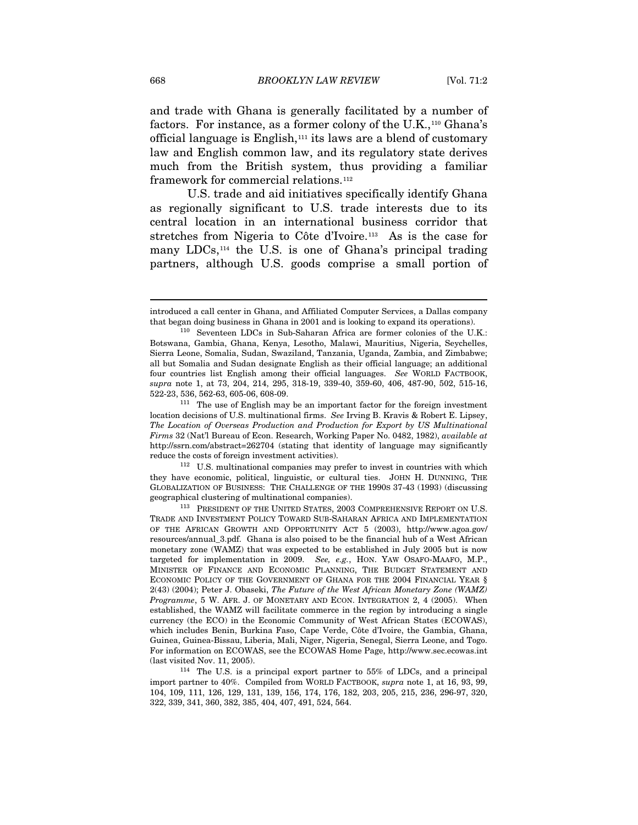and trade with Ghana is generally facilitated by a number of factors. For instance, as a former colony of the U.K.,<sup>[1](#page-30-0)10</sup> Ghana's official language is English, $111$  $111$  its laws are a blend of customary law and English common law, and its regulatory state derives much from the British system, thus providing a familiar framework for commercial relations.[1](#page-30-2)12

U.S. trade and aid initiatives specifically identify Ghana as regionally significant to U.S. trade interests due to its central location in an international business corridor that stretches from Nigeria to Côte d'Ivoire.[11](#page-30-3)3 As is the case for many  $LDCs$ ,<sup>[1](#page-30-4)14</sup> the U.S. is one of Ghana's principal trading partners, although U.S. goods comprise a small portion of

<span id="page-30-1"></span> $111$  The use of English may be an important factor for the foreign investment location decisions of U.S. multinational firms. *See* Irving B. Kravis & Robert E. Lipsey, *The Location of Overseas Production and Production for Export by US Multinational Firms* 32 (Nat'l Bureau of Econ. Research, Working Paper No. 0482, 1982), *available at* http://ssrn.com/abstract=262704 (stating that identity of language may significantly

<span id="page-30-2"></span>reduce the costs of foreign investment activities).<br><sup>112</sup> U.S. multinational companies may prefer to invest in countries with which they have economic, political, linguistic, or cultural ties. JOHN H. DUNNING, THE GLOBALIZATION OF BUSINESS: THE CHALLENGE OF THE 1990S 37-43 (1993) (discussing geographical clustering of multinational companies). 113 PRESIDENT OF THE UNITED STATES, 2003 COMPREHENSIVE REPORT ON U.S.

<span id="page-30-3"></span>TRADE AND INVESTMENT POLICY TOWARD SUB-SAHARAN AFRICA AND IMPLEMENTATION OF THE AFRICAN GROWTH AND OPPORTUNITY ACT 5 (2003), http://www.agoa.gov/ resources/annual\_3.pdf. Ghana is also poised to be the financial hub of a West African monetary zone (WAMZ) that was expected to be established in July 2005 but is now targeted for implementation in 2009. *See, e.g.*, HON. YAW OSAFO-MAAFO, M.P., MINISTER OF FINANCE AND ECONOMIC PLANNING, THE BUDGET STATEMENT AND ECONOMIC POLICY OF THE GOVERNMENT OF GHANA FOR THE 2004 FINANCIAL YEAR § 2(43) (2004); Peter J. Obaseki, *The Future of the West African Monetary Zone (WAMZ) Programme*, 5 W. AFR. J. OF MONETARY AND ECON. INTEGRATION 2, 4 (2005). When established, the WAMZ will facilitate commerce in the region by introducing a single currency (the ECO) in the Economic Community of West African States (ECOWAS), which includes Benin, Burkina Faso, Cape Verde, Côte d'Ivoire, the Gambia, Ghana, Guinea, Guinea-Bissau, Liberia, Mali, Niger, Nigeria, Senegal, Sierra Leone, and Togo. For information on ECOWAS, see the ECOWAS Home Page, http://www.sec.ecowas.int (last visited Nov. 11, 2005).  $114$  The U.S. is a principal export partner to 55% of LDCs, and a principal

<span id="page-30-4"></span>import partner to 40%. Compiled from WORLD FACTBOOK, *supra* note 1, at 16, 93, 99, 104, 109, 111, 126, 129, 131, 139, 156, 174, 176, 182, 203, 205, 215, 236, 296-97, 320, 322, 339, 341, 360, 382, 385, 404, 407, 491, 524, 564.

introduced a call center in Ghana, and Affiliated Computer Services, a Dallas company that began doing business in Ghana in 2001 and is looking to expand its operations). 110 Seventeen LDCs in Sub-Saharan Africa are former colonies of the U.K.:

<span id="page-30-0"></span>Botswana, Gambia, Ghana, Kenya, Lesotho, Malawi, Mauritius, Nigeria, Seychelles, Sierra Leone, Somalia, Sudan, Swaziland, Tanzania, Uganda, Zambia, and Zimbabwe; all but Somalia and Sudan designate English as their official language; an additional four countries list English among their official languages. *See* WORLD FACTBOOK, *supra* note 1, at 73, 204, 214, 295, 318-19, 339-40, 359-60, 406, 487-90, 502, 515-16,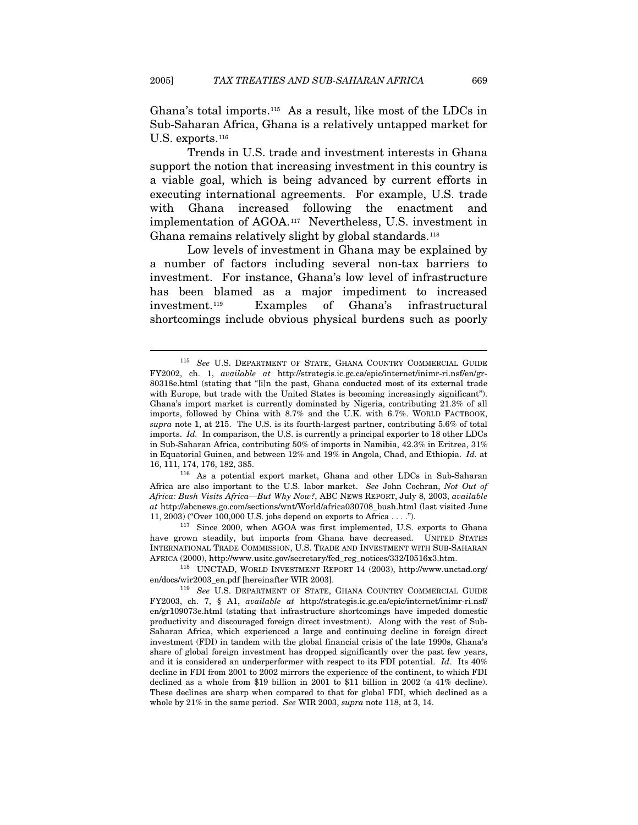Ghana's total imports.[11](#page-31-0)5 As a result, like most of the LDCs in Sub-Saharan Africa, Ghana is a relatively untapped market for U.S. exports.<sup>[1](#page-31-1)16</sup>

Trends in U.S. trade and investment interests in Ghana support the notion that increasing investment in this country is a viable goal, which is being advanced by current efforts in executing international agreements. For example, U.S. trade with Ghana increased following the enactment and implementation of AGOA.[11](#page-31-2)7 Nevertheless, U.S. investment in Ghana remains relatively slight by global standards.<sup>[11](#page-31-3)8</sup>

Low levels of investment in Ghana may be explained by a number of factors including several non-tax barriers to investment. For instance, Ghana's low level of infrastructure has been blamed as a major impediment to increased investment.[11](#page-31-4)9 Examples of Ghana's infrastructural shortcomings include obvious physical burdens such as poorly

 $\overline{a}$ 

<span id="page-31-2"></span>have grown steadily, but imports from Ghana have decreased. UNITED STATES INTERNATIONAL TRADE COMMISSION, U.S. TRADE AND INVESTMENT WITH SUB-SAHARAN AFRICA (2000), http://www.usitc.gov/secretary/fed\_reg\_notices/332/I0516x3.htm. 118 UNCTAD, WORLD INVESTMENT REPORT 14 (2003), http://www.unctad.org/

<span id="page-31-0"></span><sup>115</sup> *See* U.S. DEPARTMENT OF STATE, GHANA COUNTRY COMMERCIAL GUIDE FY2002, ch. 1, *available at* http://strategis.ic.gc.ca/epic/internet/inimr-ri.nsf/en/gr-80318e.html (stating that "[i]n the past, Ghana conducted most of its external trade with Europe, but trade with the United States is becoming increasingly significant"). Ghana's import market is currently dominated by Nigeria, contributing 21.3% of all imports, followed by China with 8.7% and the U.K. with 6.7%. WORLD FACTBOOK, *supra* note 1, at 215. The U.S. is its fourth-largest partner, contributing 5.6% of total imports. *Id.* In comparison, the U.S. is currently a principal exporter to 18 other LDCs in Sub-Saharan Africa, contributing 50% of imports in Namibia, 42.3% in Eritrea, 31% in Equatorial Guinea, and between 12% and 19% in Angola, Chad, and Ethiopia. *Id.* at 16, 111, 174, 176, 182, 385.<br><sup>116</sup> As a potential export market, Ghana and other LDCs in Sub-Saharan

<span id="page-31-1"></span>Africa are also important to the U.S. labor market. *See* John Cochran, *Not Out of Africa: Bush Visits Africa—But Why Now?*, ABC NEWS REPORT, July 8, 2003, *available at* http://abcnews.go.com/sections/wnt/World/africa030708\_bush.html (last visited June 11, 2003) ("Over 100,000 U.S. jobs depend on exports to Africa . . . .").<br><sup>117</sup> Since 2000, when AGOA was first implemented, U.S. exports to Ghana

<span id="page-31-3"></span>en/docs/wir2003\_en.pdf [hereinafter WIR 2003]. 119 *See* U.S. DEPARTMENT OF STATE, GHANA COUNTRY COMMERCIAL GUIDE

<span id="page-31-4"></span>FY2003, ch. 7, § A1, *available at* http://strategis.ic.gc.ca/epic/internet/inimr-ri.nsf/ en/gr109073e.html (stating that infrastructure shortcomings have impeded domestic productivity and discouraged foreign direct investment). Along with the rest of Sub-Saharan Africa, which experienced a large and continuing decline in foreign direct investment (FDI) in tandem with the global financial crisis of the late 1990s, Ghana's share of global foreign investment has dropped significantly over the past few years, and it is considered an underperformer with respect to its FDI potential. *Id*. Its 40% decline in FDI from 2001 to 2002 mirrors the experience of the continent, to which FDI declined as a whole from \$19 billion in 2001 to \$11 billion in 2002 (a 41% decline). These declines are sharp when compared to that for global FDI, which declined as a whole by 21% in the same period. *See* WIR 2003, *supra* note 118, at 3, 14.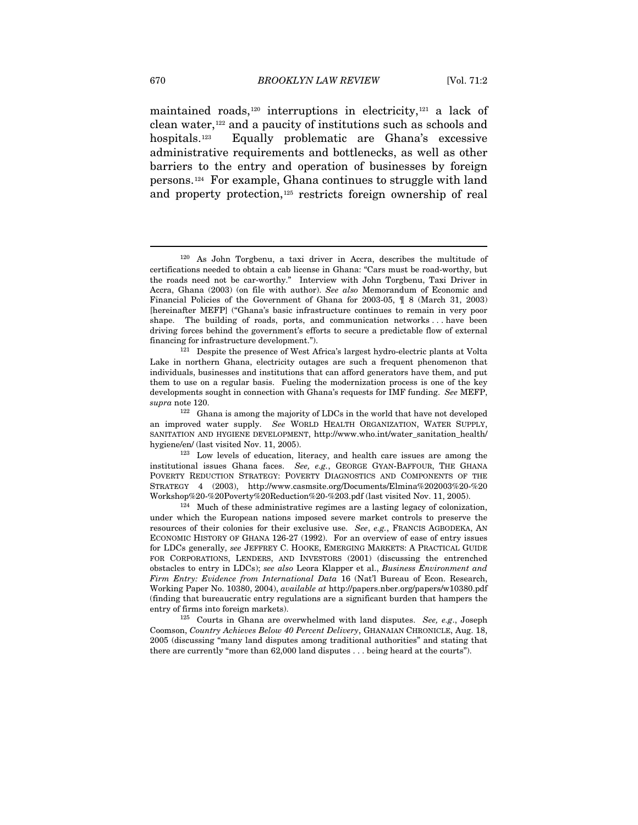maintained roads,<sup>[12](#page-32-0)0</sup> interruptions in electricity,<sup>[1](#page-32-1)21</sup> a lack of clean water,[12](#page-32-2)2 and a paucity of institutions such as schools and hospitals.<sup>[12](#page-32-3)3</sup> Equally problematic are Ghana's excessive administrative requirements and bottlenecks, as well as other barriers to the entry and operation of businesses by foreign persons.[12](#page-32-4)4 For example, Ghana continues to struggle with land and property protection,<sup>[1](#page-32-5)25</sup> restricts foreign ownership of real

<span id="page-32-0"></span><sup>120</sup> As John Torgbenu, a taxi driver in Accra, describes the multitude of certifications needed to obtain a cab license in Ghana: "Cars must be road-worthy, but the roads need not be car-worthy." Interview with John Torgbenu, Taxi Driver in Accra, Ghana (2003) (on file with author). *See also* Memorandum of Economic and Financial Policies of the Government of Ghana for 2003-05, ¶ 8 (March 31, 2003) [hereinafter MEFP] ("Ghana's basic infrastructure continues to remain in very poor shape. The building of roads, ports, and communication networks . . . have been driving forces behind the government's efforts to secure a predictable flow of external

<span id="page-32-1"></span>financing for infrastructure development.").<br><sup>121</sup> Despite the presence of West Africa's largest hydro-electric plants at Volta Lake in northern Ghana, electricity outages are such a frequent phenomenon that individuals, businesses and institutions that can afford generators have them, and put them to use on a regular basis. Fueling the modernization process is one of the key developments sought in connection with Ghana's requests for IMF funding. *See* MEFP,

<span id="page-32-2"></span>*supra* note 120.<br><sup>122</sup> Ghana is among the majority of LDCs in the world that have not developed an improved water supply. *See* WORLD HEALTH ORGANIZATION, WATER SUPPLY, SANITATION AND HYGIENE DEVELOPMENT, http://www.who.int/water\_sanitation\_health/

<span id="page-32-3"></span>hygiene/en/ (last visited Nov. 11, 2005). 123 Low levels of education, literacy, and health care issues are among the institutional issues Ghana faces. *See, e.g.*, GEORGE GYAN-BAFFOUR, THE GHANA POVERTY REDUCTION STRATEGY: POVERTY DIAGNOSTICS AND COMPONENTS OF THE STRATEGY 4 (2003), http://www.casmsite.org/Documents/Elmina%202003%20-%20 Workshop%20-%20Poverty%20Reduction%20-%203.pdf (last visited Nov. 11, 2005). 124 Much of these administrative regimes are a lasting legacy of colonization,

<span id="page-32-4"></span>under which the European nations imposed severe market controls to preserve the resources of their colonies for their exclusive use. *See*, *e.g.*, FRANCIS AGBODEKA, AN ECONOMIC HISTORY OF GHANA 126-27 (1992). For an overview of ease of entry issues for LDCs generally, *see* JEFFREY C. HOOKE, EMERGING MARKETS: A PRACTICAL GUIDE FOR CORPORATIONS, LENDERS, AND INVESTORS (2001) (discussing the entrenched obstacles to entry in LDCs); *see also* Leora Klapper et al., *Business Environment and Firm Entry: Evidence from International Data* 16 (Nat'l Bureau of Econ. Research, Working Paper No. 10380, 2004), *available at* http://papers.nber.org/papers/w10380.pdf (finding that bureaucratic entry regulations are a significant burden that hampers the

<span id="page-32-5"></span>entry of firms into foreign markets). 125 Courts in Ghana are overwhelmed with land disputes. *See, e.g*., Joseph Coomson, *Country Achieves Below 40 Percent Delivery*, GHANAIAN CHRONICLE, Aug. 18, 2005 (discussing "many land disputes among traditional authorities" and stating that there are currently "more than 62,000 land disputes . . . being heard at the courts").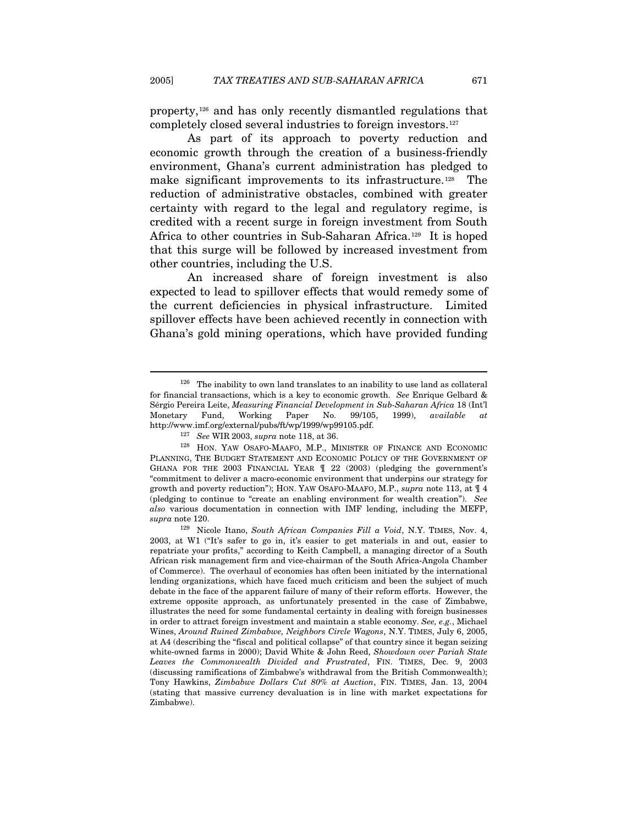property,[1](#page-33-0)26 and has only recently dismantled regulations that completely closed several industries to foreign investors.[1](#page-33-1)27

As part of its approach to poverty reduction and economic growth through the creation of a business-friendly environment, Ghana's current administration has pledged to make significant improvements to its infrastructure.<sup>[1](#page-33-2)28</sup> The reduction of administrative obstacles, combined with greater certainty with regard to the legal and regulatory regime, is credited with a recent surge in foreign investment from South Africa to other countries in Sub-Saharan Africa.<sup>[12](#page-33-3)9</sup> It is hoped that this surge will be followed by increased investment from other countries, including the U.S.

An increased share of foreign investment is also expected to lead to spillover effects that would remedy some of the current deficiencies in physical infrastructure. Limited spillover effects have been achieved recently in connection with Ghana's gold mining operations, which have provided funding

<span id="page-33-0"></span> $126$  The inability to own land translates to an inability to use land as collateral for financial transactions, which is a key to economic growth. *See* Enrique Gelbard & Sérgio Pereira Leite, *Measuring Financial Development in Sub-Saharan Africa* 18 (Int'l Monetary Fund, Working Paper No. 99/105, 1999), *available at*

<span id="page-33-2"></span><span id="page-33-1"></span>http://www.imf.org/external/pubs/ft/wp/1999/wp99105.pdf. 127 *See* WIR 2003, *supra* note 118, at 36. 128 HON. YAW OSAFO-MAAFO, M.P., MINISTER OF FINANCE AND ECONOMIC PLANNING, THE BUDGET STATEMENT AND ECONOMIC POLICY OF THE GOVERNMENT OF GHANA FOR THE 2003 FINANCIAL YEAR ¶ 22 (2003) (pledging the government's "commitment to deliver a macro-economic environment that underpins our strategy for growth and poverty reduction"); HON. YAW OSAFO-MAAFO, M.P., *supra* note 113, at ¶ 4 (pledging to continue to "create an enabling environment for wealth creation"). *See also* various documentation in connection with IMF lending, including the MEFP,

<span id="page-33-3"></span>*supra* note 120. 129 Nicole Itano, *South African Companies Fill a Void*, N.Y. TIMES, Nov. 4, 2003, at W1 ("It's safer to go in, it's easier to get materials in and out, easier to repatriate your profits," according to Keith Campbell, a managing director of a South African risk management firm and vice-chairman of the South Africa-Angola Chamber of Commerce). The overhaul of economies has often been initiated by the international lending organizations, which have faced much criticism and been the subject of much debate in the face of the apparent failure of many of their reform efforts. However, the extreme opposite approach, as unfortunately presented in the case of Zimbabwe, illustrates the need for some fundamental certainty in dealing with foreign businesses in order to attract foreign investment and maintain a stable economy. *See, e.g.*, Michael Wines, *Around Ruined Zimbabwe, Neighbors Circle Wagons*, N.Y. TIMES, July 6, 2005, at A4 (describing the "fiscal and political collapse" of that country since it began seizing white-owned farms in 2000); David White & John Reed, *Showdown over Pariah State Leaves the Commonwealth Divided and Frustrated*, FIN. TIMES, Dec. 9, 2003 (discussing ramifications of Zimbabwe's withdrawal from the British Commonwealth); Tony Hawkins, *Zimbabwe Dollars Cut 80% at Auction*, FIN. TIMES, Jan. 13, 2004 (stating that massive currency devaluation is in line with market expectations for Zimbabwe).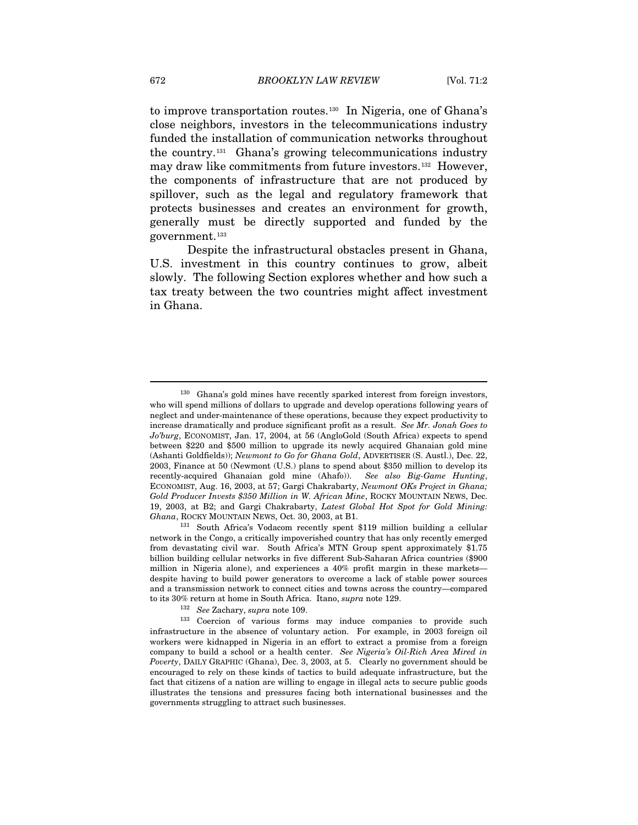to improve transportation routes.[13](#page-34-0)0 In Nigeria, one of Ghana's close neighbors, investors in the telecommunications industry funded the installation of communication networks throughout the country.[13](#page-34-1)1 Ghana's growing telecommunications industry may draw like commitments from future investors.[1](#page-34-2)32 However, the components of infrastructure that are not produced by spillover, such as the legal and regulatory framework that protects businesses and creates an environment for growth, generally must be directly supported and funded by the government.[1](#page-34-3)33

Despite the infrastructural obstacles present in Ghana, U.S. investment in this country continues to grow, albeit slowly. The following Section explores whether and how such a tax treaty between the two countries might affect investment in Ghana.

<span id="page-34-0"></span><sup>130</sup> Ghana's gold mines have recently sparked interest from foreign investors, who will spend millions of dollars to upgrade and develop operations following years of neglect and under-maintenance of these operations, because they expect productivity to increase dramatically and produce significant profit as a result. *See Mr. Jonah Goes to Jo'burg*, ECONOMIST, Jan. 17, 2004, at 56 (AngloGold (South Africa) expects to spend between \$220 and \$500 million to upgrade its newly acquired Ghanaian gold mine (Ashanti Goldfields)); *Newmont to Go for Ghana Gold*, ADVERTISER (S. Austl.), Dec. 22, 2003, Finance at 50 (Newmont (U.S.) plans to spend about \$350 million to develop its recently-acquired Ghanaian gold mine (Ahafo)). *See also Big-Game Hunting*, ECONOMIST, Aug. 16, 2003, at 57; Gargi Chakrabarty, *Newmont OKs Project in Ghana; Gold Producer Invests \$350 Million in W. African Mine*, ROCKY MOUNTAIN NEWS, Dec. 19, 2003, at B2; and Gargi Chakrabarty, *Latest Global Hot Spot for Gold Mining: Ghana*, ROCKY MOUNTAIN NEWS, Oct. 30, 2003, at B1.<br><sup>131</sup> South Africa's Vodacom recently spent \$119 million building a cellular

<span id="page-34-1"></span>network in the Congo, a critically impoverished country that has only recently emerged from devastating civil war. South Africa's MTN Group spent approximately \$1.75 billion building cellular networks in five different Sub-Saharan Africa countries (\$900 million in Nigeria alone), and experiences a 40% profit margin in these markets despite having to build power generators to overcome a lack of stable power sources and a transmission network to connect cities and towns across the country—compared

<span id="page-34-3"></span><span id="page-34-2"></span>to its 30% return at home in South Africa. Itano, *supra* note 129.<br><sup>132</sup> *See Zachary, supra* note 109.<br><sup>133</sup> Coercion of various forms may induce companies to provide such infrastructure in the absence of voluntary action. For example, in 2003 foreign oil workers were kidnapped in Nigeria in an effort to extract a promise from a foreign company to build a school or a health center. *See Nigeria's Oil-Rich Area Mired in Poverty*, DAILY GRAPHIC (Ghana), Dec. 3, 2003, at 5. Clearly no government should be encouraged to rely on these kinds of tactics to build adequate infrastructure, but the fact that citizens of a nation are willing to engage in illegal acts to secure public goods illustrates the tensions and pressures facing both international businesses and the governments struggling to attract such businesses.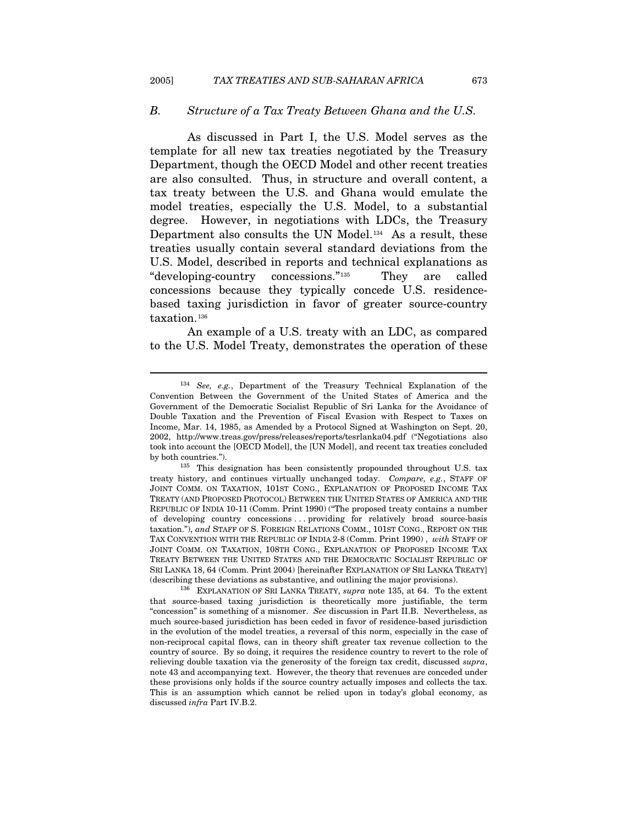As discussed in Part I, the U.S. Model serves as the template for all new tax treaties negotiated by the Treasury Department, though the OECD Model and other recent treaties are also consulted. Thus, in structure and overall content, a tax treaty between the U.S. and Ghana would emulate the model treaties, especially the U.S. Model, to a substantial degree. However, in negotiations with LDCs, the Treasury Department also consults the UN Model.[1](#page-35-0)34 As a result, these treaties usually contain several standard deviations from the U.S. Model, described in reports and technical explanations as "developing-country concessions."[13](#page-35-1)5 They are called concessions because they typically concede U.S. residencebased taxing jurisdiction in favor of greater source-country taxation.[1](#page-35-2)36

An example of a U.S. treaty with an LDC, as compared to the U.S. Model Treaty, demonstrates the operation of these

<span id="page-35-0"></span><sup>134</sup> *See, e.g.*, Department of the Treasury Technical Explanation of the Convention Between the Government of the United States of America and the Government of the Democratic Socialist Republic of Sri Lanka for the Avoidance of Double Taxation and the Prevention of Fiscal Evasion with Respect to Taxes on Income, Mar. 14, 1985, as Amended by a Protocol Signed at Washington on Sept. 20, 2002, http://www.treas.gov/press/releases/reports/tesrlanka04.pdf ("Negotiations also took into account the [OECD Model], the [UN Model], and recent tax treaties concluded

<span id="page-35-1"></span> $135$  This designation has been consistently propounded throughout U.S. tax treaty history, and continues virtually unchanged today. *Compare, e.g.*, STAFF OF JOINT COMM. ON TAXATION, 101ST CONG., EXPLANATION OF PROPOSED INCOME TAX TREATY (AND PROPOSED PROTOCOL) BETWEEN THE UNITED STATES OF AMERICA AND THE REPUBLIC OF INDIA 10-11 (Comm. Print 1990) ("The proposed treaty contains a number of developing country concessions . . . providing for relatively broad source-basis taxation."), *and* STAFF OF S. FOREIGN RELATIONS COMM., 101ST CONG., REPORT ON THE TAX CONVENTION WITH THE REPUBLIC OF INDIA 2-8 (Comm. Print 1990) , *with* STAFF OF JOINT COMM. ON TAXATION, 108TH CONG., EXPLANATION OF PROPOSED INCOME TAX TREATY BETWEEN THE UNITED STATES AND THE DEMOCRATIC SOCIALIST REPUBLIC OF SRI LANKA 18, 64 (Comm. Print 2004) [hereinafter EXPLANATION OF SRI LANKA TREATY]

<span id="page-35-2"></span><sup>(</sup>describing these deviations as substantive, and outlining the major provisions). 136 EXPLANATION OF SRI LANKA TREATY, *supra* note 135, at 64. To the extent that source-based taxing jurisdiction is theoretically more justifiable, the term "concession" is something of a misnomer. *See* discussion in Part II.B. Nevertheless, as much source-based jurisdiction has been ceded in favor of residence-based jurisdiction in the evolution of the model treaties, a reversal of this norm, especially in the case of non-reciprocal capital flows, can in theory shift greater tax revenue collection to the country of source. By so doing, it requires the residence country to revert to the role of relieving double taxation via the generosity of the foreign tax credit, discussed *supra*, note 43 and accompanying text. However, the theory that revenues are conceded under these provisions only holds if the source country actually imposes and collects the tax. This is an assumption which cannot be relied upon in today's global economy, as discussed *infra* Part IV.B.2.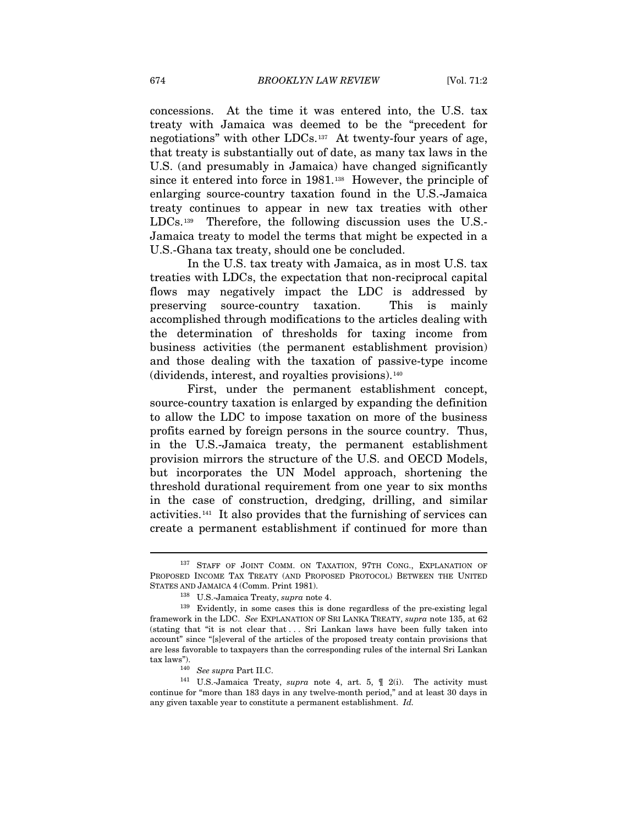concessions. At the time it was entered into, the U.S. tax treaty with Jamaica was deemed to be the "precedent for negotiations" with other LDCs.[1](#page-36-0)37 At twenty-four years of age, that treaty is substantially out of date, as many tax laws in the U.S. (and presumably in Jamaica) have changed significantly since it entered into force in [1](#page-36-1)981.<sup>138</sup> However, the principle of enlarging source-country taxation found in the U.S.-Jamaica treaty continues to appear in new tax treaties with other LDCs.[13](#page-36-2)9 Therefore, the following discussion uses the U.S.- Jamaica treaty to model the terms that might be expected in a U.S.-Ghana tax treaty, should one be concluded.

In the U.S. tax treaty with Jamaica, as in most U.S. tax treaties with LDCs, the expectation that non-reciprocal capital flows may negatively impact the LDC is addressed by preserving source-country taxation. This is mainly accomplished through modifications to the articles dealing with the determination of thresholds for taxing income from business activities (the permanent establishment provision) and those dealing with the taxation of passive-type income (dividends, interest, and royalties provisions).[1](#page-36-3)40

First, under the permanent establishment concept, source-country taxation is enlarged by expanding the definition to allow the LDC to impose taxation on more of the business profits earned by foreign persons in the source country. Thus, in the U.S.-Jamaica treaty, the permanent establishment provision mirrors the structure of the U.S. and OECD Models, but incorporates the UN Model approach, shortening the threshold durational requirement from one year to six months in the case of construction, dredging, drilling, and similar activities.[1](#page-36-4)41 It also provides that the furnishing of services can create a permanent establishment if continued for more than

<span id="page-36-4"></span><span id="page-36-3"></span>tax laws"). 140 *See supra* Part II.C. 141 U.S.-Jamaica Treaty, *supra* note 4, art. 5, ¶ 2(i). The activity must continue for "more than 183 days in any twelve-month period," and at least 30 days in any given taxable year to constitute a permanent establishment. *Id.*

<span id="page-36-0"></span><sup>&</sup>lt;sup>137</sup> STAFF OF JOINT COMM. ON TAXATION, 97TH CONG., EXPLANATION OF PROPOSED INCOME TAX TREATY (AND PROPOSED PROTOCOL) BETWEEN THE UNITED STATES AND JAMAICA 4 (Comm. Print 1981). 138 U.S.-Jamaica Treaty, *supra* note 4.

<span id="page-36-2"></span><span id="page-36-1"></span><sup>139</sup> Evidently, in some cases this is done regardless of the pre-existing legal framework in the LDC. *See* EXPLANATION OF SRI LANKA TREATY, *supra* note 135, at 62 (stating that "it is not clear that . . . Sri Lankan laws have been fully taken into account" since "[s]everal of the articles of the proposed treaty contain provisions that are less favorable to taxpayers than the corresponding rules of the internal Sri Lankan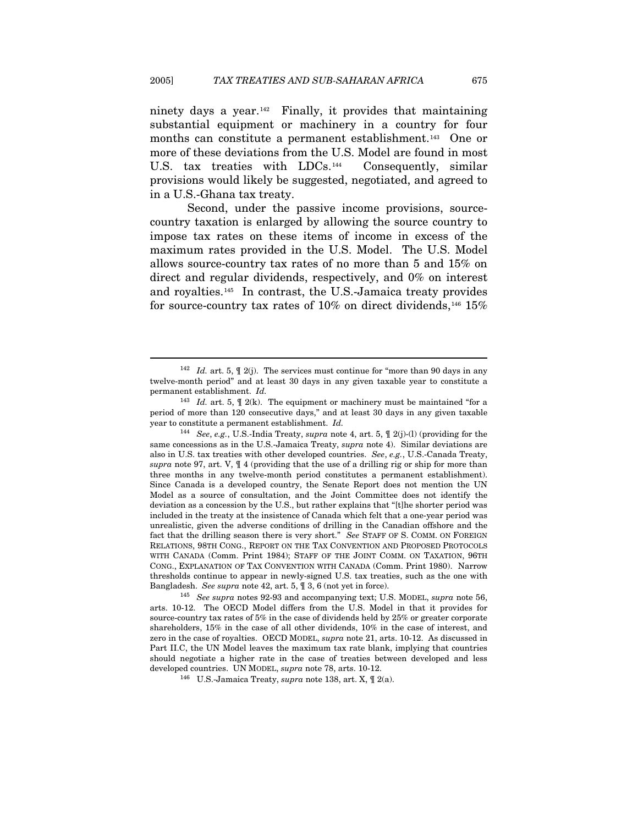ninety days a year.<sup>[14](#page-37-0)2</sup> Finally, it provides that maintaining substantial equipment or machinery in a country for four months can constitute a permanent establishment.<sup>[14](#page-37-1)3</sup> One or more of these deviations from the U.S. Model are found in most U.S. tax treaties with LDCs.<sup>[14](#page-37-2)4</sup> Consequently, similar provisions would likely be suggested, negotiated, and agreed to in a U.S.-Ghana tax treaty.

Second, under the passive income provisions, sourcecountry taxation is enlarged by allowing the source country to impose tax rates on these items of income in excess of the maximum rates provided in the U.S. Model. The U.S. Model allows source-country tax rates of no more than 5 and 15% on direct and regular dividends, respectively, and 0% on interest and royalties.[1](#page-37-3)45 In contrast, the U.S.-Jamaica treaty provides for source-country tax rates of [1](#page-37-4)0% on direct dividends,<sup>146</sup> 15%

 $\overline{a}$ 

<span id="page-37-4"></span><span id="page-37-3"></span>arts. 10-12. The OECD Model differs from the U.S. Model in that it provides for source-country tax rates of 5% in the case of dividends held by 25% or greater corporate shareholders, 15% in the case of all other dividends, 10% in the case of interest, and zero in the case of royalties. OECD MODEL, *supra* note 21, arts. 10-12. As discussed in Part II.C, the UN Model leaves the maximum tax rate blank, implying that countries should negotiate a higher rate in the case of treaties between developed and less developed countries. UN MODEL, *supra* note 78, arts. 10-12.<br><sup>146</sup> U.S.-Jamaica Treaty, *supra* note 138, art. X, ¶ 2(a).

<span id="page-37-0"></span><sup>&</sup>lt;sup>142</sup> *Id.* art. 5,  $\sqrt{2}$  2(j). The services must continue for "more than 90 days in any twelve-month period" and at least 30 days in any given taxable year to constitute a permanent establishment. *Id.* 

<span id="page-37-1"></span><sup>&</sup>lt;sup>143</sup> *Id.* art. 5,  $\sqrt{2}$  2(k). The equipment or machinery must be maintained "for a period of more than 120 consecutive days," and at least 30 days in any given taxable year to constitute a permanent establishment. *Id.* 

<span id="page-37-2"></span><sup>144</sup> *See*, *e.g.*, U.S.-India Treaty, *supra* note 4, art. 5, ¶ 2(j)-(l) (providing for the same concessions as in the U.S.-Jamaica Treaty, *supra* note 4). Similar deviations are also in U.S. tax treaties with other developed countries. *See*, *e.g.*, U.S.-Canada Treaty, *supra* note 97, art. V, ¶ 4 (providing that the use of a drilling rig or ship for more than three months in any twelve-month period constitutes a permanent establishment). Since Canada is a developed country, the Senate Report does not mention the UN Model as a source of consultation, and the Joint Committee does not identify the deviation as a concession by the U.S., but rather explains that "[t]he shorter period was included in the treaty at the insistence of Canada which felt that a one-year period was unrealistic, given the adverse conditions of drilling in the Canadian offshore and the fact that the drilling season there is very short." *See* STAFF OF S. COMM. ON FOREIGN RELATIONS, 98TH CONG., REPORT ON THE TAX CONVENTION AND PROPOSED PROTOCOLS WITH CANADA (Comm. Print 1984); STAFF OF THE JOINT COMM. ON TAXATION, 96TH CONG., EXPLANATION OF TAX CONVENTION WITH CANADA (Comm. Print 1980). Narrow thresholds continue to appear in newly-signed U.S. tax treaties, such as the one with Bangladesh. *See supra* note 42, art. 5, ¶ 3, 6 (not yet in force). 145 *See supra* notes 92-93 and accompanying text; U.S. MODEL, *supra* note 56,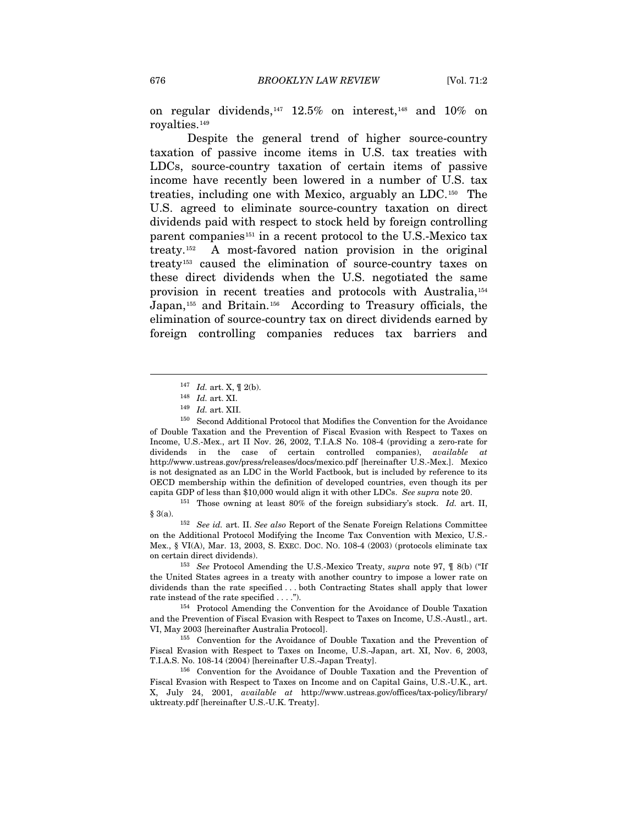on regular dividends,<sup>[14](#page-38-0)7</sup> [1](#page-38-1)2.5% on interest,<sup>148</sup> and 10% on royalties.[14](#page-38-2)9

Despite the general trend of higher source-country taxation of passive income items in U.S. tax treaties with LDCs, source-country taxation of certain items of passive income have recently been lowered in a number of U.S. tax treaties, including one with Mexico, arguably an LDC.[1](#page-38-3)50 The U.S. agreed to eliminate source-country taxation on direct dividends paid with respect to stock held by foreign controlling parent companies<sup>[15](#page-38-4)1</sup> in a recent protocol to the U.S.-Mexico tax treaty.[15](#page-38-5)2 A most-favored nation provision in the original treaty[15](#page-38-6)3 caused the elimination of source-country taxes on these direct dividends when the U.S. negotiated the same provision in recent treaties and protocols with Australia,[15](#page-38-7)4 Japan,<sup>[1](#page-38-9)55</sup> and Britain.<sup>156</sup> According to Treasury officials, the elimination of source-country tax on direct dividends earned by foreign controlling companies reduces tax barriers and

 $\overline{a}$ 

<span id="page-38-5"></span><span id="page-38-4"></span>§ 3(a). 152 *See id.* art. II. *See also* Report of the Senate Foreign Relations Committee on the Additional Protocol Modifying the Income Tax Convention with Mexico, U.S.- Mex., § VI(A), Mar. 13, 2003, S. EXEC. DOC. NO. 108-4 (2003) (protocols eliminate tax on certain direct dividends). 153 *See* Protocol Amending the U.S.-Mexico Treaty, *supra* note 97, ¶ 8(b) ("If

<span id="page-38-6"></span>the United States agrees in a treaty with another country to impose a lower rate on dividends than the rate specified . . . both Contracting States shall apply that lower

<span id="page-38-7"></span>rate instead of the rate specified . . . .").<br><sup>154</sup> Protocol Amending the Convention for the Avoidance of Double Taxation and the Prevention of Fiscal Evasion with Respect to Taxes on Income, U.S.-Austl., art. VI, May 2003 [hereinafter Australia Protocol]. 155 Convention for the Avoidance of Double Taxation and the Prevention of

<span id="page-38-8"></span>Fiscal Evasion with Respect to Taxes on Income, U.S.-Japan, art. XI, Nov. 6, 2003, T.I.A.S. No. 108-14 (2004) [hereinafter U.S.-Japan Treaty].

<span id="page-38-9"></span>156 Convention for the Avoidance of Double Taxation and the Prevention of Fiscal Evasion with Respect to Taxes on Income and on Capital Gains, U.S.-U.K., art. X, July 24, 2001, *available at* http://www.ustreas.gov/offices/tax-policy/library/ uktreaty.pdf [hereinafter U.S.-U.K. Treaty].

<sup>147</sup> *Id.* art. X, ¶ 2(b). 148 *Id.* art. XI. 149 *Id.* art. XII.

<span id="page-38-3"></span><span id="page-38-2"></span><span id="page-38-1"></span><span id="page-38-0"></span><sup>150</sup> Second Additional Protocol that Modifies the Convention for the Avoidance of Double Taxation and the Prevention of Fiscal Evasion with Respect to Taxes on Income, U.S.-Mex., art II Nov. 26, 2002, T.I.A.S No. 108-4 (providing a zero-rate for dividends in the case of certain controlled companies), *available at*  http://www.ustreas.gov/press/releases/docs/mexico.pdf [hereinafter U.S.-Mex.]. Mexico is not designated as an LDC in the World Factbook, but is included by reference to its OECD membership within the definition of developed countries, even though its per capita GDP of less than \$10,000 would align it with other LDCs. *See supra* note 20. 151 Those owning at least 80% of the foreign subsidiary's stock. *Id.* art. II,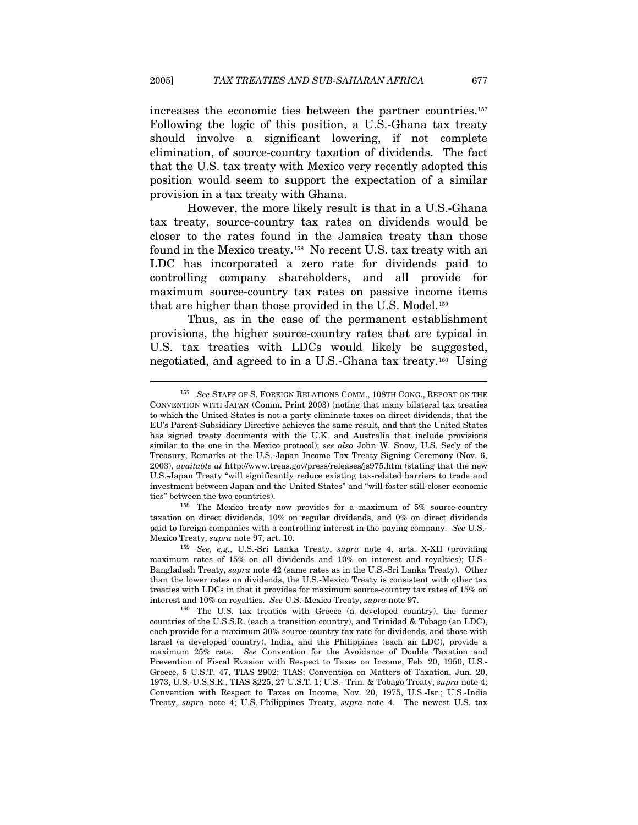increases the economic ties between the partner countries.[15](#page-39-0)7 Following the logic of this position, a U.S.-Ghana tax treaty should involve a significant lowering, if not complete elimination, of source-country taxation of dividends. The fact that the U.S. tax treaty with Mexico very recently adopted this position would seem to support the expectation of a similar provision in a tax treaty with Ghana.

However, the more likely result is that in a U.S.-Ghana tax treaty, source-country tax rates on dividends would be closer to the rates found in the Jamaica treaty than those found in the Mexico treaty.[1](#page-39-1)58 No recent U.S. tax treaty with an LDC has incorporated a zero rate for dividends paid to controlling company shareholders, and all provide for maximum source-country tax rates on passive income items that are higher than those provided in the U.S. Model.[1](#page-39-2)59

Thus, as in the case of the permanent establishment provisions, the higher source-country rates that are typical in U.S. tax treaties with LDCs would likely be suggested, negotiated, and agreed to in a U.S.-Ghana tax treaty.[1](#page-39-3)60 Using

 $\overline{a}$ 

<span id="page-39-1"></span>taxation on direct dividends, 10% on regular dividends, and 0% on direct dividends paid to foreign companies with a controlling interest in the paying company. *See* U.S.-

<span id="page-39-0"></span><sup>157</sup> *See* STAFF OF S. FOREIGN RELATIONS COMM., 108TH CONG., REPORT ON THE CONVENTION WITH JAPAN (Comm. Print 2003) (noting that many bilateral tax treaties to which the United States is not a party eliminate taxes on direct dividends, that the EU's Parent-Subsidiary Directive achieves the same result, and that the United States has signed treaty documents with the U.K. and Australia that include provisions similar to the one in the Mexico protocol); *see also* John W. Snow, U.S. Sec'y of the Treasury, Remarks at the U.S.-Japan Income Tax Treaty Signing Ceremony (Nov. 6, 2003), *available at* http://www.treas.gov/press/releases/js975.htm (stating that the new U.S.-Japan Treaty "will significantly reduce existing tax-related barriers to trade and investment between Japan and the United States" and "will foster still-closer economic ties" between the two countries).<br><sup>158</sup> The Mexico treaty now provides for a maximum of 5% source-country

<span id="page-39-2"></span>Mexico Treaty, *supra* note 97, art. 10. 159 *See, e.g.*, U.S.-Sri Lanka Treaty, *supra* note 4, arts. X-XII (providing maximum rates of 15% on all dividends and 10% on interest and royalties); U.S.- Bangladesh Treaty, *supra* note 42 (same rates as in the U.S.-Sri Lanka Treaty). Other than the lower rates on dividends, the U.S.-Mexico Treaty is consistent with other tax treaties with LDCs in that it provides for maximum source-country tax rates of  $15\%$  on interest and  $10\%$  on royalties. See U.S.-Mexico Treaty, supra note 97.

<span id="page-39-3"></span><sup>&</sup>lt;sup>160</sup> The U.S. tax treaties with Greece (a developed country), the former countries of the U.S.S.R. (each a transition country), and Trinidad & Tobago (an LDC), each provide for a maximum 30% source-country tax rate for dividends, and those with Israel (a developed country), India, and the Philippines (each an LDC), provide a maximum 25% rate. *See* Convention for the Avoidance of Double Taxation and Prevention of Fiscal Evasion with Respect to Taxes on Income, Feb. 20, 1950, U.S.- Greece, 5 U.S.T. 47, TIAS 2902; TIAS; Convention on Matters of Taxation, Jun. 20, 1973, U.S.-U.S.S.R., TIAS 8225, 27 U.S.T. 1; U.S.- Trin. & Tobago Treaty, *supra* note 4; Convention with Respect to Taxes on Income, Nov. 20, 1975, U.S.-Isr.; U.S.-India Treaty, *supra* note 4; U.S.-Philippines Treaty, *supra* note 4. The newest U.S. tax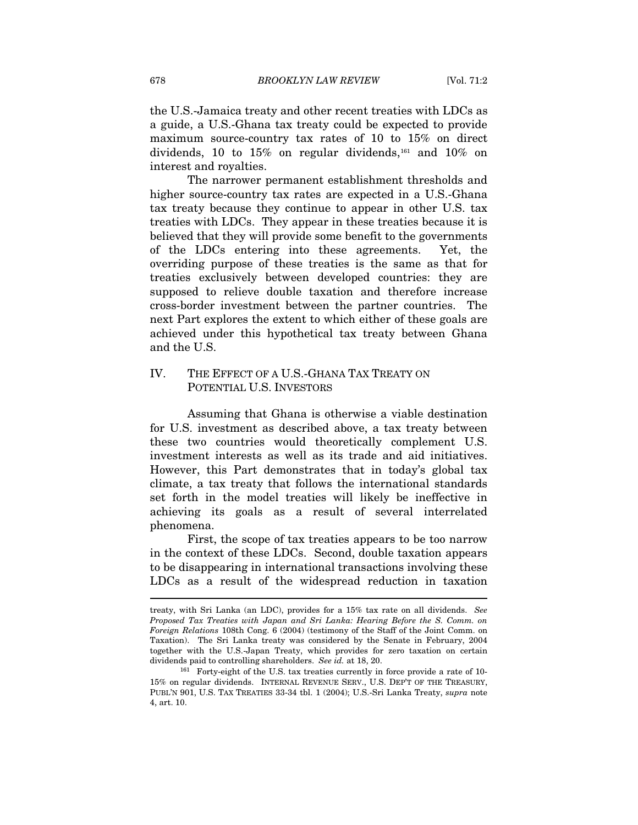the U.S.-Jamaica treaty and other recent treaties with LDCs as a guide, a U.S.-Ghana tax treaty could be expected to provide maximum source-country tax rates of 10 to 15% on direct dividends, 10 to 15% on regular dividends,  $161$  $161$  and  $10\%$  on interest and royalties.

The narrower permanent establishment thresholds and higher source-country tax rates are expected in a U.S.-Ghana tax treaty because they continue to appear in other U.S. tax treaties with LDCs. They appear in these treaties because it is believed that they will provide some benefit to the governments of the LDCs entering into these agreements. Yet, the overriding purpose of these treaties is the same as that for treaties exclusively between developed countries: they are supposed to relieve double taxation and therefore increase cross-border investment between the partner countries. The next Part explores the extent to which either of these goals are achieved under this hypothetical tax treaty between Ghana and the U.S.

# IV. THE EFFECT OF A U.S.-GHANA TAX TREATY ON POTENTIAL U.S. INVESTORS

Assuming that Ghana is otherwise a viable destination for U.S. investment as described above, a tax treaty between these two countries would theoretically complement U.S. investment interests as well as its trade and aid initiatives. However, this Part demonstrates that in today's global tax climate, a tax treaty that follows the international standards set forth in the model treaties will likely be ineffective in achieving its goals as a result of several interrelated phenomena.

First, the scope of tax treaties appears to be too narrow in the context of these LDCs. Second, double taxation appears to be disappearing in international transactions involving these LDCs as a result of the widespread reduction in taxation

treaty, with Sri Lanka (an LDC), provides for a 15% tax rate on all dividends. *See Proposed Tax Treaties with Japan and Sri Lanka: Hearing Before the S. Comm. on Foreign Relations* 108th Cong. 6 (2004) (testimony of the Staff of the Joint Comm. on Taxation). The Sri Lanka treaty was considered by the Senate in February, 2004 together with the U.S.-Japan Treaty, which provides for zero taxation on certain dividends paid to controlling shareholders. *See id.* at 18, 20.<br><sup>161</sup> Forty-eight of the U.S. tax treaties currently in force provide a rate of 10-

<span id="page-40-0"></span><sup>15%</sup> on regular dividends. INTERNAL REVENUE SERV., U.S. DEP'T OF THE TREASURY, PUBL'N 901, U.S. TAX TREATIES 33-34 tbl. 1 (2004); U.S.-Sri Lanka Treaty, *supra* note 4, art. 10.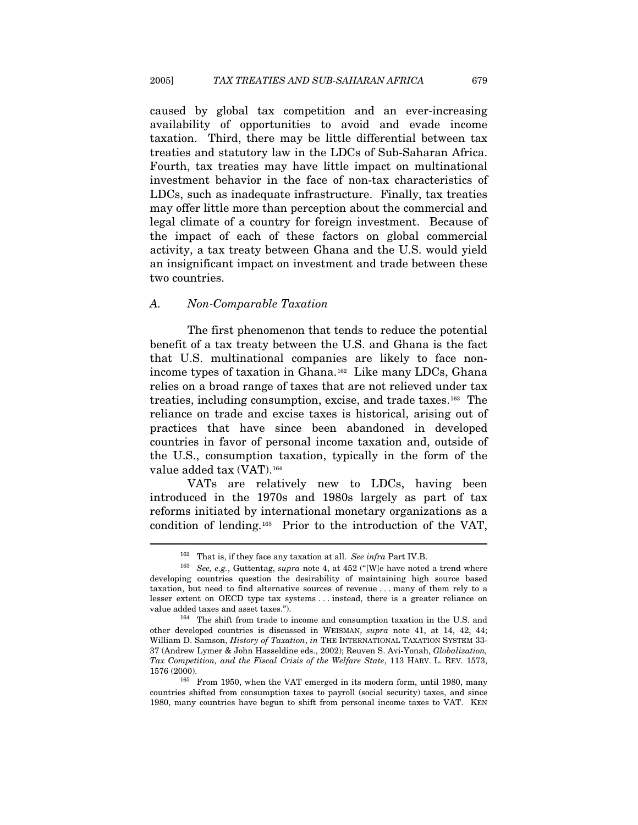caused by global tax competition and an ever-increasing availability of opportunities to avoid and evade income taxation. Third, there may be little differential between tax treaties and statutory law in the LDCs of Sub-Saharan Africa. Fourth, tax treaties may have little impact on multinational investment behavior in the face of non-tax characteristics of LDCs, such as inadequate infrastructure. Finally, tax treaties may offer little more than perception about the commercial and legal climate of a country for foreign investment. Because of the impact of each of these factors on global commercial activity, a tax treaty between Ghana and the U.S. would yield an insignificant impact on investment and trade between these two countries.

### *A. Non-Comparable Taxation*

 $\overline{a}$ 

The first phenomenon that tends to reduce the potential benefit of a tax treaty between the U.S. and Ghana is the fact that U.S. multinational companies are likely to face nonincome types of taxation in Ghana.[16](#page-41-0)2 Like many LDCs, Ghana relies on a broad range of taxes that are not relieved under tax treaties, including consumption, excise, and trade taxes.[1](#page-41-1)63 The reliance on trade and excise taxes is historical, arising out of practices that have since been abandoned in developed countries in favor of personal income taxation and, outside of the U.S., consumption taxation, typically in the form of the value added tax (VAT).[16](#page-41-2)4

VATs are relatively new to LDCs, having been introduced in the 1970s and 1980s largely as part of tax reforms initiated by international monetary organizations as a condition of lending.[16](#page-41-3)5 Prior to the introduction of the VAT,

<span id="page-41-1"></span><span id="page-41-0"></span><sup>162</sup> That is, if they face any taxation at all. *See infra* Part IV.B. 163 *See, e.g.*, Guttentag, *supra* note 4, at 452 ("[W]e have noted a trend where developing countries question the desirability of maintaining high source based taxation, but need to find alternative sources of revenue . . . many of them rely to a lesser extent on OECD type tax systems . . . instead, there is a greater reliance on value added taxes and asset taxes."). 164 The shift from trade to income and consumption taxation in the U.S. and

<span id="page-41-2"></span>other developed countries is discussed in WEISMAN, *supra* note 41, at 14, 42, 44; William D. Samson, *History of Taxation*, *in* THE INTERNATIONAL TAXATION SYSTEM 33- 37 (Andrew Lymer & John Hasseldine eds., 2002); Reuven S. Avi-Yonah, *Globalization, Tax Competition, and the Fiscal Crisis of the Welfare State*, 113 HARV. L. REV. 1573, 1576 (2000).  $165$  From 1950, when the VAT emerged in its modern form, until 1980, many

<span id="page-41-3"></span>countries shifted from consumption taxes to payroll (social security) taxes, and since 1980, many countries have begun to shift from personal income taxes to VAT. KEN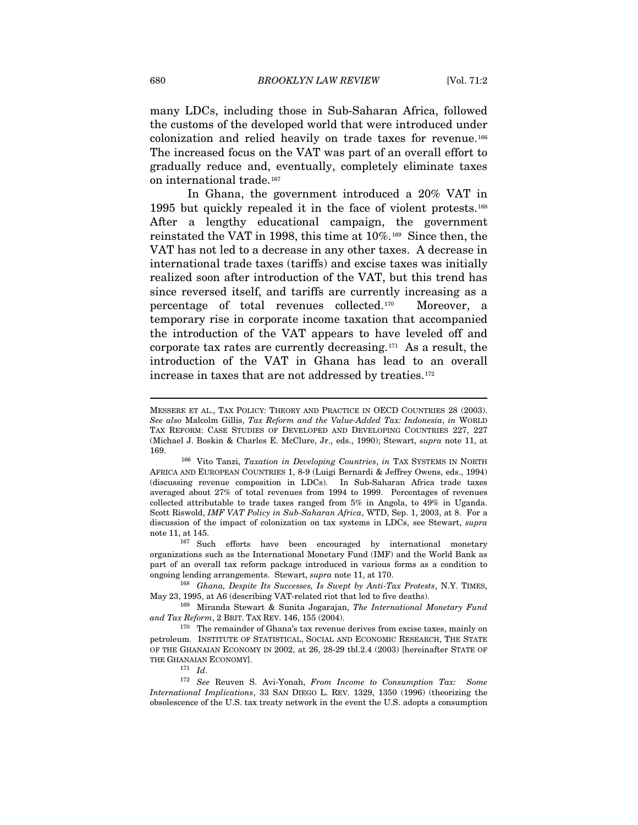many LDCs, including those in Sub-Saharan Africa, followed the customs of the developed world that were introduced under colonization and relied heavily on trade taxes for revenue.[16](#page-42-0)6 The increased focus on the VAT was part of an overall effort to gradually reduce and, eventually, completely eliminate taxes on international trade.[1](#page-42-1)67

In Ghana, the government introduced a 20% VAT in 1995 but quickly repealed it in the face of violent protests.[16](#page-42-2)8 After a lengthy educational campaign, the government reinstated the VAT in 1998, this time at 10%.[1](#page-42-3)69 Since then, the VAT has not led to a decrease in any other taxes. A decrease in international trade taxes (tariffs) and excise taxes was initially realized soon after introduction of the VAT, but this trend has since reversed itself, and tariffs are currently increasing as a percentage of total revenues collected.[1](#page-42-4)70 Moreover, a temporary rise in corporate income taxation that accompanied the introduction of the VAT appears to have leveled off and corporate tax rates are currently decreasing.[17](#page-42-5)1 As a result, the introduction of the VAT in Ghana has lead to an overall increase in taxes that are not addressed by treaties.<sup>[17](#page-42-6)2</sup>

<span id="page-42-1"></span>note 11, at 145.<br> $167$  Such efforts have been encouraged by international monetary organizations such as the International Monetary Fund (IMF) and the World Bank as part of an overall tax reform package introduced in various forms as a condition to ongoing lending arrangements. Stewart, *supra* note 11, at 170.<br><sup>168</sup> Ghana, Despite Its Successes, Is Swept by Anti-Tax Protests, N.Y. TIMES,

<span id="page-42-3"></span><span id="page-42-2"></span>May 23, 1995, at A6 (describing VAT-related riot that led to five deaths). 169 Miranda Stewart & Sunita Jogarajan, *The International Monetary Fund* 

<span id="page-42-4"></span><sup>170</sup> The remainder of Ghana's tax revenue derives from excise taxes, mainly on petroleum. INSTITUTE OF STATISTICAL, SOCIAL AND ECONOMIC RESEARCH, THE STATE OF THE GHANAIAN ECONOMY IN 2002, at 26, 28-29 tbl.2.4 (2003) [hereinafter STATE OF

<span id="page-42-6"></span><span id="page-42-5"></span>THE GHANAIAN ECONOMY]. 171 *Id*. 172 *See* Reuven S. Avi-Yonah, *From Income to Consumption Tax: Some International Implications*, 33 SAN DIEGO L. REV. 1329, 1350 (1996) (theorizing the obsolescence of the U.S. tax treaty network in the event the U.S. adopts a consumption

MESSERE ET AL., TAX POLICY: THEORY AND PRACTICE IN OECD COUNTRIES 28 (2003). *See also* Malcolm Gillis, *Tax Reform and the Value-Added Tax: Indonesia*, *in* WORLD TAX REFORM: CASE STUDIES OF DEVELOPED AND DEVELOPING COUNTRIES 227, 227 (Michael J. Boskin & Charles E. McClure, Jr., eds., 1990); Stewart, *supra* note 11, at 169. 166 Vito Tanzi, *Taxation in Developing Countries*, *in* TAX SYSTEMS IN NORTH

<span id="page-42-0"></span>AFRICA AND EUROPEAN COUNTRIES 1, 8-9 (Luigi Bernardi & Jeffrey Owens, eds., 1994) (discussing revenue composition in LDCs). In Sub-Saharan Africa trade taxes averaged about 27% of total revenues from 1994 to 1999. Percentages of revenues collected attributable to trade taxes ranged from 5% in Angola, to 49% in Uganda. Scott Riswold, *IMF VAT Policy in Sub-Saharan Africa*, WTD, Sep. 1, 2003, at 8. For a discussion of the impact of colonization on tax systems in LDCs, see Stewart, *supra*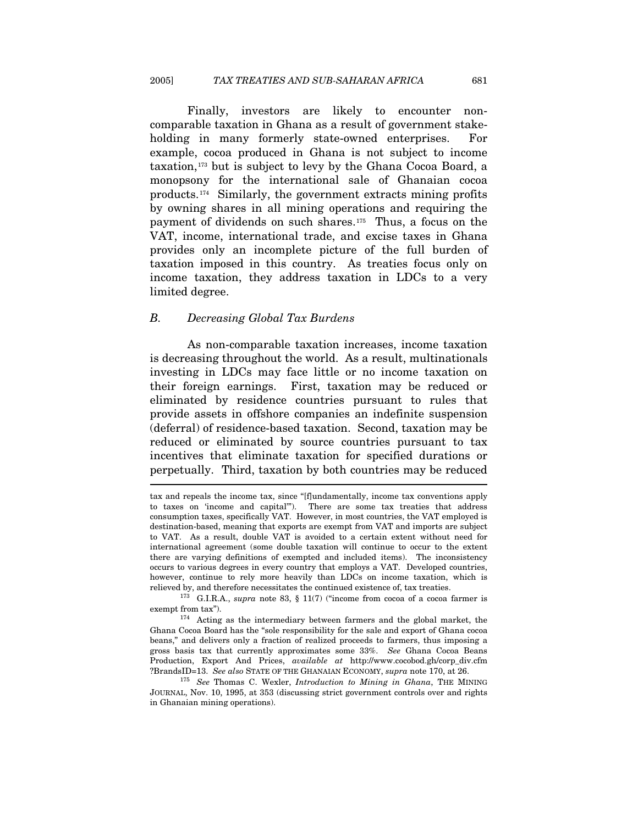Finally, investors are likely to encounter noncomparable taxation in Ghana as a result of government stakeholding in many formerly state-owned enterprises. For example, cocoa produced in Ghana is not subject to income taxation,[1](#page-43-0)73 but is subject to levy by the Ghana Cocoa Board, a monopsony for the international sale of Ghanaian cocoa products.[17](#page-43-1)4 Similarly, the government extracts mining profits by owning shares in all mining operations and requiring the payment of dividends on such shares.[1](#page-43-2)75 Thus, a focus on the VAT, income, international trade, and excise taxes in Ghana provides only an incomplete picture of the full burden of taxation imposed in this country. As treaties focus only on income taxation, they address taxation in LDCs to a very limited degree.

### *B. Decreasing Global Tax Burdens*

As non-comparable taxation increases, income taxation is decreasing throughout the world. As a result, multinationals investing in LDCs may face little or no income taxation on their foreign earnings. First, taxation may be reduced or eliminated by residence countries pursuant to rules that provide assets in offshore companies an indefinite suspension (deferral) of residence-based taxation. Second, taxation may be reduced or eliminated by source countries pursuant to tax incentives that eliminate taxation for specified durations or perpetually. Third, taxation by both countries may be reduced 

<span id="page-43-0"></span>relieved by, and therefore necessitates the continued existence of, tax treaties. 173 G.I.R.A., *supra* note 83, § 11(7) ("income from cocoa of a cocoa farmer is exempt from tax"). 174 Acting as the intermediary between farmers and the global market, the

tax and repeals the income tax, since "[f]undamentally, income tax conventions apply to taxes on 'income and capital'"). There are some tax treaties that address consumption taxes, specifically VAT. However, in most countries, the VAT employed is destination-based, meaning that exports are exempt from VAT and imports are subject to VAT. As a result, double VAT is avoided to a certain extent without need for international agreement (some double taxation will continue to occur to the extent there are varying definitions of exempted and included items). The inconsistency occurs to various degrees in every country that employs a VAT. Developed countries, however, continue to rely more heavily than LDCs on income taxation, which is

<span id="page-43-1"></span>Ghana Cocoa Board has the "sole responsibility for the sale and export of Ghana cocoa beans," and delivers only a fraction of realized proceeds to farmers, thus imposing a gross basis tax that currently approximates some 33%. *See* Ghana Cocoa Beans Production, Export And Prices, *available at* http://www.cocobod.gh/corp\_div.cfm ?BrandsID=13. *See also* STATE OF THE GHANAIAN ECONOMY, *supra* note 170, at 26. 175 *See* Thomas C. Wexler, *Introduction to Mining in Ghana*, THE MINING

<span id="page-43-2"></span>JOURNAL, Nov. 10, 1995, at 353 (discussing strict government controls over and rights in Ghanaian mining operations).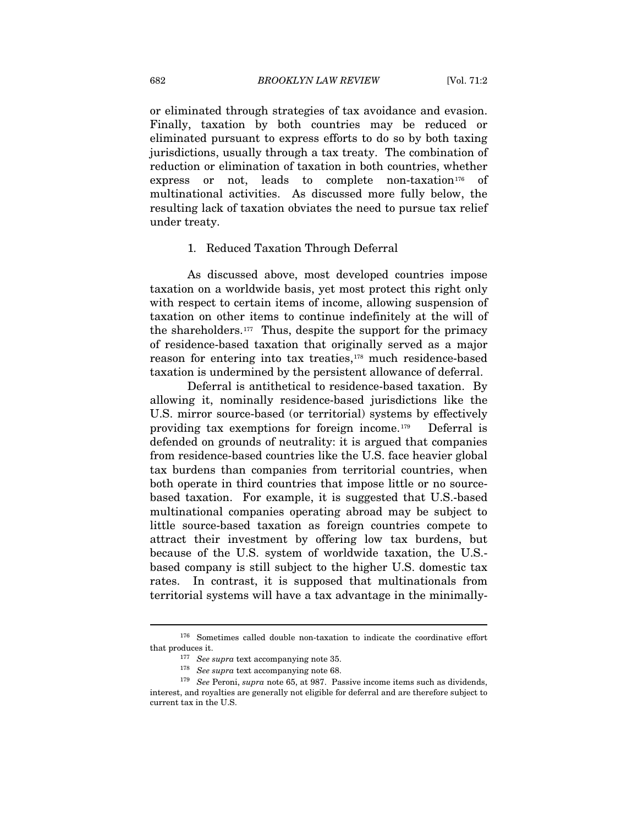or eliminated through strategies of tax avoidance and evasion. Finally, taxation by both countries may be reduced or eliminated pursuant to express efforts to do so by both taxing jurisdictions, usually through a tax treaty. The combination of reduction or elimination of taxation in both countries, whether express or not, leads to complete non-taxation<sup>[17](#page-44-0)6</sup> of multinational activities. As discussed more fully below, the resulting lack of taxation obviates the need to pursue tax relief under treaty.

### 1*.* Reduced Taxation Through Deferral

As discussed above, most developed countries impose taxation on a worldwide basis, yet most protect this right only with respect to certain items of income, allowing suspension of taxation on other items to continue indefinitely at the will of the shareholders.<sup>[17](#page-44-1)7</sup> Thus, despite the support for the primacy of residence-based taxation that originally served as a major reason for entering into tax treaties,<sup>[17](#page-44-2)8</sup> much residence-based taxation is undermined by the persistent allowance of deferral.

Deferral is antithetical to residence-based taxation. By allowing it, nominally residence-based jurisdictions like the U.S. mirror source-based (or territorial) systems by effectively providing tax exemptions for foreign income.[17](#page-44-3)9 Deferral is defended on grounds of neutrality: it is argued that companies from residence-based countries like the U.S. face heavier global tax burdens than companies from territorial countries, when both operate in third countries that impose little or no sourcebased taxation. For example, it is suggested that U.S.-based multinational companies operating abroad may be subject to little source-based taxation as foreign countries compete to attract their investment by offering low tax burdens, but because of the U.S. system of worldwide taxation, the U.S. based company is still subject to the higher U.S. domestic tax rates. In contrast, it is supposed that multinationals from territorial systems will have a tax advantage in the minimally-

<sup>176</sup> Sometimes called double non-taxation to indicate the coordinative effort

<span id="page-44-3"></span><span id="page-44-2"></span><span id="page-44-1"></span><span id="page-44-0"></span>that produces it.<br><sup>177</sup> See *supra* text accompanying note 35.<br><sup>178</sup> See *supra* text accompanying note 68.<br><sup>179</sup> See Peroni, *supra* note 65, at 987. Passive income items such as dividends, interest, and royalties are generally not eligible for deferral and are therefore subject to current tax in the U.S.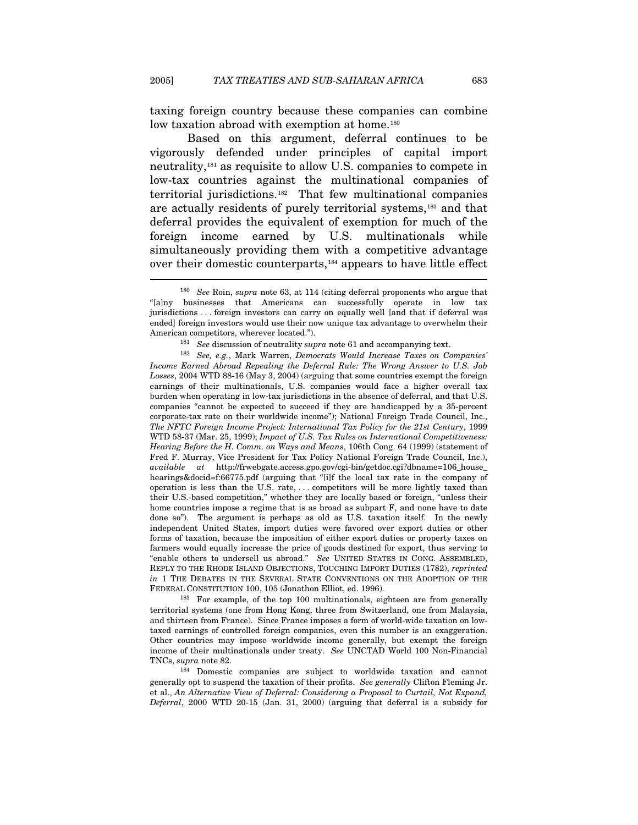taxing foreign country because these companies can combine low taxation abroad with exemption at home.<sup>[18](#page-45-0)0</sup>

Based on this argument, deferral continues to be vigorously defended under principles of capital import neutrality,[18](#page-45-1)1 as requisite to allow U.S. companies to compete in low-tax countries against the multinational companies of territorial jurisdictions.[18](#page-45-2)2 That few multinational companies are actually residents of purely territorial systems,[1](#page-45-3)83 and that deferral provides the equivalent of exemption for much of the foreign income earned by U.S. multinationals while simultaneously providing them with a competitive advantage over their domestic counterparts,[18](#page-45-4)4 appears to have little effect

<span id="page-45-3"></span>territorial systems (one from Hong Kong, three from Switzerland, one from Malaysia, and thirteen from France). Since France imposes a form of world-wide taxation on lowtaxed earnings of controlled foreign companies, even this number is an exaggeration. Other countries may impose worldwide income generally, but exempt the foreign income of their multinationals under treaty. *See* UNCTAD World 100 Non-Financial TNCs, *supra* note 82.<br><sup>184</sup> Domestic companies are subject to worldwide taxation and cannot

<span id="page-45-4"></span>generally opt to suspend the taxation of their profits. *See generally* Clifton Fleming Jr. et al., *An Alternative View of Deferral: Considering a Proposal to Curtail, Not Expand, Deferral*, 2000 WTD 20-15 (Jan. 31, 2000) (arguing that deferral is a subsidy for

<span id="page-45-0"></span><sup>180</sup> *See* Roin, *supra* note 63, at 114 (citing deferral proponents who argue that "[a]ny businesses that Americans can successfully operate in low tax jurisdictions . . . foreign investors can carry on equally well [and that if deferral was ended] foreign investors would use their now unique tax advantage to overwhelm their American competitors, wherever located."). 181 *See* discussion of neutrality *supra* note 61 and accompanying text.

<span id="page-45-2"></span><span id="page-45-1"></span><sup>182</sup> *See, e.g.*, Mark Warren, *Democrats Would Increase Taxes on Companies' Income Earned Abroad Repealing the Deferral Rule: The Wrong Answer to U.S. Job Losses*, 2004 WTD 88-16 (May 3, 2004) (arguing that some countries exempt the foreign earnings of their multinationals, U.S. companies would face a higher overall tax burden when operating in low-tax jurisdictions in the absence of deferral, and that U.S. companies "cannot be expected to succeed if they are handicapped by a 35-percent corporate-tax rate on their worldwide income"); National Foreign Trade Council, Inc., *The NFTC Foreign Income Project: International Tax Policy for the 21st Century*, 1999 WTD 58-37 (Mar. 25, 1999); *Impact of U.S. Tax Rules on International Competitiveness: Hearing Before the H. Comm. on Ways and Means*, 106th Cong. 64 (1999) (statement of Fred F. Murray, Vice President for Tax Policy National Foreign Trade Council, Inc.), *available at* http://frwebgate.access.gpo.gov/cgi-bin/getdoc.cgi?dbname=106\_house\_ hearings&docid=f:66775.pdf (arguing that "[i]f the local tax rate in the company of operation is less than the U.S. rate, . . . competitors will be more lightly taxed than their U.S.-based competition," whether they are locally based or foreign, "unless their home countries impose a regime that is as broad as subpart F, and none have to date done so"). The argument is perhaps as old as U.S. taxation itself. In the newly independent United States, import duties were favored over export duties or other forms of taxation, because the imposition of either export duties or property taxes on farmers would equally increase the price of goods destined for export, thus serving to "enable others to undersell us abroad." *See* UNITED STATES IN CONG. ASSEMBLED, REPLY TO THE RHODE ISLAND OBJECTIONS, TOUCHING IMPORT DUTIES (1782), *reprinted in* 1 THE DEBATES IN THE SEVERAL STATE CONVENTIONS ON THE ADOPTION OF THE FEDERAL CONSTITUTION 100, 105 (Jonathon Elliot, ed. 1996).<br><sup>183</sup> For example, of the top 100 multinationals, eighteen are from generally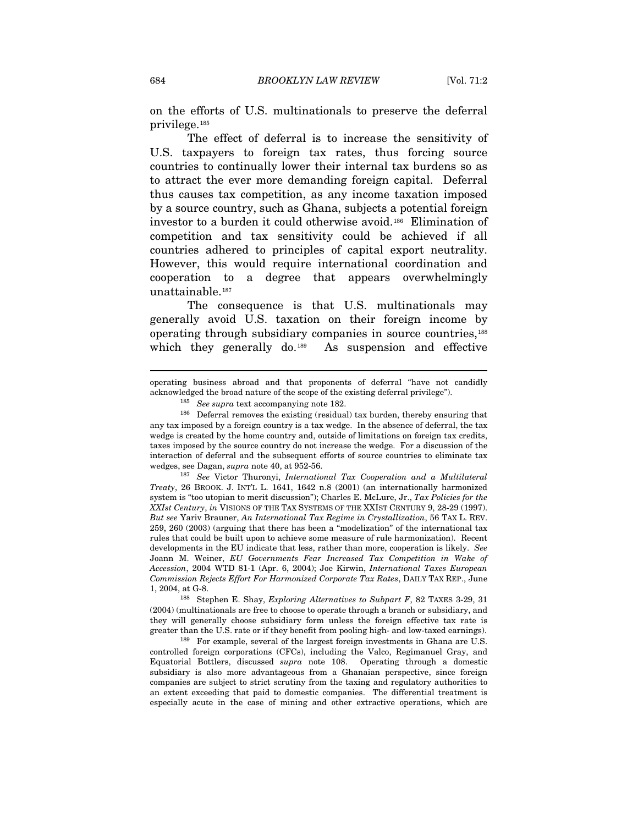on the efforts of U.S. multinationals to preserve the deferral privilege.[1](#page-46-0)85

The effect of deferral is to increase the sensitivity of U.S. taxpayers to foreign tax rates, thus forcing source countries to continually lower their internal tax burdens so as to attract the ever more demanding foreign capital. Deferral thus causes tax competition, as any income taxation imposed by a source country, such as Ghana, subjects a potential foreign investor to a burden it could otherwise avoid.[18](#page-46-1)6 Elimination of competition and tax sensitivity could be achieved if all countries adhered to principles of capital export neutrality. However, this would require international coordination and cooperation to a degree that appears overwhelmingly unattainable.<sup>[1](#page-46-2)87</sup>

The consequence is that U.S. multinationals may generally avoid U.S. taxation on their foreign income by operating through subsidiary companies in source countries,[18](#page-46-3)8 which they generally do.<sup>[1](#page-46-4)89</sup> As suspension and effective

<span id="page-46-2"></span>*Treaty*, 26 BROOK. J. INT'L L. 1641, 1642 n.8 (2001) (an internationally harmonized system is "too utopian to merit discussion"); Charles E. McLure, Jr., *Tax Policies for the XXIst Century*, *in* VISIONS OF THE TAX SYSTEMS OF THE XXIST CENTURY 9, 28-29 (1997). *But see* Yariv Brauner, *An International Tax Regime in Crystallization*, 56 TAX L. REV. 259, 260 (2003) (arguing that there has been a "modelization" of the international tax rules that could be built upon to achieve some measure of rule harmonization). Recent developments in the EU indicate that less, rather than more, cooperation is likely. *See* Joann M. Weiner, *EU Governments Fear Increased Tax Competition in Wake of Accession*, 2004 WTD 81-1 (Apr. 6, 2004); Joe Kirwin, *International Taxes European Commission Rejects Effort For Harmonized Corporate Tax Rates*, DAILY TAX REP., June 1, 2004, at G-8. 188 Stephen E. Shay, *Exploring Alternatives to Subpart F*, 82 TAXES 3-29, 31

<span id="page-46-3"></span>(2004) (multinationals are free to choose to operate through a branch or subsidiary, and they will generally choose subsidiary form unless the foreign effective tax rate is greater than the U.S. rate or if they benefit from pooling high- and low-taxed earnings).<br><sup>189</sup> For example, several of the largest foreign investments in Ghana are U.S.

<span id="page-46-4"></span>controlled foreign corporations (CFCs), including the Valco, Regimanuel Gray, and Equatorial Bottlers, discussed *supra* note 108. Operating through a domestic subsidiary is also more advantageous from a Ghanaian perspective, since foreign companies are subject to strict scrutiny from the taxing and regulatory authorities to an extent exceeding that paid to domestic companies. The differential treatment is especially acute in the case of mining and other extractive operations, which are

operating business abroad and that proponents of deferral "have not candidly acknowledged the broad nature of the scope of the existing deferral privilege").<br><sup>185</sup> See *supra* text accompanying note 182.<br><sup>186</sup> Deferral removes the existing (residual) tax burden, thereby ensuring that

<span id="page-46-1"></span><span id="page-46-0"></span>any tax imposed by a foreign country is a tax wedge. In the absence of deferral, the tax wedge is created by the home country and, outside of limitations on foreign tax credits, taxes imposed by the source country do not increase the wedge. For a discussion of the interaction of deferral and the subsequent efforts of source countries to eliminate tax wedges, see Dagan, *supra* note 40, at 952-56.<br><sup>187</sup> See Victor Thuronyi, *International Tax Cooperation and a Multilateral*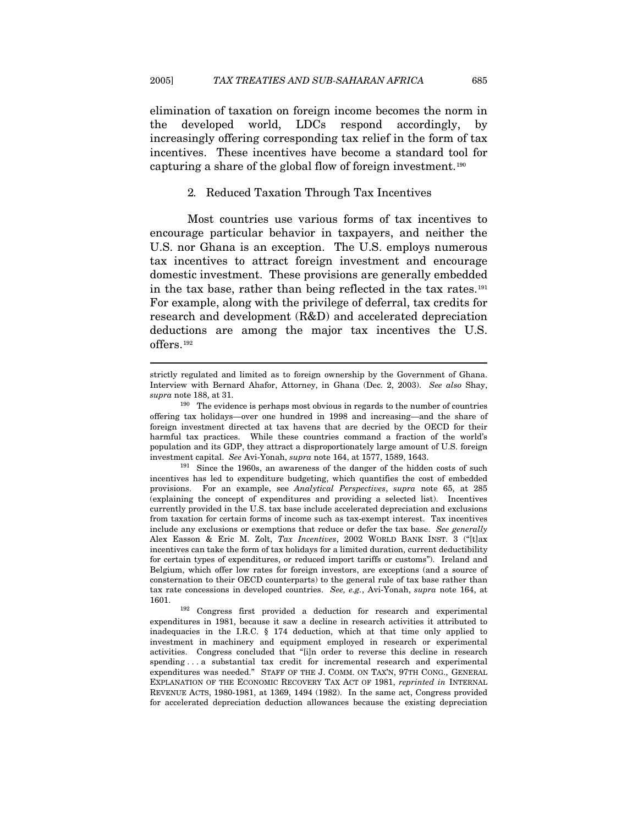elimination of taxation on foreign income becomes the norm in the developed world, LDCs respond accordingly, by increasingly offering corresponding tax relief in the form of tax incentives. These incentives have become a standard tool for capturing a share of the global flow of foreign investment.[1](#page-47-0)90

### 2*.* Reduced Taxation Through Tax Incentives

Most countries use various forms of tax incentives to encourage particular behavior in taxpayers, and neither the U.S. nor Ghana is an exception. The U.S. employs numerous tax incentives to attract foreign investment and encourage domestic investment. These provisions are generally embedded in the tax base, rather than being reflected in the tax rates.[19](#page-47-1)1 For example, along with the privilege of deferral, tax credits for research and development (R&D) and accelerated depreciation deductions are among the major tax incentives the U.S. offers.[19](#page-47-2)2

strictly regulated and limited as to foreign ownership by the Government of Ghana. Interview with Bernard Ahafor, Attorney, in Ghana (Dec. 2, 2003). *See also* Shay,

<span id="page-47-0"></span>*supra* note 188, at 31. 190 The evidence is perhaps most obvious in regards to the number of countries offering tax holidays—over one hundred in 1998 and increasing—and the share of foreign investment directed at tax havens that are decried by the OECD for their harmful tax practices. While these countries command a fraction of the world's population and its GDP, they attract a disproportionately large amount of U.S. foreign investment capital. *See* Avi-Yonah, *supra* note 164, at 1577, 1589, 1643.<br><sup>191</sup> Since the 1960s, an awareness of the danger of the hidden costs of such

<span id="page-47-1"></span>incentives has led to expenditure budgeting, which quantifies the cost of embedded provisions. For an example, see *Analytical Perspectives*, *supra* note 65, at 285 (explaining the concept of expenditures and providing a selected list). Incentives currently provided in the U.S. tax base include accelerated depreciation and exclusions from taxation for certain forms of income such as tax-exempt interest. Tax incentives include any exclusions or exemptions that reduce or defer the tax base. *See generally* Alex Easson & Eric M. Zolt, *Tax Incentives*, 2002 WORLD BANK INST. 3 ("[t]ax incentives can take the form of tax holidays for a limited duration, current deductibility for certain types of expenditures, or reduced import tariffs or customs"). Ireland and Belgium, which offer low rates for foreign investors, are exceptions (and a source of consternation to their OECD counterparts) to the general rule of tax base rather than tax rate concessions in developed countries. *See, e.g.*, Avi-Yonah, *supra* note 164, at

<span id="page-47-2"></span><sup>&</sup>lt;sup>192</sup> Congress first provided a deduction for research and experimental expenditures in 1981, because it saw a decline in research activities it attributed to inadequacies in the I.R.C. § 174 deduction, which at that time only applied to investment in machinery and equipment employed in research or experimental activities. Congress concluded that "[i]n order to reverse this decline in research spending . . . a substantial tax credit for incremental research and experimental expenditures was needed." STAFF OF THE J. COMM. ON TAX'N, 97TH CONG., GENERAL EXPLANATION OF THE ECONOMIC RECOVERY TAX ACT OF 1981, *reprinted in* INTERNAL REVENUE ACTS, 1980-1981, at 1369, 1494 (1982). In the same act, Congress provided for accelerated depreciation deduction allowances because the existing depreciation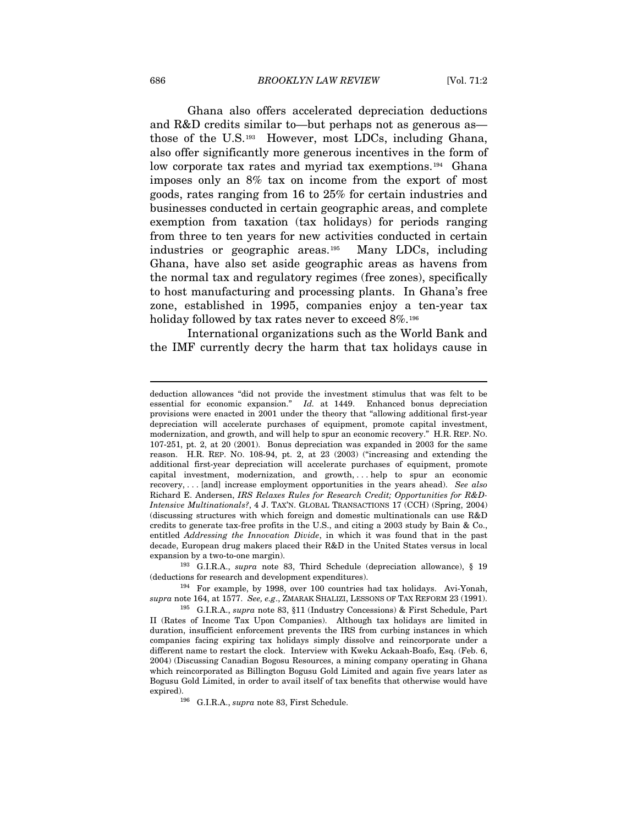Ghana also offers accelerated depreciation deductions and R&D credits similar to—but perhaps not as generous as those of the U.S.[19](#page-48-0)3 However, most LDCs, including Ghana, also offer significantly more generous incentives in the form of low corporate tax rates and myriad tax exemptions.<sup>[19](#page-48-1)4</sup> Ghana imposes only an 8% tax on income from the export of most goods, rates ranging from 16 to 25% for certain industries and businesses conducted in certain geographic areas, and complete exemption from taxation (tax holidays) for periods ranging from three to ten years for new activities conducted in certain industries or geographic areas.[1](#page-48-2)95 Many LDCs, including Ghana, have also set aside geographic areas as havens from the normal tax and regulatory regimes (free zones), specifically to host manufacturing and processing plants. In Ghana's free zone, established in 1995, companies enjoy a ten-year tax holiday followed by tax rates never to exceed  $8\%$ .<sup>[19](#page-48-3)6</sup>

International organizations such as the World Bank and the IMF currently decry the harm that tax holidays cause in

deduction allowances "did not provide the investment stimulus that was felt to be essential for economic expansion." *Id.* at 1449. Enhanced bonus depreciation provisions were enacted in 2001 under the theory that "allowing additional first-year depreciation will accelerate purchases of equipment, promote capital investment, modernization, and growth, and will help to spur an economic recovery." H.R. REP. NO. 107-251, pt. 2, at 20 (2001). Bonus depreciation was expanded in 2003 for the same reason. H.R. REP. NO. 108-94, pt. 2, at 23 (2003) ("increasing and extending the additional first-year depreciation will accelerate purchases of equipment, promote capital investment, modernization, and growth, . . . help to spur an economic recovery, . . . [and] increase employment opportunities in the years ahead). *See also* Richard E. Andersen, *IRS Relaxes Rules for Research Credit; Opportunities for R&D-Intensive Multinationals?*, 4 J. TAX'N. GLOBAL TRANSACTIONS 17 (CCH) (Spring, 2004) (discussing structures with which foreign and domestic multinationals can use R&D credits to generate tax-free profits in the U.S., and citing a 2003 study by Bain & Co., entitled *Addressing the Innovation Divide*, in which it was found that in the past decade, European drug makers placed their R&D in the United States versus in local

<span id="page-48-0"></span>expansion by a two-to-one margin). 193 G.I.R.A., *supra* note 83, Third Schedule (depreciation allowance), § 19 (deductions for research and development expenditures). 194 For example, by 1998, over 100 countries had tax holidays. Avi-Yonah,

<span id="page-48-1"></span>*supra* note 164, at 1577. *See, e.g*., ZMARAK SHALIZI, LESSONS OF TAX REFORM 23 (1991). 195 G.I.R.A., *supra* note 83, §11 (Industry Concessions) & First Schedule, Part

<span id="page-48-2"></span>II (Rates of Income Tax Upon Companies). Although tax holidays are limited in duration, insufficient enforcement prevents the IRS from curbing instances in which companies facing expiring tax holidays simply dissolve and reincorporate under a different name to restart the clock. Interview with Kweku Ackaah-Boafo, Esq. (Feb. 6, 2004) (Discussing Canadian Bogosu Resources, a mining company operating in Ghana which reincorporated as Billington Bogusu Gold Limited and again five years later as Bogusu Gold Limited, in order to avail itself of tax benefits that otherwise would have

<span id="page-48-3"></span>expired). 196 G.I.R.A., *supra* note 83, First Schedule.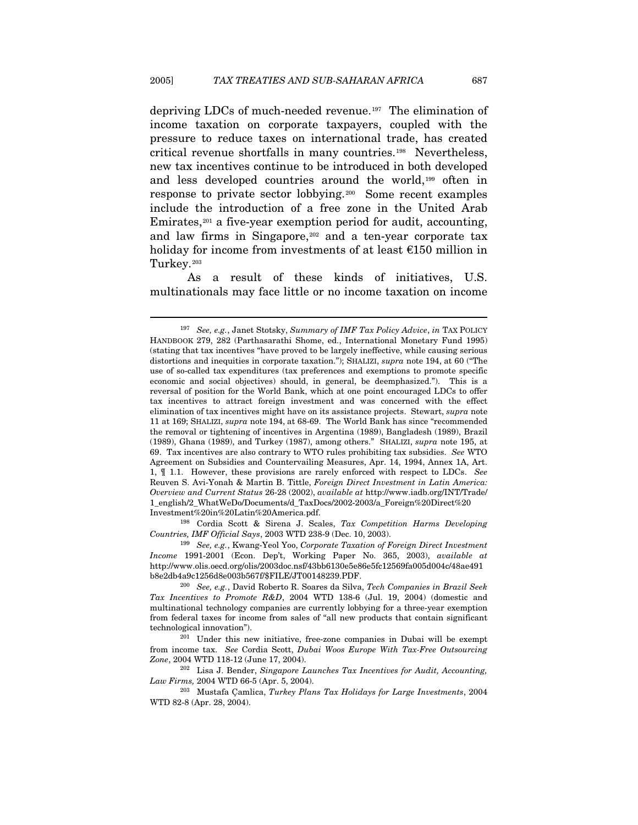depriving LDCs of much-needed revenue.[1](#page-49-0)97 The elimination of income taxation on corporate taxpayers, coupled with the pressure to reduce taxes on international trade, has created critical revenue shortfalls in many countries.[1](#page-49-1)98 Nevertheless, new tax incentives continue to be introduced in both developed and less developed countries around the world,[1](#page-49-2)99 often in response to private sector lobbying.[20](#page-49-3)0 Some recent examples include the introduction of a free zone in the United Arab Emirates, $201$  $201$  a five-year exemption period for audit, accounting, and law firms in Singapore, $202$  $202$  and a ten-year corporate tax holiday for income from investments of at least €150 million in Turkey.<sup>[20](#page-49-6)3</sup>

As a result of these kinds of initiatives, U.S. multinationals may face little or no income taxation on income

 $\overline{a}$ 

<span id="page-49-1"></span>Investment%20in%20Latin%20America.pdf. 198 Cordia Scott & Sirena J. Scales, *Tax Competition Harms Developing Countries, IMF Official Says*, 2003 WTD 238-9 (Dec. 10, 2003). 199 *See, e.g.*, Kwang-Yeol Yoo, *Corporate Taxation of Foreign Direct Investment* 

<span id="page-49-2"></span>*Income* 1991-2001 (Econ. Dep't, Working Paper No. 365, 2003), *available at*  http://www.olis.oecd.org/olis/2003doc.nsf/43bb6130e5e86e5fc12569fa005d004c/48ae491

<span id="page-49-0"></span><sup>197</sup> *See, e.g.*, Janet Stotsky, *Summary of IMF Tax Policy Advice*, *in* TAX POLICY HANDBOOK 279, 282 (Parthasarathi Shome, ed., International Monetary Fund 1995) (stating that tax incentives "have proved to be largely ineffective, while causing serious distortions and inequities in corporate taxation."); SHALIZI, *supra* note 194, at 60 ("The use of so-called tax expenditures (tax preferences and exemptions to promote specific economic and social objectives) should, in general, be deemphasized."). This is a reversal of position for the World Bank, which at one point encouraged LDCs to offer tax incentives to attract foreign investment and was concerned with the effect elimination of tax incentives might have on its assistance projects. Stewart, *supra* note 11 at 169; SHALIZI, *supra* note 194, at 68-69. The World Bank has since "recommended the removal or tightening of incentives in Argentina (1989), Bangladesh (1989), Brazil (1989), Ghana (1989), and Turkey (1987), among others." SHALIZI, *supra* note 195, at 69. Tax incentives are also contrary to WTO rules prohibiting tax subsidies. *See* WTO Agreement on Subsidies and Countervailing Measures, Apr. 14, 1994, Annex 1A, Art. 1, ¶ 1.1. However, these provisions are rarely enforced with respect to LDCs. *See* Reuven S. Avi-Yonah & Martin B. Tittle, *Foreign Direct Investment in Latin America: Overview and Current Status* 26-28 (2002), *available at* http://www.iadb.org/INT/Trade/ 1\_english/2\_WhatWeDo/Documents/d\_TaxDocs/2002-2003/a\_Foreign%20Direct%20

<span id="page-49-3"></span>b8e2db4a9c1256d8e003b567f/\$FILE/JT00148239.PDF. 200 *See, e.g.*, David Roberto R. Soares da Silva, *Tech Companies in Brazil Seek Tax Incentives to Promote R&D*, 2004 WTD 138-6 (Jul. 19, 2004) (domestic and multinational technology companies are currently lobbying for a three-year exemption from federal taxes for income from sales of "all new products that contain significant technological innovation"). 201 Under this new initiative, free-zone companies in Dubai will be exempt

<span id="page-49-4"></span>from income tax. *See* Cordia Scott, *Dubai Woos Europe With Tax-Free Outsourcing Zone*, 2004 WTD 118-12 (June 17, 2004).

<span id="page-49-5"></span><sup>202</sup> Lisa J. Bender, *Singapore Launches Tax Incentives for Audit, Accounting, Law Firms,* 2004 WTD 66-5 (Apr. 5, 2004). 203 Mustafa Çamlica, *Turkey Plans Tax Holidays for Large Investments*, 2004

<span id="page-49-6"></span>WTD 82-8 (Apr. 28, 2004).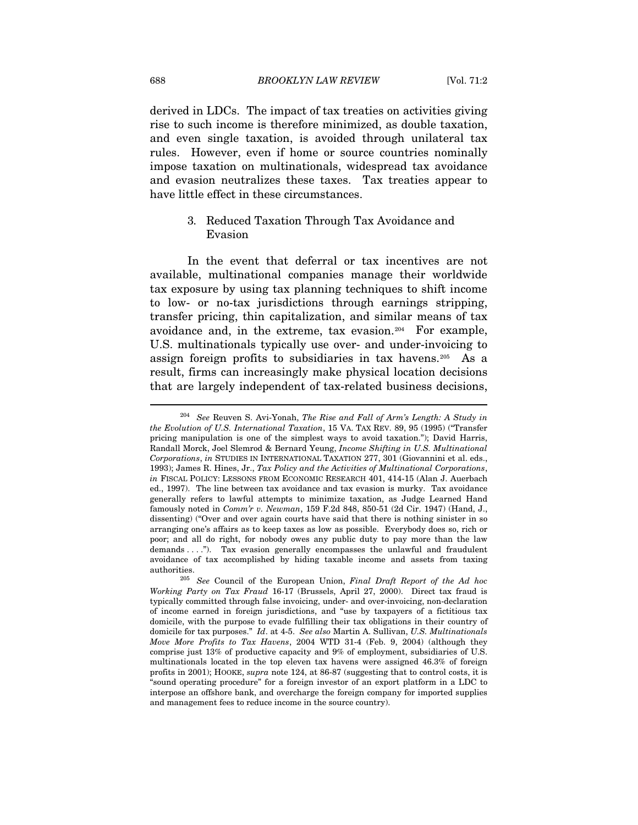derived in LDCs. The impact of tax treaties on activities giving rise to such income is therefore minimized, as double taxation, and even single taxation, is avoided through unilateral tax rules. However, even if home or source countries nominally impose taxation on multinationals, widespread tax avoidance and evasion neutralizes these taxes. Tax treaties appear to have little effect in these circumstances.

# 3*.* Reduced Taxation Through Tax Avoidance and Evasion

In the event that deferral or tax incentives are not available, multinational companies manage their worldwide tax exposure by using tax planning techniques to shift income to low- or no-tax jurisdictions through earnings stripping, transfer pricing, thin capitalization, and similar means of tax avoidance and, in the extreme, tax evasion.[2](#page-50-0)04 For example, U.S. multinationals typically use over- and under-invoicing to assign foreign profits to subsidiaries in tax havens.[20](#page-50-1)5 As a result, firms can increasingly make physical location decisions that are largely independent of tax-related business decisions,

<span id="page-50-0"></span><sup>204</sup> *See* Reuven S. Avi-Yonah, *The Rise and Fall of Arm's Length: A Study in the Evolution of U.S. International Taxation*, 15 VA. TAX REV. 89, 95 (1995) ("Transfer pricing manipulation is one of the simplest ways to avoid taxation."); David Harris, Randall Morck, Joel Slemrod & Bernard Yeung, *Income Shifting in U.S. Multinational Corporations*, *in* STUDIES IN INTERNATIONAL TAXATION 277, 301 (Giovannini et al. eds., 1993); James R. Hines, Jr., *Tax Policy and the Activities of Multinational Corporations*, *in* FISCAL POLICY: LESSONS FROM ECONOMIC RESEARCH 401, 414-15 (Alan J. Auerbach ed., 1997). The line between tax avoidance and tax evasion is murky. Tax avoidance generally refers to lawful attempts to minimize taxation, as Judge Learned Hand famously noted in *Comm'r v. Newman*, 159 F.2d 848, 850-51 (2d Cir. 1947) (Hand, J., dissenting) ("Over and over again courts have said that there is nothing sinister in so arranging one's affairs as to keep taxes as low as possible. Everybody does so, rich or poor; and all do right, for nobody owes any public duty to pay more than the law demands . . . ."). Tax evasion generally encompasses the unlawful and fraudulent avoidance of tax accomplished by hiding taxable income and assets from taxing authorities. 205 *See* Council of the European Union, *Final Draft Report of the Ad hoc* 

<span id="page-50-1"></span>*Working Party on Tax Fraud* 16-17 (Brussels, April 27, 2000). Direct tax fraud is typically committed through false invoicing, under- and over-invoicing, non-declaration of income earned in foreign jurisdictions, and "use by taxpayers of a fictitious tax domicile, with the purpose to evade fulfilling their tax obligations in their country of domicile for tax purposes." *Id*. at 4-5. *See also* Martin A. Sullivan, *U.S. Multinationals Move More Profits to Tax Havens*, 2004 WTD 31-4 (Feb. 9, 2004) (although they comprise just 13% of productive capacity and 9% of employment, subsidiaries of U.S. multinationals located in the top eleven tax havens were assigned 46.3% of foreign profits in 2001); HOOKE, *supra* note 124, at 86-87 (suggesting that to control costs, it is "sound operating procedure" for a foreign investor of an export platform in a LDC to interpose an offshore bank, and overcharge the foreign company for imported supplies and management fees to reduce income in the source country).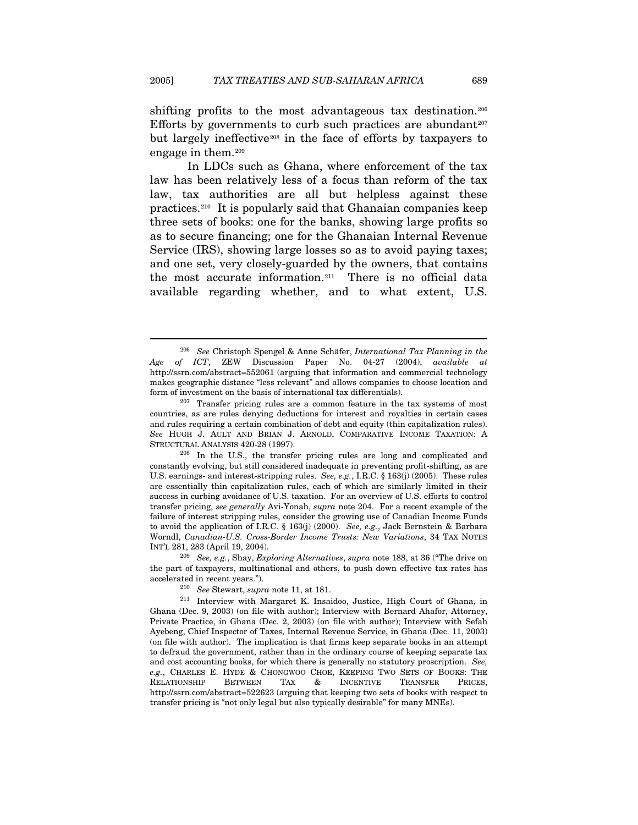shifting profits to the most advantageous tax destination.<sup>[20](#page-51-0)6</sup> Efforts by governments to curb such practices are abundant<sup>[20](#page-51-1)7</sup> but largely ineffective<sup>[2](#page-51-2)08</sup> in the face of efforts by taxpayers to engage in them.[20](#page-51-3)9

In LDCs such as Ghana, where enforcement of the tax law has been relatively less of a focus than reform of the tax law, tax authorities are all but helpless against these practices.[2](#page-51-4)10 It is popularly said that Ghanaian companies keep three sets of books: one for the banks, showing large profits so as to secure financing; one for the Ghanaian Internal Revenue Service (IRS), showing large losses so as to avoid paying taxes; and one set, very closely-guarded by the owners, that contains the most accurate information.[21](#page-51-5)1 There is no official data available regarding whether, and to what extent, U.S.

<span id="page-51-3"></span>the part of taxpayers, multinational and others, to push down effective tax rates has

<span id="page-51-0"></span><sup>206</sup> *See* Christoph Spengel & Anne Schäfer, *International Tax Planning in the Age of ICT*, ZEW Discussion Paper No. 04-27 (2004), *available at*  http://ssrn.com/abstract=552061 (arguing that information and commercial technology makes geographic distance "less relevant" and allows companies to choose location and form of investment on the basis of international tax differentials).<br><sup>207</sup> Transfer pricing rules are a common feature in the tax systems of most

<span id="page-51-1"></span>countries, as are rules denying deductions for interest and royalties in certain cases and rules requiring a certain combination of debt and equity (thin capitalization rules). *See* HUGH J. AULT AND BRIAN J. ARNOLD, COMPARATIVE INCOME TAXATION: A

<span id="page-51-2"></span>STRUCTURAL ANALYSIS 420-28 (1997). 208 In the U.S., the transfer pricing rules are long and complicated and constantly evolving, but still considered inadequate in preventing profit-shifting, as are U.S. earnings- and interest-stripping rules. *See, e.g.*, I.R.C. § 163(j) (2005). These rules are essentially thin capitalization rules, each of which are similarly limited in their success in curbing avoidance of U.S. taxation. For an overview of U.S. efforts to control transfer pricing, *see generally* Avi-Yonah, *supra* note 204. For a recent example of the failure of interest stripping rules, consider the growing use of Canadian Income Funds to avoid the application of I.R.C. § 163(j) (2000). *See, e.g.*, Jack Bernstein & Barbara Worndl, *Canadian-U.S. Cross-Border Income Trusts: New Variations*, 34 TAX NOTES INT'L 281, 283 (April 19, 2004). 209 *See, e.g.*, Shay, *Exploring Alternatives*, *supra* note 188, at 36 ("The drive on

<span id="page-51-5"></span><span id="page-51-4"></span>accelerated in recent years."). 210 *See* Stewart, *supra* note 11, at 181. 211 Interview with Margaret K. Insaidoo, Justice, High Court of Ghana, in Ghana (Dec. 9, 2003) (on file with author); Interview with Bernard Ahafor, Attorney, Private Practice, in Ghana (Dec. 2, 2003) (on file with author); Interview with Sefah Ayebeng, Chief Inspector of Taxes, Internal Revenue Service, in Ghana (Dec. 11, 2003) (on file with author). The implication is that firms keep separate books in an attempt to defraud the government, rather than in the ordinary course of keeping separate tax and cost accounting books, for which there is generally no statutory proscription. *See, e.g.*, CHARLES E. HYDE & CHONGWOO CHOE, KEEPING TWO SETS OF BOOKS: THE RELATIONSHIP BETWEEN TAX & INCENTIVE TRANSFER PRICES, http://ssrn.com/abstract=522623 (arguing that keeping two sets of books with respect to transfer pricing is "not only legal but also typically desirable" for many MNEs).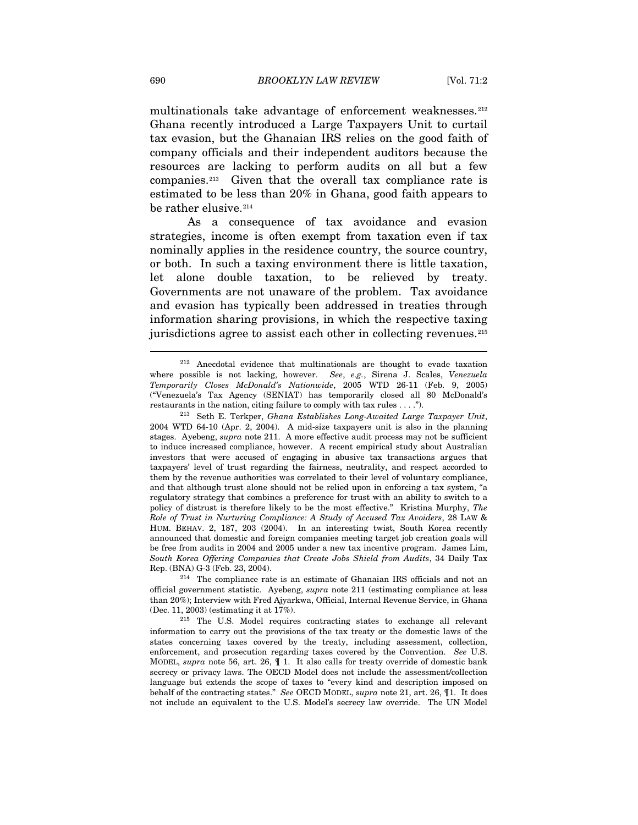multinationals take advantage of enforcement weaknesses.<sup>[21](#page-52-0)2</sup> Ghana recently introduced a Large Taxpayers Unit to curtail tax evasion, but the Ghanaian IRS relies on the good faith of company officials and their independent auditors because the resources are lacking to perform audits on all but a few companies.[21](#page-52-1)3 Given that the overall tax compliance rate is estimated to be less than 20% in Ghana, good faith appears to be rather elusive.[2](#page-52-2)14

As a consequence of tax avoidance and evasion strategies, income is often exempt from taxation even if tax nominally applies in the residence country, the source country, or both. In such a taxing environment there is little taxation, let alone double taxation, to be relieved by treaty. Governments are not unaware of the problem. Tax avoidance and evasion has typically been addressed in treaties through information sharing provisions, in which the respective taxing jurisdictions agree to assist each other in collecting revenues.[21](#page-52-3)5

<span id="page-52-2"></span>official government statistic. Ayebeng, *supra* note 211 (estimating compliance at less than 20%); Interview with Fred Ajyarkwa, Official, Internal Revenue Service, in Ghana

<span id="page-52-3"></span>(Dec. 11, 2003) (estimating it at 17%).<br><sup>215</sup> The U.S. Model requires contracting states to exchange all relevant information to carry out the provisions of the tax treaty or the domestic laws of the states concerning taxes covered by the treaty, including assessment, collection, enforcement, and prosecution regarding taxes covered by the Convention. *See* U.S. MODEL, *supra* note 56, art. 26, ¶ 1. It also calls for treaty override of domestic bank secrecy or privacy laws. The OECD Model does not include the assessment/collection language but extends the scope of taxes to "every kind and description imposed on behalf of the contracting states." *See* OECD MODEL, *supra* note 21, art. 26, ¶1. It does not include an equivalent to the U.S. Model's secrecy law override. The UN Model

<span id="page-52-0"></span><sup>212</sup> Anecdotal evidence that multinationals are thought to evade taxation where possible is not lacking, however. *See*, *e.g.*, Sirena J. Scales, *Venezuela Temporarily Closes McDonald's Nationwide*, 2005 WTD 26-11 (Feb. 9, 2005) ("Venezuela's Tax Agency (SENIAT) has temporarily closed all 80 McDonald's restaurants in the nation, citing failure to comply with tax rules . . . .").

<span id="page-52-1"></span><sup>&</sup>lt;sup>213</sup> Seth E. Terkper, *Ghana Establishes Long-Awaited Large Taxpayer Unit*, 2004 WTD 64-10 (Apr. 2, 2004). A mid-size taxpayers unit is also in the planning stages. Ayebeng, *supra* note 211. A more effective audit process may not be sufficient to induce increased compliance, however. A recent empirical study about Australian investors that were accused of engaging in abusive tax transactions argues that taxpayers' level of trust regarding the fairness, neutrality, and respect accorded to them by the revenue authorities was correlated to their level of voluntary compliance, and that although trust alone should not be relied upon in enforcing a tax system, "a regulatory strategy that combines a preference for trust with an ability to switch to a policy of distrust is therefore likely to be the most effective." Kristina Murphy, *The Role of Trust in Nurturing Compliance: A Study of Accused Tax Avoiders*, 28 LAW & HUM. BEHAV. 2, 187, 203 (2004). In an interesting twist, South Korea recently announced that domestic and foreign companies meeting target job creation goals will be free from audits in 2004 and 2005 under a new tax incentive program. James Lim, *South Korea Offering Companies that Create Jobs Shield from Audits*, 34 Daily Tax Rep. (BNA) G-3 (Feb. 23, 2004). 214 The compliance rate is an estimate of Ghanaian IRS officials and not an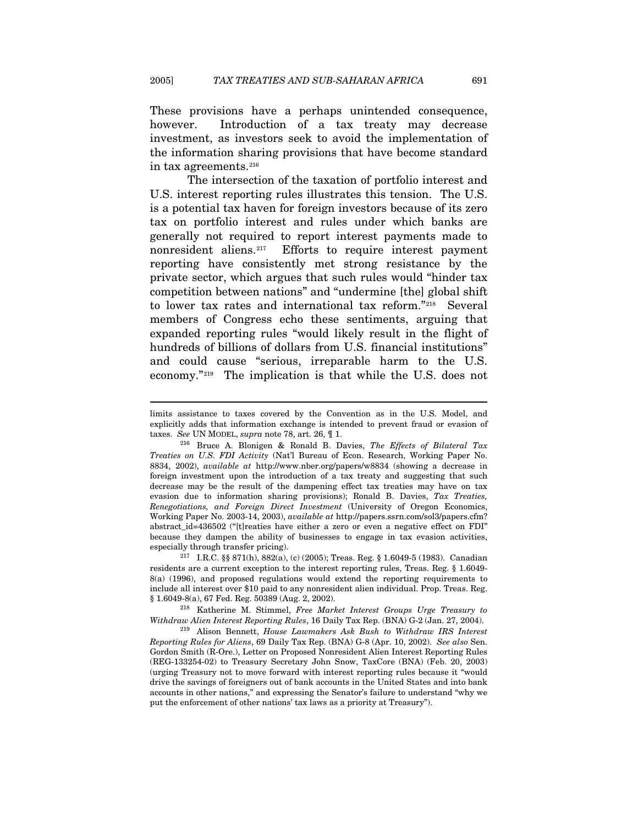These provisions have a perhaps unintended consequence, however. Introduction of a tax treaty may decrease investment, as investors seek to avoid the implementation of the information sharing provisions that have become standard in tax agreements.[2](#page-53-0)16

The intersection of the taxation of portfolio interest and U.S. interest reporting rules illustrates this tension. The U.S. is a potential tax haven for foreign investors because of its zero tax on portfolio interest and rules under which banks are generally not required to report interest payments made to nonresident aliens.[2](#page-53-1)17 Efforts to require interest payment reporting have consistently met strong resistance by the private sector, which argues that such rules would "hinder tax competition between nations" and "undermine [the] global shift to lower tax rates and international tax reform."[2](#page-53-2)18 Several members of Congress echo these sentiments, arguing that expanded reporting rules "would likely result in the flight of hundreds of billions of dollars from U.S. financial institutions" and could cause "serious, irreparable harm to the U.S. economy."[21](#page-53-3)9 The implication is that while the U.S. does not

limits assistance to taxes covered by the Convention as in the U.S. Model, and explicitly adds that information exchange is intended to prevent fraud or evasion of

<span id="page-53-0"></span>taxes. *See* UN MODEL, *supra* note 78, art. 26, ¶ 1. 216 Bruce A. Blonigen & Ronald B. Davies, *The Effects of Bilateral Tax Treaties on U.S. FDI Activity* (Nat'l Bureau of Econ. Research, Working Paper No. 8834, 2002), *available at* http://www.nber.org/papers/w8834 (showing a decrease in foreign investment upon the introduction of a tax treaty and suggesting that such decrease may be the result of the dampening effect tax treaties may have on tax evasion due to information sharing provisions); Ronald B. Davies, *Tax Treaties, Renegotiations, and Foreign Direct Investment* (University of Oregon Economics, Working Paper No. 2003-14, 2003), *available at* http://papers.ssrn.com/sol3/papers.cfm? abstract\_id=436502 ("[t]reaties have either a zero or even a negative effect on FDI" because they dampen the ability of businesses to engage in tax evasion activities,

<span id="page-53-1"></span>especially through transfer pricing).<br><sup>217</sup> I.R.C. §§ 871(h), 882(a), (c) (2005); Treas. Reg. § 1.6049-5 (1983). Canadian residents are a current exception to the interest reporting rules, Treas. Reg. § 1.6049- 8(a) (1996), and proposed regulations would extend the reporting requirements to include all interest over \$10 paid to any nonresident alien individual. Prop. Treas. Reg.

<span id="page-53-2"></span><sup>§ 1.6049-8(</sup>a), 67 Fed. Reg. 50389 (Aug. 2, 2002). 218 Katherine M. Stimmel, *Free Market Interest Groups Urge Treasury to Withdraw Alien Interest Reporting Rules*, 16 Daily Tax Rep. (BNA) G-2 (Jan. 27, 2004). 219 Alison Bennett, *House Lawmakers Ask Bush to Withdraw IRS Interest* 

<span id="page-53-3"></span>*Reporting Rules for Aliens*, 69 Daily Tax Rep. (BNA) G-8 (Apr. 10, 2002). *See also* Sen. Gordon Smith (R-Ore.), Letter on Proposed Nonresident Alien Interest Reporting Rules (REG-133254-02) to Treasury Secretary John Snow, TaxCore (BNA) (Feb. 20, 2003) (urging Treasury not to move forward with interest reporting rules because it "would drive the savings of foreigners out of bank accounts in the United States and into bank accounts in other nations," and expressing the Senator's failure to understand "why we put the enforcement of other nations' tax laws as a priority at Treasury").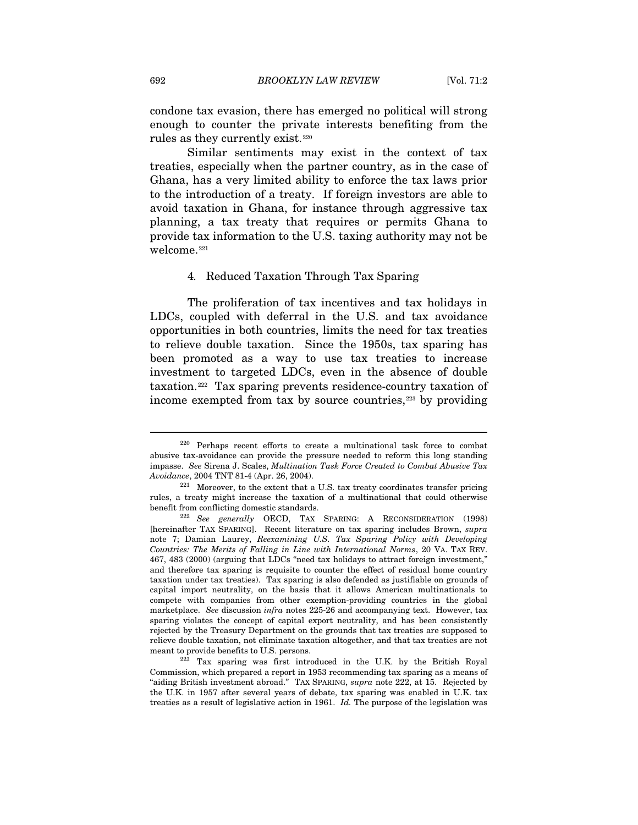condone tax evasion, there has emerged no political will strong enough to counter the private interests benefiting from the rules as they currently exist.[22](#page-54-0)0

Similar sentiments may exist in the context of tax treaties, especially when the partner country, as in the case of Ghana, has a very limited ability to enforce the tax laws prior to the introduction of a treaty. If foreign investors are able to avoid taxation in Ghana, for instance through aggressive tax planning, a tax treaty that requires or permits Ghana to provide tax information to the U.S. taxing authority may not be welcome.<sup>[22](#page-54-1)1</sup>

#### 4*.* Reduced Taxation Through Tax Sparing

The proliferation of tax incentives and tax holidays in LDCs, coupled with deferral in the U.S. and tax avoidance opportunities in both countries, limits the need for tax treaties to relieve double taxation. Since the 1950s, tax sparing has been promoted as a way to use tax treaties to increase investment to targeted LDCs, even in the absence of double taxation.[2](#page-54-2)22 Tax sparing prevents residence-country taxation of income exempted from tax by source countries,<sup>[22](#page-54-3)3</sup> by providing

<span id="page-54-0"></span><sup>220</sup> Perhaps recent efforts to create a multinational task force to combat abusive tax-avoidance can provide the pressure needed to reform this long standing impasse. *See* Sirena J. Scales, *Multination Task Force Created to Combat Abusive Tax Avoidance*, 2004 TNT 81-4 (Apr. 26, 2004).<br><sup>221</sup> Moreover, to the extent that a U.S. tax treaty coordinates transfer pricing

<span id="page-54-1"></span>rules, a treaty might increase the taxation of a multinational that could otherwise

<span id="page-54-2"></span>benefit from conflicting domestic standards. 222 *See generally* OECD, TAX SPARING: <sup>A</sup> RECONSIDERATION (1998) [hereinafter TAX SPARING]. Recent literature on tax sparing includes Brown, *supra* note 7; Damian Laurey, *Reexamining U.S. Tax Sparing Policy with Developing Countries: The Merits of Falling in Line with International Norms*, 20 VA. TAX REV. 467, 483 (2000) (arguing that LDCs "need tax holidays to attract foreign investment," and therefore tax sparing is requisite to counter the effect of residual home country taxation under tax treaties). Tax sparing is also defended as justifiable on grounds of capital import neutrality, on the basis that it allows American multinationals to compete with companies from other exemption-providing countries in the global marketplace. *See* discussion *infra* notes 225-26 and accompanying text. However, tax sparing violates the concept of capital export neutrality, and has been consistently rejected by the Treasury Department on the grounds that tax treaties are supposed to relieve double taxation, not eliminate taxation altogether, and that tax treaties are not meant to provide benefits to U.S. persons.<br><sup>223</sup> Tax sparing was first introduced in the U.K. by the British Royal

<span id="page-54-3"></span>Commission, which prepared a report in 1953 recommending tax sparing as a means of "aiding British investment abroad." TAX SPARING, *supra* note 222, at 15. Rejected by the U.K. in 1957 after several years of debate, tax sparing was enabled in U.K. tax treaties as a result of legislative action in 1961. *Id.* The purpose of the legislation was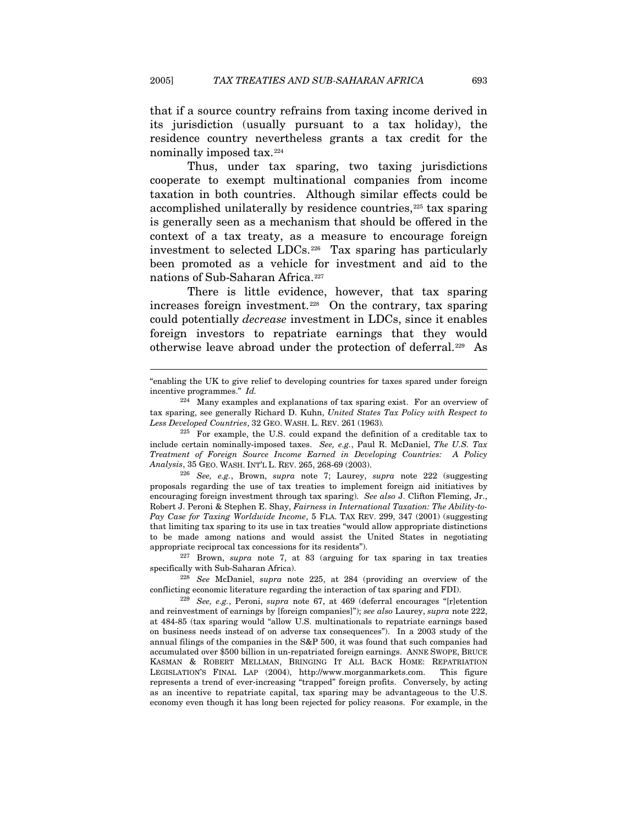that if a source country refrains from taxing income derived in its jurisdiction (usually pursuant to a tax holiday), the residence country nevertheless grants a tax credit for the nominally imposed tax.<sup>[2](#page-55-0)24</sup>

Thus, under tax sparing, two taxing jurisdictions cooperate to exempt multinational companies from income taxation in both countries. Although similar effects could be accomplished unilaterally by residence countries,<sup>[22](#page-55-1)5</sup> tax sparing is generally seen as a mechanism that should be offered in the context of a tax treaty, as a measure to encourage foreign investment to selected LDCs.[22](#page-55-2)6 Tax sparing has particularly been promoted as a vehicle for investment and aid to the nations of Sub-Saharan Africa.<sup>[22](#page-55-3)7</sup>

There is little evidence, however, that tax sparing increases foreign investment.[2](#page-55-4)28 On the contrary, tax sparing could potentially *decrease* investment in LDCs, since it enables foreign investors to repatriate earnings that they would otherwise leave abroad under the protection of deferral.[2](#page-55-5)29 As

 $\overline{a}$ 

<span id="page-55-3"></span>specifically with Sub-Saharan Africa). 228 *See* McDaniel, *supra* note 225, at 284 (providing an overview of the

<span id="page-55-5"></span><span id="page-55-4"></span>conflicting economic literature regarding the interaction of tax sparing and FDI). 229 *See, e.g.*, Peroni, *supra* note 67, at 469 (deferral encourages "[r]etention

and reinvestment of earnings by [foreign companies]"); *see also* Laurey, *supra* note 222, at 484-85 (tax sparing would "allow U.S. multinationals to repatriate earnings based on business needs instead of on adverse tax consequences"). In a 2003 study of the annual filings of the companies in the S&P 500, it was found that such companies had accumulated over \$500 billion in un-repatriated foreign earnings. ANNE SWOPE, BRUCE KASMAN & ROBERT MELLMAN, BRINGING IT ALL BACK HOME: REPATRIATION LEGISLATION'S FINAL LAP (2004), http://www.morganmarkets.com. This figure represents a trend of ever-increasing "trapped" foreign profits. Conversely, by acting as an incentive to repatriate capital, tax sparing may be advantageous to the U.S. economy even though it has long been rejected for policy reasons. For example, in the

<sup>&</sup>quot;enabling the UK to give relief to developing countries for taxes spared under foreign incentive programmes." *Id.* 224 Many examples and explanations of tax sparing exist. For an overview of

<span id="page-55-0"></span>tax sparing, see generally Richard D. Kuhn, *United States Tax Policy with Respect to* 

<span id="page-55-1"></span>*Less Developed Countries*, 32 GEO. WASH. L. REV. 261 (1963)*.* 225 For example, the U.S. could expand the definition of a creditable tax to include certain nominally-imposed taxes. *See, e.g.*, Paul R. McDaniel, *The U.S. Tax Treatment of Foreign Source Income Earned in Developing Countries: A Policy Analysis*, 35 GEO. WASH. INT'L L. REV. 265, 268-69 (2003). 226 *See, e.g.*, Brown, *supra* note 7; Laurey, *supra* note 222 (suggesting

<span id="page-55-2"></span>proposals regarding the use of tax treaties to implement foreign aid initiatives by encouraging foreign investment through tax sparing). *See also* J. Clifton Fleming, Jr., Robert J. Peroni & Stephen E. Shay, *Fairness in International Taxation: The Ability-to-Pay Case for Taxing Worldwide Income*, 5 FLA. TAX REV. 299, 347 (2001) (suggesting that limiting tax sparing to its use in tax treaties "would allow appropriate distinctions to be made among nations and would assist the United States in negotiating appropriate reciprocal tax concessions for its residents"). 227 Brown, *supra* note 7, at 83 (arguing for tax sparing in tax treaties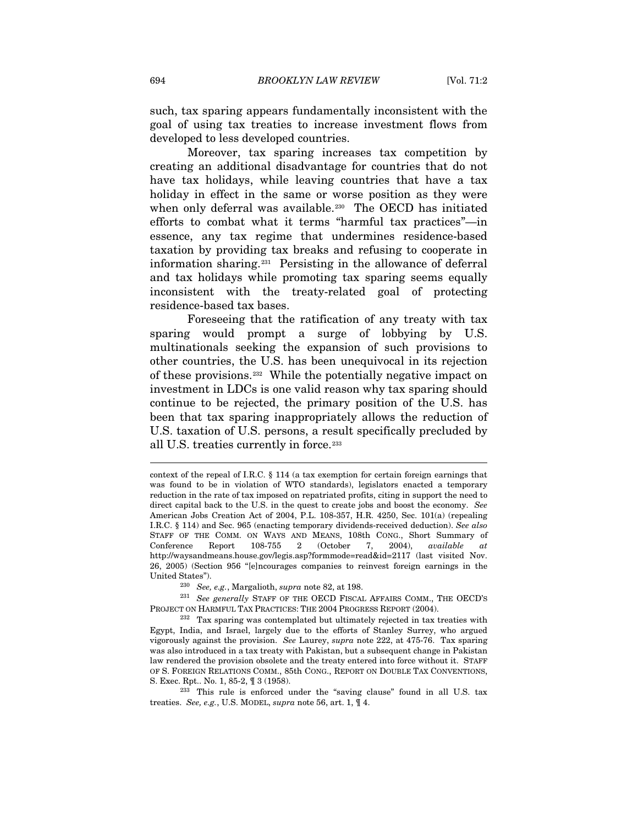such, tax sparing appears fundamentally inconsistent with the goal of using tax treaties to increase investment flows from developed to less developed countries.

Moreover, tax sparing increases tax competition by creating an additional disadvantage for countries that do not have tax holidays, while leaving countries that have a tax holiday in effect in the same or worse position as they were when only deferral was available.<sup>[23](#page-56-0)0</sup> The OECD has initiated efforts to combat what it terms "harmful tax practices"—in essence, any tax regime that undermines residence-based taxation by providing tax breaks and refusing to cooperate in information sharing.[23](#page-56-1)1 Persisting in the allowance of deferral and tax holidays while promoting tax sparing seems equally inconsistent with the treaty-related goal of protecting residence-based tax bases.

Foreseeing that the ratification of any treaty with tax sparing would prompt a surge of lobbying by U.S. multinationals seeking the expansion of such provisions to other countries, the U.S. has been unequivocal in its rejection of these provisions.[23](#page-56-2)2 While the potentially negative impact on investment in LDCs is one valid reason why tax sparing should continue to be rejected, the primary position of the U.S. has been that tax sparing inappropriately allows the reduction of U.S. taxation of U.S. persons, a result specifically precluded by all U.S. treaties currently in force.<sup>[23](#page-56-3)3</sup>

<span id="page-56-1"></span><span id="page-56-0"></span> $^{231}$  See generally STAFF OF THE OECD FISCAL AFFAIRS COMM., THE OECD'S PROJECT ON HARMFUL TAX PRACTICES: THE  $2004$  PROGRESS REPORT  $\left( 2004\right) .$ 

<span id="page-56-2"></span> $232$  Tax sparing was contemplated but ultimately rejected in tax treaties with Egypt, India, and Israel, largely due to the efforts of Stanley Surrey, who argued vigorously against the provision. *See* Laurey, *supra* note 222, at 475-76. Tax sparing was also introduced in a tax treaty with Pakistan, but a subsequent change in Pakistan law rendered the provision obsolete and the treaty entered into force without it. STAFF OF S. FOREIGN RELATIONS COMM., 85th CONG., REPORT ON DOUBLE TAX CONVENTIONS,

<span id="page-56-3"></span>S. Exec. Rpt.. No. 1, 85-2, ¶ 3 (1958). 233 This rule is enforced under the "saving clause" found in all U.S. tax treaties. *See, e.g.*, U.S. MODEL, *supra* note 56, art. 1, ¶ 4.

context of the repeal of I.R.C. § 114 (a tax exemption for certain foreign earnings that was found to be in violation of WTO standards), legislators enacted a temporary reduction in the rate of tax imposed on repatriated profits, citing in support the need to direct capital back to the U.S. in the quest to create jobs and boost the economy. *See* American Jobs Creation Act of 2004, P.L. 108-357, H.R. 4250, Sec. 101(a) (repealing I.R.C. § 114) and Sec. 965 (enacting temporary dividends-received deduction). *See also* STAFF OF THE COMM. ON WAYS AND MEANS, 108th CONG., Short Summary of Conference Report 108-755 2 (October 7, 2004), available at Conference Report 108-755 2 (October 7, 2004), *available at* http://waysandmeans.house.gov/legis.asp?formmode=read&id=2117 (last visited Nov. 26, 2005) (Section 956 "[e]ncourages companies to reinvest foreign earnings in the United States"). 230 *See, e.g.*, Margalioth, *supra* note 82, at 198.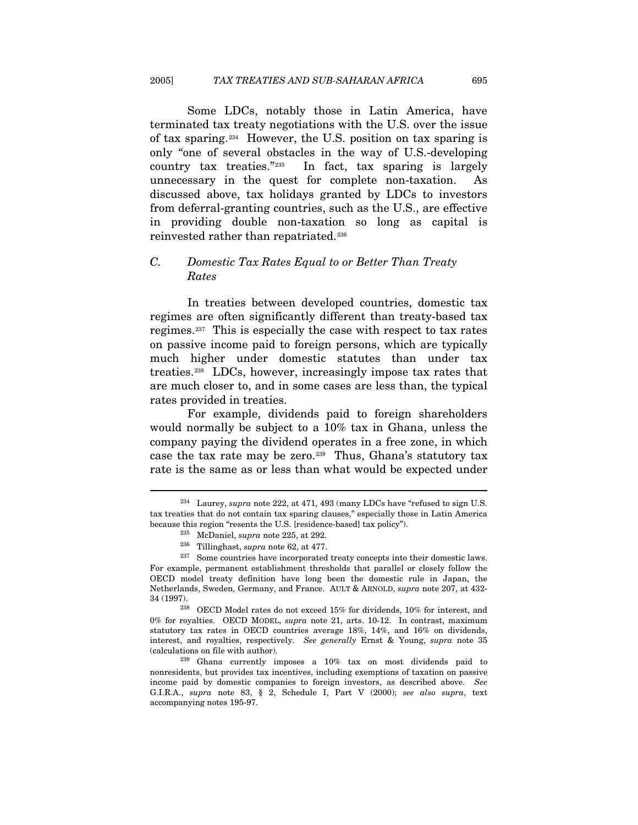Some LDCs, notably those in Latin America, have terminated tax treaty negotiations with the U.S. over the issue of tax sparing.[23](#page-57-0)4 However, the U.S. position on tax sparing is only "one of several obstacles in the way of U.S.-developing country tax treaties."[2](#page-57-1)35 In fact, tax sparing is largely unnecessary in the quest for complete non-taxation. As discussed above, tax holidays granted by LDCs to investors from deferral-granting countries, such as the U.S., are effective in providing double non-taxation so long as capital is reinvested rather than repatriated.[23](#page-57-2)6

### *C. Domestic Tax Rates Equal to or Better Than Treaty Rates*

In treaties between developed countries, domestic tax regimes are often significantly different than treaty-based tax regimes.[23](#page-57-3)7 This is especially the case with respect to tax rates on passive income paid to foreign persons, which are typically much higher under domestic statutes than under tax treaties.[23](#page-57-4)8 LDCs, however, increasingly impose tax rates that are much closer to, and in some cases are less than, the typical rates provided in treaties.

For example, dividends paid to foreign shareholders would normally be subject to a 10% tax in Ghana, unless the company paying the dividend operates in a free zone, in which case the tax rate may be zero.<sup>[2](#page-57-5)39</sup> Thus, Ghana's statutory tax rate is the same as or less than what would be expected under

 $\overline{a}$ 

<span id="page-57-4"></span> $^{34}$  (1997).  $^{238}$  OECD Model rates do not exceed  $15\%$  for dividends,  $10\%$  for interest, and 0% for royalties. OECD MODEL, *supra* note 21, arts. 10-12. In contrast, maximum statutory tax rates in OECD countries average 18%, 14%, and 16% on dividends, interest, and royalties, respectively. *See generally* Ernst & Young, *supra* note 35 (calculations on file with author).<br><sup>239</sup> Ghana currently imposes a  $10\%$  tax on most dividends paid to

<span id="page-57-5"></span>nonresidents, but provides tax incentives, including exemptions of taxation on passive income paid by domestic companies to foreign investors, as described above. *See*  G.I.R.A., *supra* note 83, § 2, Schedule I, Part V (2000); *see also supra*, text accompanying notes 195-97.

<span id="page-57-0"></span><sup>&</sup>lt;sup>234</sup> Laurey, *supra* note 222, at 471, 493 (many LDCs have "refused to sign U.S. tax treaties that do not contain tax sparing clauses," especially those in Latin America because this region "resents the U.S. [residence-based] tax policy"). 235 McDaniel, *supra* note 225, at 292.

<span id="page-57-3"></span><span id="page-57-2"></span><span id="page-57-1"></span><sup>&</sup>lt;sup>237</sup> Some countries have incorporated treaty concepts into their domestic laws. For example, permanent establishment thresholds that parallel or closely follow the OECD model treaty definition have long been the domestic rule in Japan, the Netherlands, Sweden, Germany, and France. AULT & ARNOLD, *supra* note 207, at 432-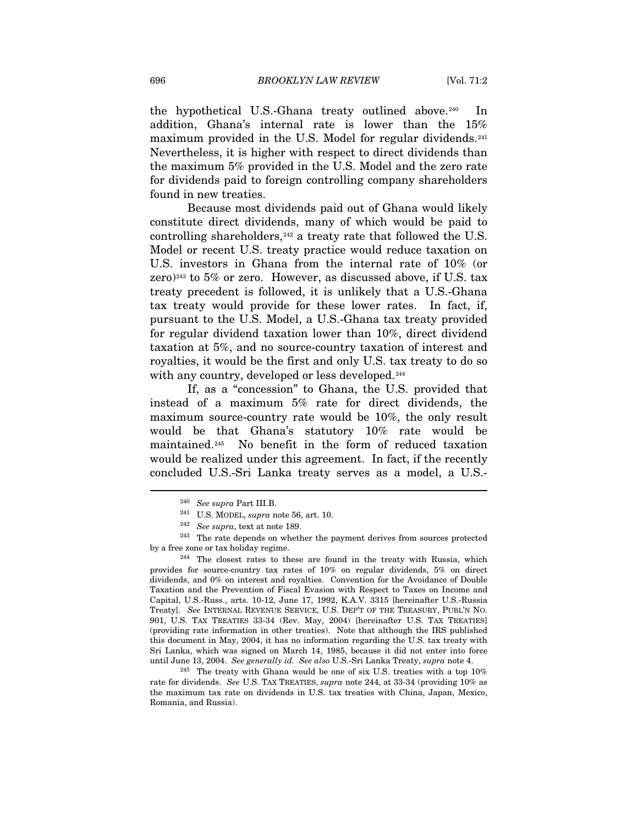the hypothetical U.S.-Ghana treaty outlined above.  $240$  $240$  In addition, Ghana's internal rate is lower than the 15% maximum provided in the U.S. Model for regular dividends.<sup>[24](#page-58-1)1</sup> Nevertheless, it is higher with respect to direct dividends than the maximum 5% provided in the U.S. Model and the zero rate for dividends paid to foreign controlling company shareholders found in new treaties.

Because most dividends paid out of Ghana would likely constitute direct dividends, many of which would be paid to controlling shareholders,  $242$  $242$  a treaty rate that followed the U.S. Model or recent U.S. treaty practice would reduce taxation on U.S. investors in Ghana from the internal rate of 10% (or zero)<sup>[2](#page-58-3)43</sup> to 5% or zero. However, as discussed above, if U.S. tax treaty precedent is followed, it is unlikely that a U.S.-Ghana tax treaty would provide for these lower rates. In fact, if, pursuant to the U.S. Model, a U.S.-Ghana tax treaty provided for regular dividend taxation lower than 10%, direct dividend taxation at 5%, and no source-country taxation of interest and royalties, it would be the first and only U.S. tax treaty to do so with any country, developed or less developed.<sup>[24](#page-58-4)4</sup>

If, as a "concession" to Ghana, the U.S. provided that instead of a maximum 5% rate for direct dividends, the maximum source-country rate would be 10%, the only result would be that Ghana's statutory 10% rate would be maintained.[2](#page-58-5)45 No benefit in the form of reduced taxation would be realized under this agreement. In fact, if the recently concluded U.S.-Sri Lanka treaty serves as a model, a U.S.-

 $\overline{a}$ 

<span id="page-58-5"></span>rate for dividends. *See* U.S. TAX TREATIES, *supra* note 244, at 33-34 (providing 10% as the maximum tax rate on dividends in U.S. tax treaties with China, Japan, Mexico, Romania, and Russia).

<span id="page-58-2"></span><span id="page-58-1"></span><span id="page-58-0"></span><sup>240</sup> *See supra* Part III.B. 241 U.S. MODEL, *supra* note 56, art. 10. 242 *See supra*, text at note 189. 243 The rate depends on whether the payment derives from sources protected by a free zone or tax holiday regime.<br><sup>244</sup> The closest rates to these are found in the treaty with Russia, which

<span id="page-58-4"></span><span id="page-58-3"></span>provides for source-country tax rates of 10% on regular dividends, 5% on direct dividends, and 0% on interest and royalties. Convention for the Avoidance of Double Taxation and the Prevention of Fiscal Evasion with Respect to Taxes on Income and Capital, U.S.-Russ., arts. 10-12, June 17, 1992, K.A.V. 3315 [hereinafter U.S.-Russia Treaty]. *See* INTERNAL REVENUE SERVICE, U.S. DEP'T OF THE TREASURY, PUBL'N NO. 901, U.S. TAX TREATIES 33-34 (Rev. May, 2004) [hereinafter U.S. TAX TREATIES] (providing rate information in other treaties). Note that although the IRS published this document in May, 2004, it has no information regarding the U.S. tax treaty with Sri Lanka, which was signed on March 14, 1985, because it did not enter into force until June 13, 2004. *See generally id. See also* U.S.-Sri Lanka Treaty, *supra* note 4. 245 The treaty with Ghana would be one of six U.S. treaties with a top 10%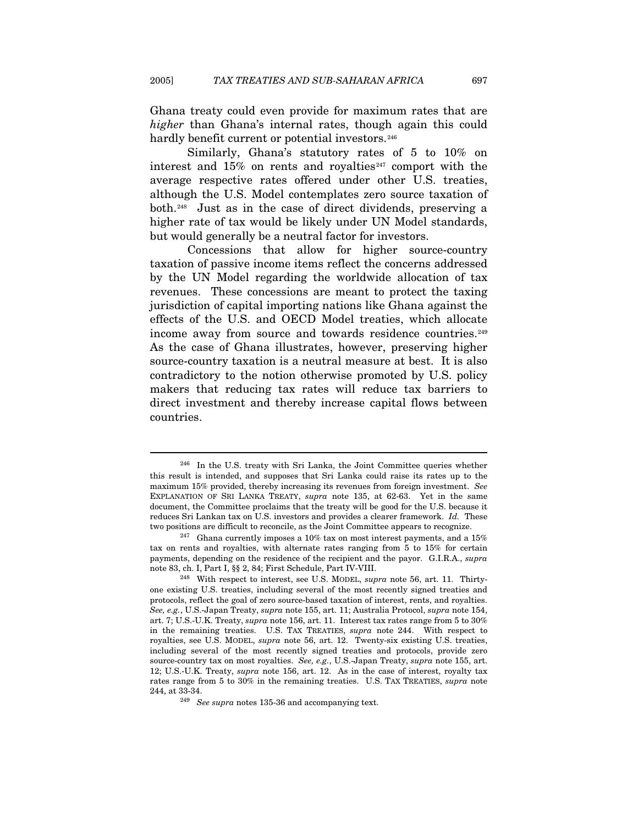Ghana treaty could even provide for maximum rates that are *higher* than Ghana's internal rates, though again this could hardly benefit current or potential investors.<sup>[24](#page-59-0)6</sup>

Similarly, Ghana's statutory rates of 5 to 10% on interest and  $15\%$  on rents and royalties<sup>[2](#page-59-1)47</sup> comport with the average respective rates offered under other U.S. treaties, although the U.S. Model contemplates zero source taxation of both.[2](#page-59-2)48 Just as in the case of direct dividends, preserving a higher rate of tax would be likely under UN Model standards, but would generally be a neutral factor for investors.

Concessions that allow for higher source-country taxation of passive income items reflect the concerns addressed by the UN Model regarding the worldwide allocation of tax revenues. These concessions are meant to protect the taxing jurisdiction of capital importing nations like Ghana against the effects of the U.S. and OECD Model treaties, which allocate income away from source and towards residence countries.<sup>[24](#page-59-3)9</sup> As the case of Ghana illustrates, however, preserving higher source-country taxation is a neutral measure at best. It is also contradictory to the notion otherwise promoted by U.S. policy makers that reducing tax rates will reduce tax barriers to direct investment and thereby increase capital flows between countries.

<span id="page-59-0"></span><sup>&</sup>lt;sup>246</sup> In the U.S. treaty with Sri Lanka, the Joint Committee queries whether this result is intended, and supposes that Sri Lanka could raise its rates up to the maximum 15% provided, thereby increasing its revenues from foreign investment. *See*  EXPLANATION OF SRI LANKA TREATY, *supra* note 135, at 62-63. Yet in the same document, the Committee proclaims that the treaty will be good for the U.S. because it reduces Sri Lankan tax on U.S. investors and provides a clearer framework. *Id.* These

<span id="page-59-1"></span>two positions are difficult to reconcile, as the Joint Committee appears to recognize.<br><sup>247</sup> Ghana currently imposes a 10% tax on most interest payments, and a 15% tax on rents and royalties, with alternate rates ranging from 5 to 15% for certain payments, depending on the residence of the recipient and the payor. G.I.R.A., *supra* note 83, ch. I, Part I, §§ 2, 84; First Schedule, Part IV-VIII. 248 With respect to interest, see U.S. MODEL, *supra* note 56, art. 11. Thirty-

<span id="page-59-2"></span>one existing U.S. treaties, including several of the most recently signed treaties and protocols, reflect the goal of zero source-based taxation of interest, rents, and royalties. *See, e.g.*, U.S.-Japan Treaty, *supra* note 155, art. 11; Australia Protocol, *supra* note 154, art. 7; U.S.-U.K. Treaty, *supra* note 156, art. 11. Interest tax rates range from 5 to 30% in the remaining treaties. U.S. TAX TREATIES, *supra* note 244. With respect to royalties, see U.S. MODEL, *supra* note 56, art. 12. Twenty-six existing U.S. treaties, including several of the most recently signed treaties and protocols, provide zero source-country tax on most royalties. *See, e.g.*, U.S.-Japan Treaty, *supra* note 155, art. 12; U.S.-U.K. Treaty, *supra* note 156, art. 12. As in the case of interest, royalty tax rates range from 5 to 30% in the remaining treaties. U.S. TAX TREATIES, *supra* note 244, at 33-34. 249 *See supra* notes 135-36 and accompanying text.

<span id="page-59-3"></span>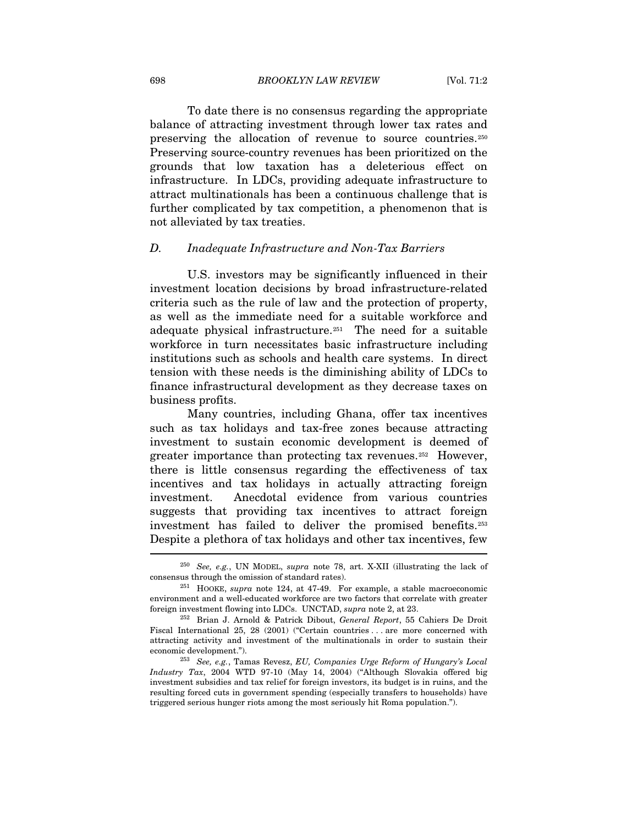To date there is no consensus regarding the appropriate balance of attracting investment through lower tax rates and preserving the allocation of revenue to source countries.[25](#page-60-0)0 Preserving source-country revenues has been prioritized on the grounds that low taxation has a deleterious effect on infrastructure. In LDCs, providing adequate infrastructure to attract multinationals has been a continuous challenge that is further complicated by tax competition, a phenomenon that is not alleviated by tax treaties.

### *D. Inadequate Infrastructure and Non-Tax Barriers*

U.S. investors may be significantly influenced in their investment location decisions by broad infrastructure-related criteria such as the rule of law and the protection of property, as well as the immediate need for a suitable workforce and adequate physical infrastructure.[25](#page-60-1)1 The need for a suitable workforce in turn necessitates basic infrastructure including institutions such as schools and health care systems. In direct tension with these needs is the diminishing ability of LDCs to finance infrastructural development as they decrease taxes on business profits.

Many countries, including Ghana, offer tax incentives such as tax holidays and tax-free zones because attracting investment to sustain economic development is deemed of greater importance than protecting tax revenues.[25](#page-60-2)2 However, there is little consensus regarding the effectiveness of tax incentives and tax holidays in actually attracting foreign investment. Anecdotal evidence from various countries suggests that providing tax incentives to attract foreign investment has failed to deliver the promised benefits.[25](#page-60-3)3 Despite a plethora of tax holidays and other tax incentives, few  $\overline{a}$ 

<span id="page-60-0"></span><sup>250</sup> *See, e.g.*, UN MODEL, *supra* note 78, art. X-XII (illustrating the lack of consensus through the omission of standard rates). 251 HOOKE, *supra* note 124, at 47-49. For example, a stable macroeconomic

<span id="page-60-1"></span>environment and a well-educated workforce are two factors that correlate with greater foreign investment flowing into LDCs. UNCTAD, *supra* note 2, at 23.

<span id="page-60-2"></span><sup>&</sup>lt;sup>252</sup> Brian J. Arnold & Patrick Dibout, *General Report*, 55 Cahiers De Droit Fiscal International 25, 28 (2001) ("Certain countries . . . are more concerned with attracting activity and investment of the multinationals in order to sustain their economic development."). 253 *See, e.g.*, Tamas Revesz, *EU, Companies Urge Reform of Hungary's Local* 

<span id="page-60-3"></span>*Industry Tax*, 2004 WTD 97-10 (May 14, 2004) ("Although Slovakia offered big investment subsidies and tax relief for foreign investors, its budget is in ruins, and the resulting forced cuts in government spending (especially transfers to households) have triggered serious hunger riots among the most seriously hit Roma population.").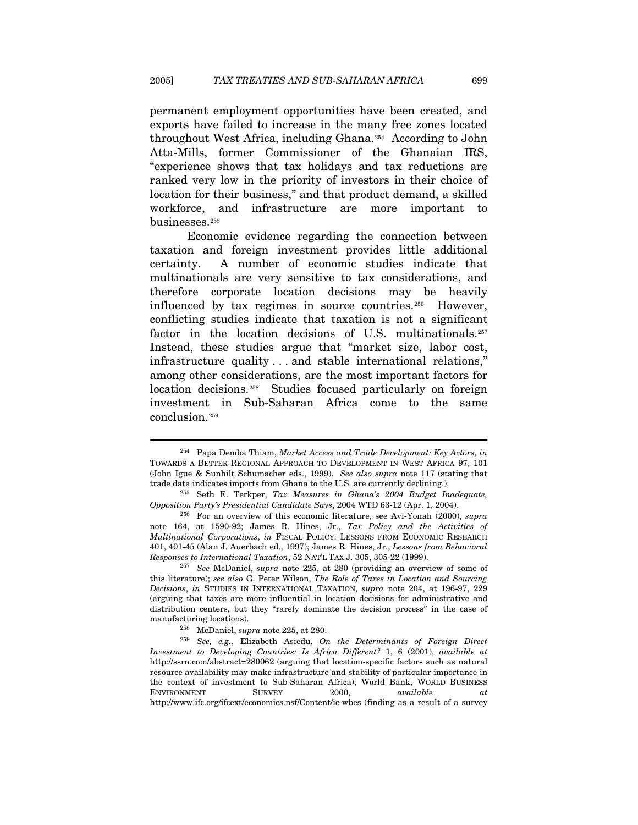permanent employment opportunities have been created, and exports have failed to increase in the many free zones located throughout West Africa, including Ghana.[25](#page-61-0)4 According to John Atta-Mills, former Commissioner of the Ghanaian IRS, "experience shows that tax holidays and tax reductions are ranked very low in the priority of investors in their choice of location for their business," and that product demand, a skilled workforce, and infrastructure are more important to businesses.[2](#page-61-1)55

Economic evidence regarding the connection between taxation and foreign investment provides little additional certainty. A number of economic studies indicate that multinationals are very sensitive to tax considerations, and therefore corporate location decisions may be heavily influenced by tax regimes in source countries.[25](#page-61-2)6 However, conflicting studies indicate that taxation is not a significant factor in the location decisions of U.S. multinationals.<sup>[25](#page-61-3)7</sup> Instead, these studies argue that "market size, labor cost, infrastructure quality . . . and stable international relations," among other considerations, are the most important factors for location decisions.<sup>[2](#page-61-4)58</sup> Studies focused particularly on foreign investment in Sub-Saharan Africa come to the same conclusion.[25](#page-61-5)9

<span id="page-61-3"></span>this literature); *see also* G. Peter Wilson, *The Role of Taxes in Location and Sourcing Decisions*, *in* STUDIES IN INTERNATIONAL TAXATION, *supra* note 204, at 196-97, 229 (arguing that taxes are more influential in location decisions for administrative and distribution centers, but they "rarely dominate the decision process" in the case of manufacturing locations).<br><sup>258</sup> McDaniel, *supra* note 225, at 280.<br><sup>259</sup> *See, e.g.*, Elizabeth Asiedu, *On the Determinants of Foreign Direct* 

<span id="page-61-0"></span><sup>254</sup> Papa Demba Thiam, *Market Access and Trade Development: Key Actors*, *in* TOWARDS A BETTER REGIONAL APPROACH TO DEVELOPMENT IN WEST AFRICA 97, 101 (John Igue & Sunhilt Schumacher eds., 1999). *See also supra* note 117 (stating that trade data indicates imports from Ghana to the U.S. are currently declining.). 255 Seth E. Terkper, *Tax Measures in Ghana's 2004 Budget Inadequate,* 

<span id="page-61-1"></span>*Opposition Party's Presidential Candidate Says*, 2004 WTD 63-12 (Apr. 1, 2004).

<span id="page-61-2"></span><sup>256</sup> For an overview of this economic literature, see Avi-Yonah (2000), *supra* note 164, at 1590-92; James R. Hines, Jr., *Tax Policy and the Activities of Multinational Corporations*, *in* FISCAL POLICY: LESSONS FROM ECONOMIC RESEARCH 401, 401-45 (Alan J. Auerbach ed., 1997); James R. Hines, Jr., *Lessons from Behavioral Responses to International Taxation*, <sup>52</sup> NAT'L TAX J. 305, 305-22 (1999). 257 *See* McDaniel, *supra* note 225, at 280 (providing an overview of some of

<span id="page-61-5"></span><span id="page-61-4"></span>*Investment to Developing Countries: Is Africa Different?* 1, 6 (2001), *available at* http://ssrn.com/abstract=280062 (arguing that location-specific factors such as natural resource availability may make infrastructure and stability of particular importance in the context of investment to Sub-Saharan Africa); World Bank, WORLD BUSINESS ENVIRONMENT SURVEY 2000, *available at*  http://www.ifc.org/ifcext/economics.nsf/Content/ic-wbes (finding as a result of a survey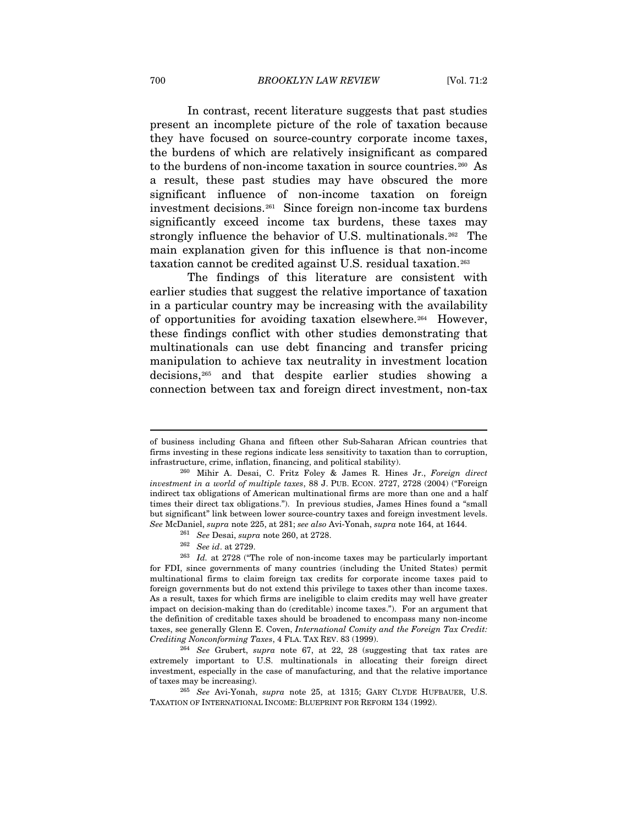In contrast, recent literature suggests that past studies present an incomplete picture of the role of taxation because they have focused on source-country corporate income taxes, the burdens of which are relatively insignificant as compared to the burdens of non-income taxation in source countries.[26](#page-62-0)0 As a result, these past studies may have obscured the more significant influence of non-income taxation on foreign investment decisions.[26](#page-62-1)1 Since foreign non-income tax burdens significantly exceed income tax burdens, these taxes may strongly influence the behavior of U.S. multinationals.<sup>[2](#page-62-2)62</sup> The main explanation given for this influence is that non-income taxation cannot be credited against U.S. residual taxation.[2](#page-62-3)63

The findings of this literature are consistent with earlier studies that suggest the relative importance of taxation in a particular country may be increasing with the availability of opportunities for avoiding taxation elsewhere.[26](#page-62-4)4 However, these findings conflict with other studies demonstrating that multinationals can use debt financing and transfer pricing manipulation to achieve tax neutrality in investment location decisions,[26](#page-62-5)5 and that despite earlier studies showing a connection between tax and foreign direct investment, non-tax

<span id="page-62-4"></span>extremely important to U.S. multinationals in allocating their foreign direct investment, especially in the case of manufacturing, and that the relative importance

of business including Ghana and fifteen other Sub-Saharan African countries that firms investing in these regions indicate less sensitivity to taxation than to corruption, infrastructure, crime, inflation, financing, and political stability). 260 Mihir A. Desai, C. Fritz Foley & James R. Hines Jr., *Foreign direct* 

<span id="page-62-0"></span>*investment in a world of multiple taxes*, 88 J. PUB. ECON. 2727, 2728 (2004) ("Foreign indirect tax obligations of American multinational firms are more than one and a half times their direct tax obligations."). In previous studies, James Hines found a "small but significant" link between lower source-country taxes and foreign investment levels.

<span id="page-62-3"></span><span id="page-62-2"></span><span id="page-62-1"></span>See McDaniel, supra note 225, at 281; see also Avi-Yonah, supra note 164, at 1644.<br><sup>261</sup> See Desai, supra note 260, at 2728.<br><sup>262</sup> See id. at 2729.<br><sup>263</sup> Id. at 2728 ("The role of non-income taxes may be particularly impor for FDI, since governments of many countries (including the United States) permit multinational firms to claim foreign tax credits for corporate income taxes paid to foreign governments but do not extend this privilege to taxes other than income taxes. As a result, taxes for which firms are ineligible to claim credits may well have greater impact on decision-making than do (creditable) income taxes."). For an argument that the definition of creditable taxes should be broadened to encompass many non-income taxes, see generally Glenn E. Coven, *International Comity and the Foreign Tax Credit: Crediting Nonconforming Taxes*, 4 FLA. TAX REV. 83 (1999). 264 *See* Grubert, *supra* note 67, at 22, 28 (suggesting that tax rates are

<span id="page-62-5"></span>of taxes may be increasing). 265 *See* Avi-Yonah, *supra* note 25, at 1315; GARY CLYDE HUFBAUER, U.S. TAXATION OF INTERNATIONAL INCOME: BLUEPRINT FOR REFORM 134 (1992).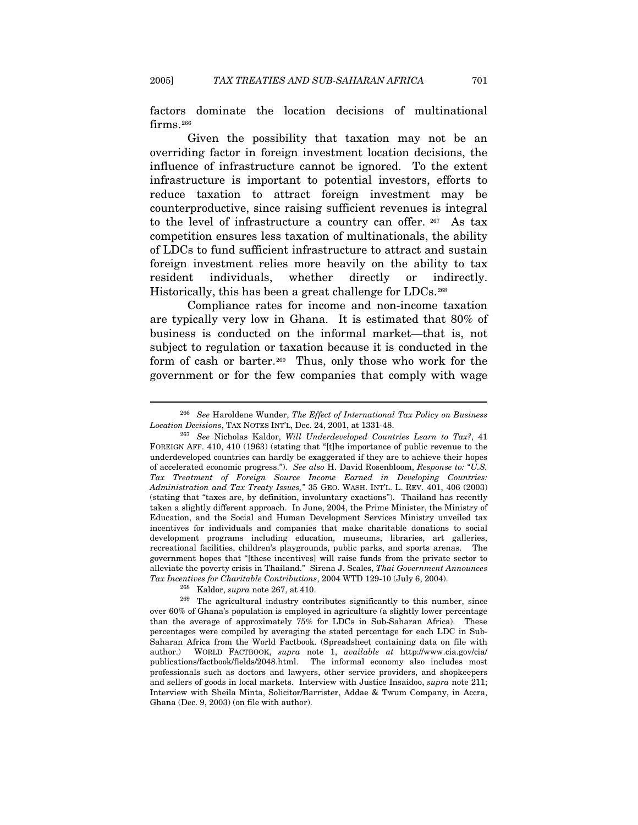factors dominate the location decisions of multinational firms<sup>[26](#page-63-0)6</sup>

Given the possibility that taxation may not be an overriding factor in foreign investment location decisions, the influence of infrastructure cannot be ignored. To the extent infrastructure is important to potential investors, efforts to reduce taxation to attract foreign investment may be counterproductive, since raising sufficient revenues is integral to the level of infrastructure a country can offer.  $267$  $267$  As tax competition ensures less taxation of multinationals, the ability of LDCs to fund sufficient infrastructure to attract and sustain foreign investment relies more heavily on the ability to tax resident individuals, whether directly or indirectly. Historically, this has been a great challenge for LDCs.<sup>[2](#page-63-2)68</sup>

Compliance rates for income and non-income taxation are typically very low in Ghana. It is estimated that 80% of business is conducted on the informal market—that is, not subject to regulation or taxation because it is conducted in the form of cash or barter.[2](#page-63-3)69 Thus, only those who work for the government or for the few companies that comply with wage

<span id="page-63-0"></span><sup>266</sup> *See* Haroldene Wunder, *The Effect of International Tax Policy on Business Location Decisions*, TAX NOTES INT'L, Dec. 24, 2001, at 1331-48. 267 *See* Nicholas Kaldor, *Will Underdeveloped Countries Learn to Tax?*, 41

<span id="page-63-1"></span>FOREIGN AFF. 410, 410 (1963) (stating that "[t]he importance of public revenue to the underdeveloped countries can hardly be exaggerated if they are to achieve their hopes of accelerated economic progress."). *See also* H. David Rosenbloom, *Response to: "U.S. Tax Treatment of Foreign Source Income Earned in Developing Countries: Administration and Tax Treaty Issues,"* 35 GEO. WASH. INT'L. L. REV. 401, 406 (2003) (stating that "taxes are, by definition, involuntary exactions"). Thailand has recently taken a slightly different approach. In June, 2004, the Prime Minister, the Ministry of Education, and the Social and Human Development Services Ministry unveiled tax incentives for individuals and companies that make charitable donations to social development programs including education, museums, libraries, art galleries, recreational facilities, children's playgrounds, public parks, and sports arenas. The government hopes that "[these incentives] will raise funds from the private sector to alleviate the poverty crisis in Thailand." Sirena J. Scales, *Thai Government Announces* 

<span id="page-63-3"></span><span id="page-63-2"></span><sup>&</sup>lt;sup>268</sup> Kaldor, *supra* note 267, at 410.<br><sup>269</sup> The agricultural industry contributes significantly to this number, since over 60% of Ghana's population is employed in agriculture (a slightly lower percentage than the average of approximately 75% for LDCs in Sub-Saharan Africa). These percentages were compiled by averaging the stated percentage for each LDC in Sub-Saharan Africa from the World Factbook. (Spreadsheet containing data on file with author.) WORLD FACTBOOK, *supra* note 1, *available at* http://www.cia.gov/cia/ publications/factbook/fields/2048.html. The informal economy also includes most professionals such as doctors and lawyers, other service providers, and shopkeepers and sellers of goods in local markets. Interview with Justice Insaidoo, *supra* note 211; Interview with Sheila Minta, Solicitor/Barrister, Addae & Twum Company, in Accra, Ghana (Dec. 9, 2003) (on file with author).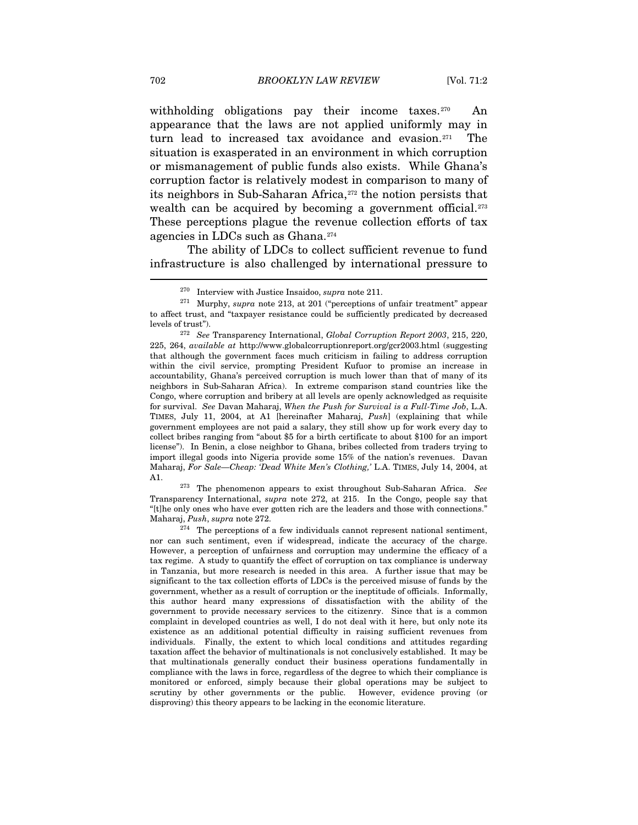withholding obligations pay their income taxes.<sup>[2](#page-64-0)70</sup> An appearance that the laws are not applied uniformly may in turn lead to increased tax avoidance and evasion.[27](#page-64-1)1 The situation is exasperated in an environment in which corruption or mismanagement of public funds also exists. While Ghana's corruption factor is relatively modest in comparison to many of its neighbors in Sub-Saharan Africa,<sup>[27](#page-64-2)2</sup> the notion persists that wealth can be acquired by becoming a government official.<sup>[27](#page-64-3)3</sup> These perceptions plague the revenue collection efforts of tax agencies in LDCs such as Ghana.[2](#page-64-4)74

The ability of LDCs to collect sufficient revenue to fund infrastructure is also challenged by international pressure to  $\overline{a}$ 

<span id="page-64-3"></span>A1. 273 The phenomenon appears to exist throughout Sub-Saharan Africa. *See* Transparency International, *supra* note 272, at 215. In the Congo, people say that "[t]he only ones who have ever gotten rich are the leaders and those with connections." Maharaj, *Push*, *supra* note 272.<br><sup>274</sup> The perceptions of a few individuals cannot represent national sentiment,

<span id="page-64-4"></span>nor can such sentiment, even if widespread, indicate the accuracy of the charge. However, a perception of unfairness and corruption may undermine the efficacy of a tax regime. A study to quantify the effect of corruption on tax compliance is underway in Tanzania, but more research is needed in this area. A further issue that may be significant to the tax collection efforts of LDCs is the perceived misuse of funds by the government, whether as a result of corruption or the ineptitude of officials. Informally, this author heard many expressions of dissatisfaction with the ability of the government to provide necessary services to the citizenry. Since that is a common complaint in developed countries as well, I do not deal with it here, but only note its existence as an additional potential difficulty in raising sufficient revenues from individuals. Finally, the extent to which local conditions and attitudes regarding taxation affect the behavior of multinationals is not conclusively established. It may be that multinationals generally conduct their business operations fundamentally in compliance with the laws in force, regardless of the degree to which their compliance is monitored or enforced, simply because their global operations may be subject to scrutiny by other governments or the public. However, evidence proving (or disproving) this theory appears to be lacking in the economic literature.

<span id="page-64-1"></span><span id="page-64-0"></span><sup>270</sup> Interview with Justice Insaidoo, *supra* note 211. 271 Murphy, *supra* note 213, at 201 ("perceptions of unfair treatment" appear to affect trust, and "taxpayer resistance could be sufficiently predicated by decreased levels of trust"). 272 *See* Transparency International, *Global Corruption Report <sup>2003</sup>*, 215, 220,

<span id="page-64-2"></span><sup>225, 264,</sup> *available at* http://www.globalcorruptionreport.org/gcr2003.html (suggesting that although the government faces much criticism in failing to address corruption within the civil service, prompting President Kufuor to promise an increase in accountability, Ghana's perceived corruption is much lower than that of many of its neighbors in Sub-Saharan Africa). In extreme comparison stand countries like the Congo, where corruption and bribery at all levels are openly acknowledged as requisite for survival. *See* Davan Maharaj, *When the Push for Survival is a Full-Time Job*, L.A. TIMES, July 11, 2004, at A1 [hereinafter Maharaj, *Push*] (explaining that while government employees are not paid a salary, they still show up for work every day to collect bribes ranging from "about \$5 for a birth certificate to about \$100 for an import license"). In Benin, a close neighbor to Ghana, bribes collected from traders trying to import illegal goods into Nigeria provide some 15% of the nation's revenues. Davan Maharaj, *For Sale—Cheap: 'Dead White Men's Clothing,'* L.A. TIMES, July 14, 2004, at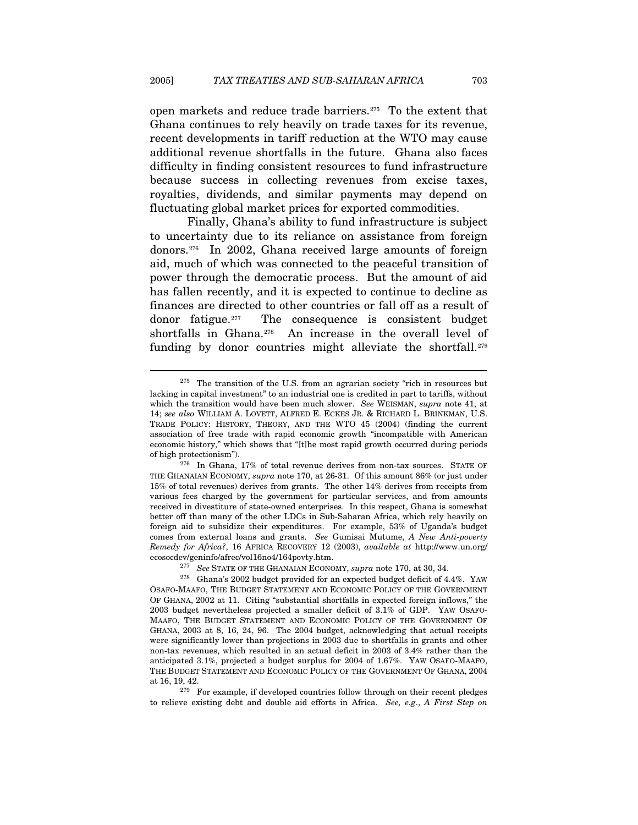open markets and reduce trade barriers.[2](#page-65-0)75 To the extent that Ghana continues to rely heavily on trade taxes for its revenue, recent developments in tariff reduction at the WTO may cause additional revenue shortfalls in the future. Ghana also faces difficulty in finding consistent resources to fund infrastructure because success in collecting revenues from excise taxes, royalties, dividends, and similar payments may depend on fluctuating global market prices for exported commodities.

Finally, Ghana's ability to fund infrastructure is subject to uncertainty due to its reliance on assistance from foreign donors.[27](#page-65-1)6 In 2002, Ghana received large amounts of foreign aid, much of which was connected to the peaceful transition of power through the democratic process. But the amount of aid has fallen recently, and it is expected to continue to decline as finances are directed to other countries or fall off as a result of donor fatigue.[2](#page-65-2)77 The consequence is consistent budget shortfalls in Ghana.<sup>[27](#page-65-3)8</sup> An increase in the overall level of funding by donor countries might alleviate the shortfall.<sup>[27](#page-65-4)9</sup>

<span id="page-65-0"></span> $275$  The transition of the U.S. from an agrarian society "rich in resources but lacking in capital investment" to an industrial one is credited in part to tariffs, without which the transition would have been much slower. *See* WEISMAN, *supra* note 41, at 14; *see also* WILLIAM A. LOVETT, ALFRED E. ECKES JR. & RICHARD L. BRINKMAN, U.S. TRADE POLICY: HISTORY, THEORY, AND THE WTO 45 (2004) (finding the current association of free trade with rapid economic growth "incompatible with American economic history," which shows that "[t]he most rapid growth occurred during periods of high protectionism").  $^{276}$  In Ghana, 17% of total revenue derives from non-tax sources. STATE OF

<span id="page-65-1"></span>THE GHANAIAN ECONOMY, *supra* note 170, at 26-31. Of this amount 86% (or just under 15% of total revenues) derives from grants. The other 14% derives from receipts from various fees charged by the government for particular services, and from amounts received in divestiture of state-owned enterprises. In this respect, Ghana is somewhat better off than many of the other LDCs in Sub-Saharan Africa, which rely heavily on foreign aid to subsidize their expenditures. For example, 53% of Uganda's budget comes from external loans and grants. *See* Gumisai Mutume, *A New Anti-poverty Remedy for Africa?*, 16 AFRICA RECOVERY 12 (2003), *available at* http://www.un.org/ ecosocdev/geninfo/afrec/vol16no4/164povty.htm. 277 *See* STATE OF THE GHANAIAN ECONOMY, *supra* note 170, at 30, 34. 278 Ghana's 2002 budget provided for an expected budget deficit of 4.4%. YAW

<span id="page-65-3"></span><span id="page-65-2"></span>OSAFO-MAAFO, THE BUDGET STATEMENT AND ECONOMIC POLICY OF THE GOVERNMENT OF GHANA, 2002 at 11. Citing "substantial shortfalls in expected foreign inflows," the 2003 budget nevertheless projected a smaller deficit of 3.1% of GDP. YAW OSAFO-MAAFO, THE BUDGET STATEMENT AND ECONOMIC POLICY OF THE GOVERNMENT OF GHANA, 2003 at 8, 16, 24, 96. The 2004 budget, acknowledging that actual receipts were significantly lower than projections in 2003 due to shortfalls in grants and other non-tax revenues, which resulted in an actual deficit in 2003 of 3.4% rather than the anticipated 3.1%, projected a budget surplus for 2004 of 1.67%. YAW OSAFO-MAAFO, THE BUDGET STATEMENT AND ECONOMIC POLICY OF THE GOVERNMENT OF GHANA, 2004

<span id="page-65-4"></span>at 16, 19, 42.  $279$  For example, if developed countries follow through on their recent pledges to relieve existing debt and double aid efforts in Africa. *See, e.g*., *A First Step on*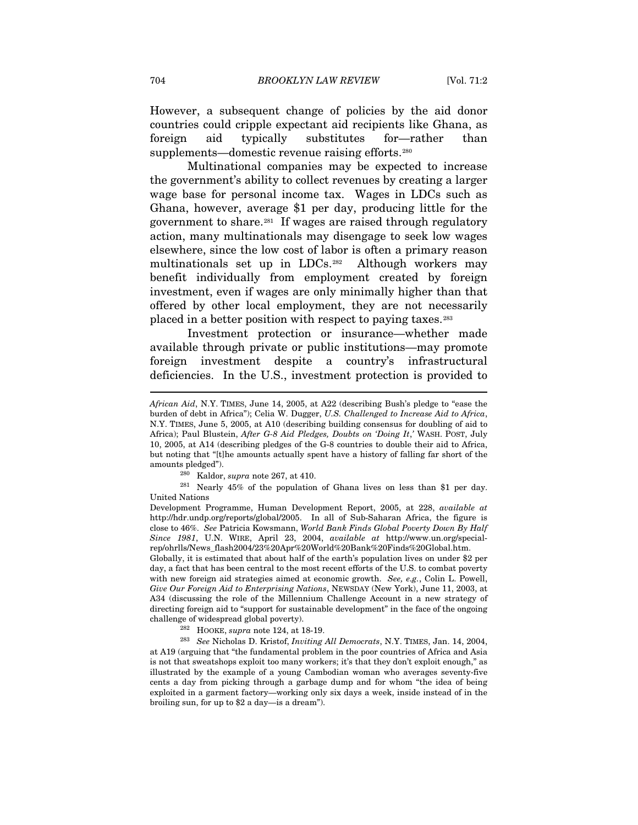However, a subsequent change of policies by the aid donor countries could cripple expectant aid recipients like Ghana, as foreign aid typically substitutes for—rather than supplements—domestic revenue raising efforts.<sup>[2](#page-66-0)80</sup>

Multinational companies may be expected to increase the government's ability to collect revenues by creating a larger wage base for personal income tax. Wages in LDCs such as Ghana, however, average \$1 per day, producing little for the government to share.[2](#page-66-1)81 If wages are raised through regulatory action, many multinationals may disengage to seek low wages elsewhere, since the low cost of labor is often a primary reason multinationals set up in LDCs.<sup>[2](#page-66-2)82</sup> Although workers may benefit individually from employment created by foreign investment, even if wages are only minimally higher than that offered by other local employment, they are not necessarily placed in a better position with respect to paying taxes.[28](#page-66-3)3

Investment protection or insurance—whether made available through private or public institutions—may promote foreign investment despite a country's infrastructural deficiencies. In the U.S., investment protection is provided to

<span id="page-66-1"></span><span id="page-66-0"></span>United Nations

Globally, it is estimated that about half of the earth's population lives on under \$2 per day, a fact that has been central to the most recent efforts of the U.S. to combat poverty with new foreign aid strategies aimed at economic growth. *See, e.g.*, Colin L. Powell, *Give Our Foreign Aid to Enterprising Nations*, NEWSDAY (New York), June 11, 2003, at A34 (discussing the role of the Millennium Challenge Account in a new strategy of directing foreign aid to "support for sustainable development" in the face of the ongoing challenge of widespread global poverty).

<span id="page-66-3"></span><span id="page-66-2"></span>challenge of widespread global poverty). 282 HOOKE, *supra* note 124, at 18-19. 283 *See* Nicholas D. Kristof, *Inviting All Democrats*, N.Y. TIMES, Jan. 14, 2004, at A19 (arguing that "the fundamental problem in the poor countries of Africa and Asia is not that sweatshops exploit too many workers; it's that they don't exploit enough," as illustrated by the example of a young Cambodian woman who averages seventy-five cents a day from picking through a garbage dump and for whom "the idea of being exploited in a garment factory—working only six days a week, inside instead of in the broiling sun, for up to \$2 a day—is a dream").

*African Aid*, N.Y. TIMES, June 14, 2005, at A22 (describing Bush's pledge to "ease the burden of debt in Africa"); Celia W. Dugger, *U.S. Challenged to Increase Aid to Africa*, N.Y. TIMES, June 5, 2005, at A10 (describing building consensus for doubling of aid to Africa); Paul Blustein, *After G-8 Aid Pledges, Doubts on 'Doing It*,*'* WASH. POST, July 10, 2005, at A14 (describing pledges of the G-8 countries to double their aid to Africa, but noting that "[t]he amounts actually spent have a history of falling far short of the amounts pledged").<br><sup>280</sup> Kaldor, *supra* note 267, at 410.<br><sup>281</sup> Nearly 45% of the population of Ghana lives on less than \$1 per day.

Development Programme, Human Development Report, 2005, at 228, *available at* http://hdr.undp.org/reports/global/2005. In all of Sub-Saharan Africa, the figure is close to 46%. *See* Patricia Kowsmann, *World Bank Finds Global Poverty Down By Half Since 1981*, U.N. WIRE, April 23, 2004, *available at* http://www.un.org/specialrep/ohrlls/News\_flash2004/23%20Apr%20World%20Bank%20Finds%20Global.htm.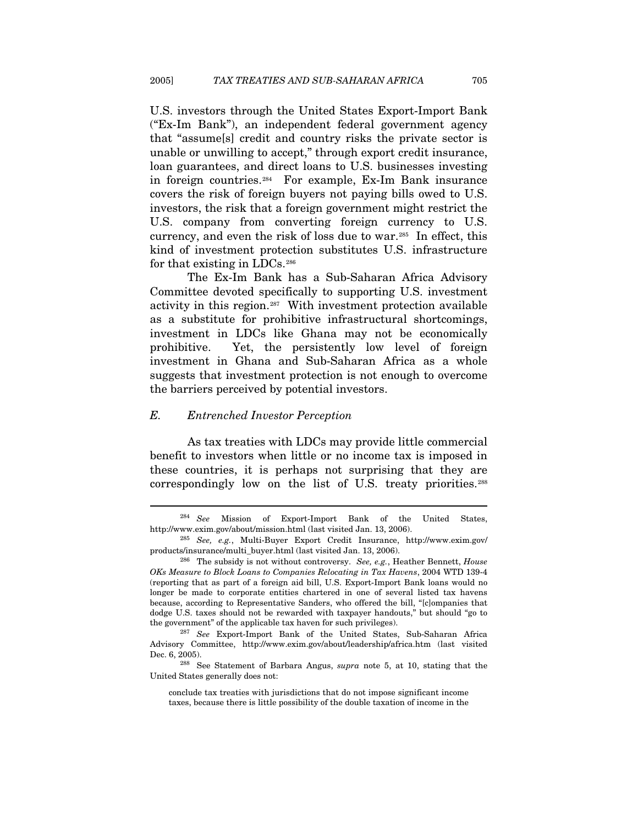U.S. investors through the United States Export-Import Bank ("Ex-Im Bank"), an independent federal government agency that "assume[s] credit and country risks the private sector is unable or unwilling to accept," through export credit insurance, loan guarantees, and direct loans to U.S. businesses investing in foreign countries.[28](#page-67-0)4 For example, Ex-Im Bank insurance covers the risk of foreign buyers not paying bills owed to U.S. investors, the risk that a foreign government might restrict the U.S. company from converting foreign currency to U.S. currency, and even the risk of loss due to war.[2](#page-67-1)85 In effect, this kind of investment protection substitutes U.S. infrastructure for that existing in LDCs.[28](#page-67-2)6

The Ex-Im Bank has a Sub-Saharan Africa Advisory Committee devoted specifically to supporting U.S. investment activity in this region.[2](#page-67-3)87 With investment protection available as a substitute for prohibitive infrastructural shortcomings, investment in LDCs like Ghana may not be economically prohibitive. Yet, the persistently low level of foreign investment in Ghana and Sub-Saharan Africa as a whole suggests that investment protection is not enough to overcome the barriers perceived by potential investors.

### *E. Entrenched Investor Perception*

 $\overline{a}$ 

As tax treaties with LDCs may provide little commercial benefit to investors when little or no income tax is imposed in these countries, it is perhaps not surprising that they are correspondingly low on the list of U.S. treaty priorities.[28](#page-67-4)8

<span id="page-67-0"></span><sup>284</sup> *See* Mission of Export-Import Bank of the United States, http://www.exim.gov/about/mission.html (last visited Jan. 13, 2006). 285 *See, e.g.*, Multi-Buyer Export Credit Insurance, http://www.exim.gov/

<span id="page-67-1"></span>products/insurance/multi\_buyer.html (last visited Jan. 13, 2006). 286 The subsidy is not without controversy. *See, e.g.*, Heather Bennett, *House* 

<span id="page-67-2"></span>*OKs Measure to Block Loans to Companies Relocating in Tax Havens*, 2004 WTD 139-4 (reporting that as part of a foreign aid bill, U.S. Export-Import Bank loans would no longer be made to corporate entities chartered in one of several listed tax havens because, according to Representative Sanders, who offered the bill, "[c]ompanies that dodge U.S. taxes should not be rewarded with taxpayer handouts," but should "go to the government" of the applicable tax haven for such privileges). 287 *See* Export-Import Bank of the United States, Sub-Saharan Africa

<span id="page-67-3"></span>Advisory Committee, http://www.exim.gov/about/leadership/africa.htm (last visited Dec. 6, 2005). 288 See Statement of Barbara Angus, *supra* note 5, at 10, stating that the

<span id="page-67-4"></span>United States generally does not:

conclude tax treaties with jurisdictions that do not impose significant income taxes, because there is little possibility of the double taxation of income in the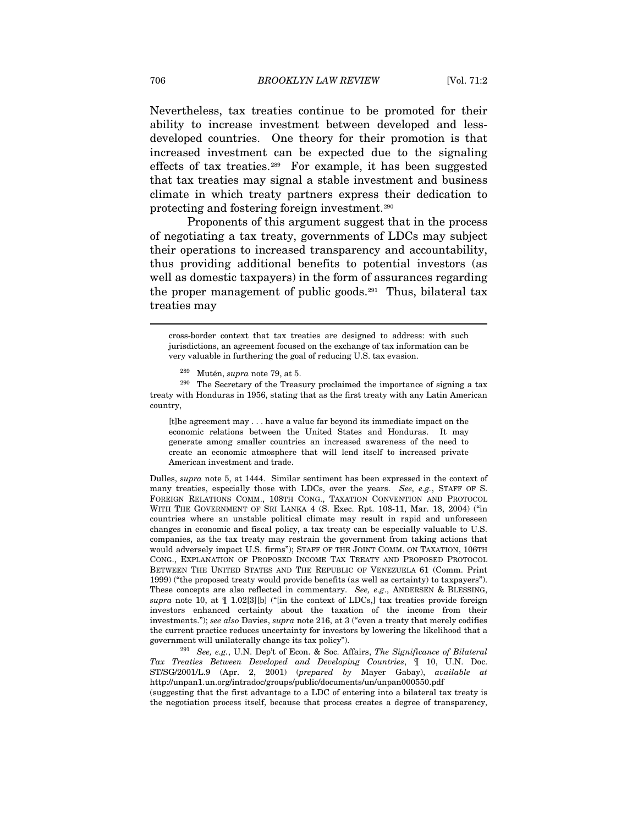Nevertheless, tax treaties continue to be promoted for their ability to increase investment between developed and lessdeveloped countries. One theory for their promotion is that increased investment can be expected due to the signaling effects of tax treaties.[2](#page-68-0)89 For example, it has been suggested that tax treaties may signal a stable investment and business climate in which treaty partners express their dedication to protecting and fostering foreign investment.[29](#page-68-1)0

Proponents of this argument suggest that in the process of negotiating a tax treaty, governments of LDCs may subject their operations to increased transparency and accountability, thus providing additional benefits to potential investors (as well as domestic taxpayers) in the form of assurances regarding the proper management of public goods.<sup>[2](#page-68-2)91</sup> Thus, bilateral tax treaties may

cross-border context that tax treaties are designed to address: with such jurisdictions, an agreement focused on the exchange of tax information can be very valuable in furthering the goal of reducing U.S. tax evasion.

<span id="page-68-1"></span><span id="page-68-0"></span><sup>289</sup> Mutén, *supra* note 79, at 5.<br><sup>290</sup> The Secretary of the Treasury proclaimed the importance of signing a tax treaty with Honduras in 1956, stating that as the first treaty with any Latin American country,

[t]he agreement may . . . have a value far beyond its immediate impact on the economic relations between the United States and Honduras. It may generate among smaller countries an increased awareness of the need to create an economic atmosphere that will lend itself to increased private American investment and trade.

Dulles, *supra* note 5, at 1444. Similar sentiment has been expressed in the context of many treaties, especially those with LDCs, over the years. *See, e.g.*, STAFF OF S. FOREIGN RELATIONS COMM., 108TH CONG., TAXATION CONVENTION AND PROTOCOL WITH THE GOVERNMENT OF SRI LANKA 4 (S. Exec. Rpt. 108-11, Mar. 18, 2004) ("in countries where an unstable political climate may result in rapid and unforeseen changes in economic and fiscal policy, a tax treaty can be especially valuable to U.S. companies, as the tax treaty may restrain the government from taking actions that would adversely impact U.S. firms"); STAFF OF THE JOINT COMM. ON TAXATION, 106TH CONG., EXPLANATION OF PROPOSED INCOME TAX TREATY AND PROPOSED PROTOCOL BETWEEN THE UNITED STATES AND THE REPUBLIC OF VENEZUELA 61 (Comm. Print 1999) ("the proposed treaty would provide benefits (as well as certainty) to taxpayers"). These concepts are also reflected in commentary. *See, e.g*., ANDERSEN & BLESSING, *supra* note 10, at ¶ 1.02[3][b] ("[in the context of LDCs,] tax treaties provide foreign investors enhanced certainty about the taxation of the income from their investments."); *see also* Davies, *supra* note 216, at 3 ("even a treaty that merely codifies the current practice reduces uncertainty for investors by lowering the likelihood that a government will unilaterally change its tax policy"). 291 *See, e.g.*, U.N. Dep't of Econ. & Soc. Affairs, *The Significance of Bilateral* 

<span id="page-68-2"></span>*Tax Treaties Between Developed and Developing Countries*, ¶ 10, U.N. Doc. ST/SG/2001/L.9 (Apr. 2, 2001) (*prepared by* Mayer Gabay), *available at* http://unpan1.un.org/intradoc/groups/public/documents/un/unpan000550.pdf

(suggesting that the first advantage to a LDC of entering into a bilateral tax treaty is the negotiation process itself, because that process creates a degree of transparency,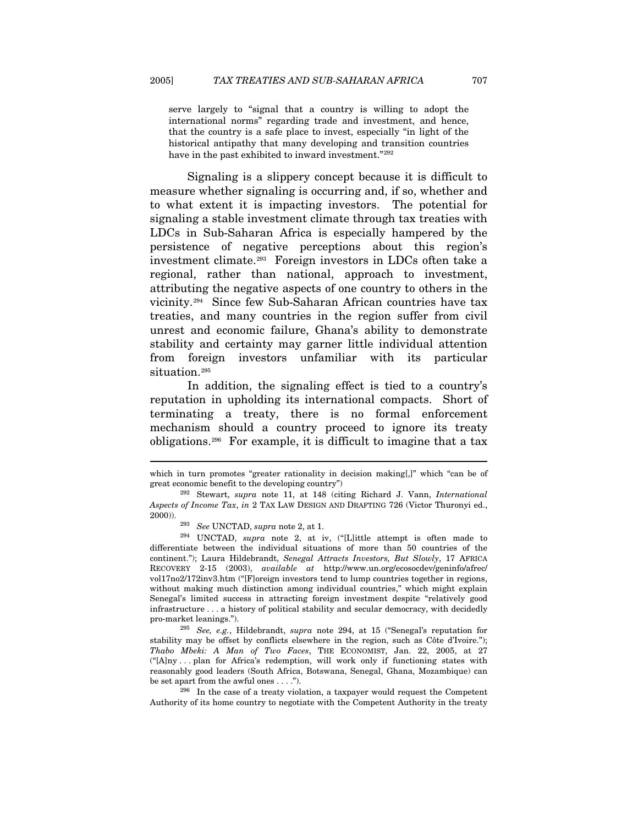serve largely to "signal that a country is willing to adopt the international norms" regarding trade and investment, and hence, that the country is a safe place to invest, especially "in light of the historical antipathy that many developing and transition countries have in the past exhibited to inward investment."[29](#page-69-0)2

Signaling is a slippery concept because it is difficult to measure whether signaling is occurring and, if so, whether and to what extent it is impacting investors. The potential for signaling a stable investment climate through tax treaties with LDCs in Sub-Saharan Africa is especially hampered by the persistence of negative perceptions about this region's investment climate.[2](#page-69-1)93 Foreign investors in LDCs often take a regional, rather than national, approach to investment, attributing the negative aspects of one country to others in the vicinity.[29](#page-69-2)4 Since few Sub-Saharan African countries have tax treaties, and many countries in the region suffer from civil unrest and economic failure, Ghana's ability to demonstrate stability and certainty may garner little individual attention from foreign investors unfamiliar with its particular situation.<sup>[2](#page-69-3)95</sup>

In addition, the signaling effect is tied to a country's reputation in upholding its international compacts. Short of terminating a treaty, there is no formal enforcement mechanism should a country proceed to ignore its treaty obligations.[2](#page-69-4)96 For example, it is difficult to imagine that a tax

which in turn promotes "greater rationality in decision making[,]" which "can be of great economic benefit to the developing country") 292 Stewart, *supra* note 11, at 148 (citing Richard J. Vann, *International* 

<span id="page-69-0"></span>*Aspects of Income Tax*, *in* 2 TAX LAW DESIGN AND DRAFTING 726 (Victor Thuronyi ed.,

<span id="page-69-2"></span><span id="page-69-1"></span><sup>2000)). 293</sup> *See* UNCTAD, *supra* note 2, at 1. 294 UNCTAD, *supra* note 2, at iv, ("[L]ittle attempt is often made to differentiate between the individual situations of more than 50 countries of the continent."); Laura Hildebrandt, *Senegal Attracts Investors, But Slowly*, 17 AFRICA RECOVERY 2-15 (2003), *available at* http://www.un.org/ecosocdev/geninfo/afrec/ vol17no2/172inv3.htm ("[F]oreign investors tend to lump countries together in regions, without making much distinction among individual countries," which might explain Senegal's limited success in attracting foreign investment despite "relatively good infrastructure . . . a history of political stability and secular democracy, with decidedly pro-market leanings."). 295 *See, e.g.*, Hildebrandt, *supra* note 294, at 15 ("Senegal's reputation for

<span id="page-69-3"></span>stability may be offset by conflicts elsewhere in the region, such as Côte d'Ivoire."); *Thabo Mbeki: A Man of Two Faces*, THE ECONOMIST, Jan. 22, 2005, at 27 ("[A]ny . . . plan for Africa's redemption, will work only if functioning states with reasonably good leaders (South Africa, Botswana, Senegal, Ghana, Mozambique) can be set apart from the awful ones . . . ."). <br>  $^{296}$  In the case of a treaty violation, a taxpayer would request the Competent

<span id="page-69-4"></span>Authority of its home country to negotiate with the Competent Authority in the treaty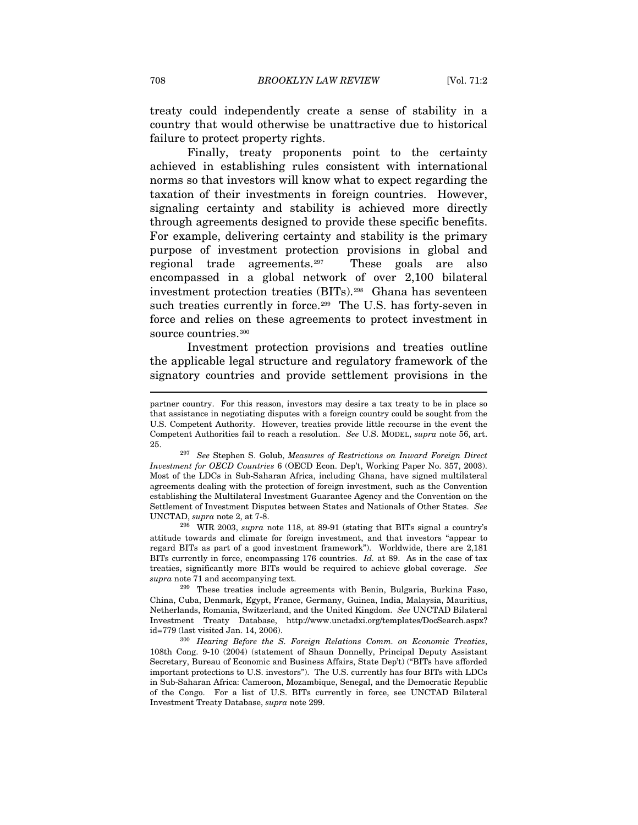treaty could independently create a sense of stability in a country that would otherwise be unattractive due to historical failure to protect property rights.

Finally, treaty proponents point to the certainty achieved in establishing rules consistent with international norms so that investors will know what to expect regarding the taxation of their investments in foreign countries. However, signaling certainty and stability is achieved more directly through agreements designed to provide these specific benefits. For example, delivering certainty and stability is the primary purpose of investment protection provisions in global and regional trade agreements.[2](#page-70-0)97 These goals are also encompassed in a global network of over 2,100 bilateral investment protection treaties (BITs).[29](#page-70-1)8 Ghana has seventeen such treaties currently in force.<sup>[2](#page-70-2)99</sup> The U.S. has forty-seven in force and relies on these agreements to protect investment in source countries.<sup>[3](#page-70-3)00</sup>

Investment protection provisions and treaties outline the applicable legal structure and regulatory framework of the signatory countries and provide settlement provisions in the

<span id="page-70-1"></span>attitude towards and climate for foreign investment, and that investors "appear to regard BITs as part of a good investment framework"). Worldwide, there are 2,181 BITs currently in force, encompassing 176 countries. *Id.* at 89. As in the case of tax treaties, significantly more BITs would be required to achieve global coverage. *See* 

<span id="page-70-2"></span><sup>299</sup> These treaties include agreements with Benin, Bulgaria, Burkina Faso, China, Cuba, Denmark, Egypt, France, Germany, Guinea, India, Malaysia, Mauritius, Netherlands, Romania, Switzerland, and the United Kingdom. *See* UNCTAD Bilateral Investment Treaty Database, http://www.unctadxi.org/templates/DocSearch.aspx? id=779 (last visited Jan. 14, 2006). 300 *Hearing Before the S. Foreign Relations Comm. on Economic Treaties*,

<span id="page-70-3"></span>108th Cong. 9-10 (2004) (statement of Shaun Donnelly, Principal Deputy Assistant Secretary, Bureau of Economic and Business Affairs, State Dep't) ("BITs have afforded important protections to U.S. investors"). The U.S. currently has four BITs with LDCs in Sub-Saharan Africa: Cameroon, Mozambique, Senegal, and the Democratic Republic of the Congo. For a list of U.S. BITs currently in force, see UNCTAD Bilateral Investment Treaty Database, *supra* note 299.

partner country. For this reason, investors may desire a tax treaty to be in place so that assistance in negotiating disputes with a foreign country could be sought from the U.S. Competent Authority. However, treaties provide little recourse in the event the Competent Authorities fail to reach a resolution. *See* U.S. MODEL, *supra* note 56, art.

<span id="page-70-0"></span><sup>25. 297</sup> *See* Stephen S. Golub, *Measures of Restrictions on Inward Foreign Direct Investment for OECD Countries* 6 (OECD Econ. Dep't, Working Paper No. 357, 2003). Most of the LDCs in Sub-Saharan Africa, including Ghana, have signed multilateral agreements dealing with the protection of foreign investment, such as the Convention establishing the Multilateral Investment Guarantee Agency and the Convention on the Settlement of Investment Disputes between States and Nationals of Other States. *See* UNCTAD, *supra* note 2, at 7-8. 298 WIR 2003, *supra* note 118, at 89-91 (stating that BITs signal a country's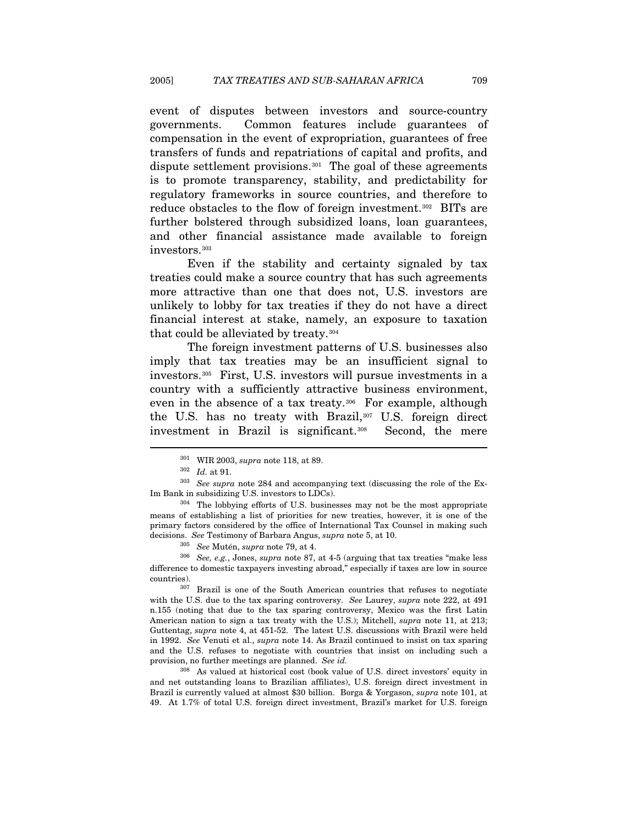event of disputes between investors and source-country governments. Common features include guarantees of compensation in the event of expropriation, guarantees of free transfers of funds and repatriations of capital and profits, and dispute settlement provisions.<sup>[3](#page-71-0)01</sup> The goal of these agreements is to promote transparency, stability, and predictability for regulatory frameworks in source countries, and therefore to reduce obstacles to the flow of foreign investment.[3](#page-71-1)02 BITs are further bolstered through subsidized loans, loan guarantees, and other financial assistance made available to foreign investors.[3](#page-71-2)03

Even if the stability and certainty signaled by tax treaties could make a source country that has such agreements more attractive than one that does not, U.S. investors are unlikely to lobby for tax treaties if they do not have a direct financial interest at stake, namely, an exposure to taxation that could be alleviated by treaty.[30](#page-71-3)4

The foreign investment patterns of U.S. businesses also imply that tax treaties may be an insufficient signal to investors.[3](#page-71-4)05 First, U.S. investors will pursue investments in a country with a sufficiently attractive business environment, even in the absence of a tax treaty.<sup>[3](#page-71-5)06</sup> For example, although the U.S. has no treaty with Brazil,[3](#page-71-6)07 U.S. foreign direct investment in Brazil is significant.<sup>[3](#page-71-7)08</sup> Second, the mere

<sup>&</sup>lt;sup>301</sup> WIR 2003, *supra* note 118, at 89.<br><sup>302</sup> *Id.* at 91.

<span id="page-71-2"></span><span id="page-71-1"></span><span id="page-71-0"></span><sup>&</sup>lt;sup>303</sup> See supra note 284 and accompanying text (discussing the role of the Ex-Im Bank in subsidizing U.S. investors to LDCs). 304 The lobbying efforts of U.S. businesses may not be the most appropriate

<span id="page-71-3"></span>means of establishing a list of priorities for new treaties, however, it is one of the primary factors considered by the office of International Tax Counsel in making such decisions. *See* Testimony of Barbara Angus, *supra* note 5, at 10.<br><sup>305</sup> *See* Mutén, *supra* note 79, at 4.<br><sup>306</sup> *See, e.g.*, Jones, *supra* note 87, at 4-5 (arguing that tax treaties "make less

<span id="page-71-5"></span><span id="page-71-4"></span>difference to domestic taxpayers investing abroad," especially if taxes are low in source

<span id="page-71-6"></span> $307$  Brazil is one of the South American countries that refuses to negotiate with the U.S. due to the tax sparing controversy. *See* Laurey, *supra* note 222, at 491 n.155 (noting that due to the tax sparing controversy, Mexico was the first Latin American nation to sign a tax treaty with the U.S.); Mitchell, *supra* note 11, at 213; Guttentag, *supra* note 4, at 451-52. The latest U.S. discussions with Brazil were held in 1992. *See* Venuti et al., *supra* note 14. As Brazil continued to insist on tax sparing and the U.S. refuses to negotiate with countries that insist on including such a provision, no further meetings are planned. *See id.*

<span id="page-71-7"></span><sup>308</sup> As valued at historical cost (book value of U.S. direct investors' equity in and net outstanding loans to Brazilian affiliates), U.S. foreign direct investment in Brazil is currently valued at almost \$30 billion. Borga & Yorgason, *supra* note 101, at 49. At 1.7% of total U.S. foreign direct investment, Brazil's market for U.S. foreign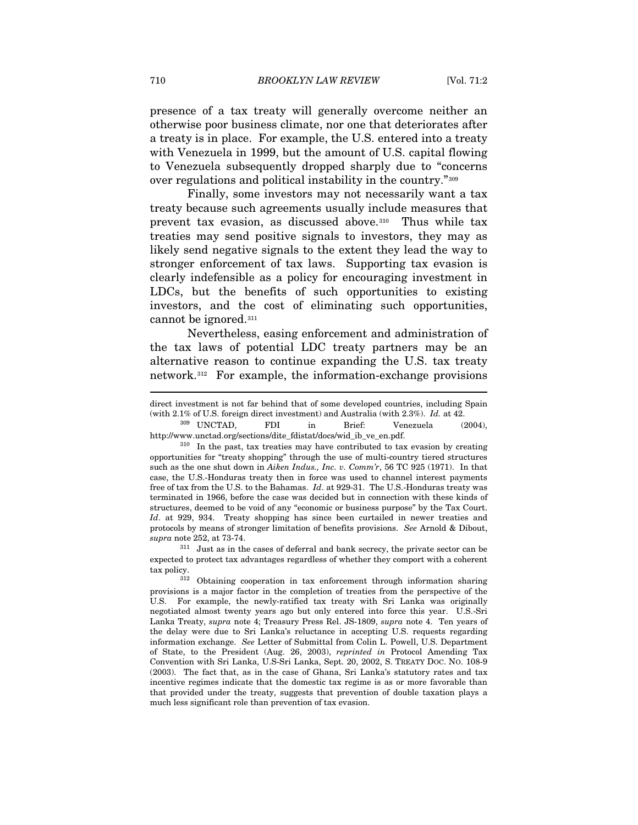presence of a tax treaty will generally overcome neither an otherwise poor business climate, nor one that deteriorates after a treaty is in place. For example, the U.S. entered into a treaty with Venezuela in 1999, but the amount of U.S. capital flowing to Venezuela subsequently dropped sharply due to "concerns over regulations and political instability in the country."[30](#page-72-0)9

Finally, some investors may not necessarily want a tax treaty because such agreements usually include measures that prevent tax evasion, as discussed above.[3](#page-72-1)10 Thus while tax treaties may send positive signals to investors, they may as likely send negative signals to the extent they lead the way to stronger enforcement of tax laws. Supporting tax evasion is clearly indefensible as a policy for encouraging investment in LDCs, but the benefits of such opportunities to existing investors, and the cost of eliminating such opportunities, cannot be ignored.[31](#page-72-2)1

Nevertheless, easing enforcement and administration of the tax laws of potential LDC treaty partners may be an alternative reason to continue expanding the U.S. tax treaty network.[31](#page-72-3)2 For example, the information-exchange provisions

<span id="page-72-0"></span>(with 2.1% of U.S. foreign direct investment) and Australia (with 2.3%). *Id.* at 42.<br><sup>309</sup> UNCTAD, FDI in Brief: Venezuela (2004), http://www.unctad.org/sections/dite\_fdistat/docs/wid\_ib\_ve\_en.pdf.

direct investment is not far behind that of some developed countries, including Spain

<span id="page-72-1"></span> $10<sup>310</sup>$  In the past, tax treaties may have contributed to tax evasion by creating opportunities for "treaty shopping" through the use of multi-country tiered structures such as the one shut down in *Aiken Indus., Inc. v. Comm'r*, 56 TC 925 (1971). In that case, the U.S.-Honduras treaty then in force was used to channel interest payments free of tax from the U.S. to the Bahamas. *Id*. at 929-31. The U.S.-Honduras treaty was terminated in 1966, before the case was decided but in connection with these kinds of structures, deemed to be void of any "economic or business purpose" by the Tax Court. *Id*. at 929, 934. Treaty shopping has since been curtailed in newer treaties and protocols by means of stronger limitation of benefits provisions. *See* Arnold & Dibout, *supra* note 252, at 73-74.

<span id="page-72-2"></span> $^\mathrm{311}~$  Just as in the cases of deferral and bank secrecy, the private sector can be expected to protect tax advantages regardless of whether they comport with a coherent

<span id="page-72-3"></span> $312$  Obtaining cooperation in tax enforcement through information sharing provisions is a major factor in the completion of treaties from the perspective of the U.S. For example, the newly-ratified tax treaty with Sri Lanka was originally negotiated almost twenty years ago but only entered into force this year. U.S.-Sri Lanka Treaty, *supra* note 4; Treasury Press Rel. JS-1809, *supra* note 4. Ten years of the delay were due to Sri Lanka's reluctance in accepting U.S. requests regarding information exchange. *See* Letter of Submittal from Colin L. Powell, U.S. Department of State, to the President (Aug. 26, 2003), *reprinted in* Protocol Amending Tax Convention with Sri Lanka, U.S-Sri Lanka, Sept. 20, 2002, S. TREATY DOC. NO. 108-9 (2003). The fact that, as in the case of Ghana, Sri Lanka's statutory rates and tax incentive regimes indicate that the domestic tax regime is as or more favorable than that provided under the treaty, suggests that prevention of double taxation plays a much less significant role than prevention of tax evasion.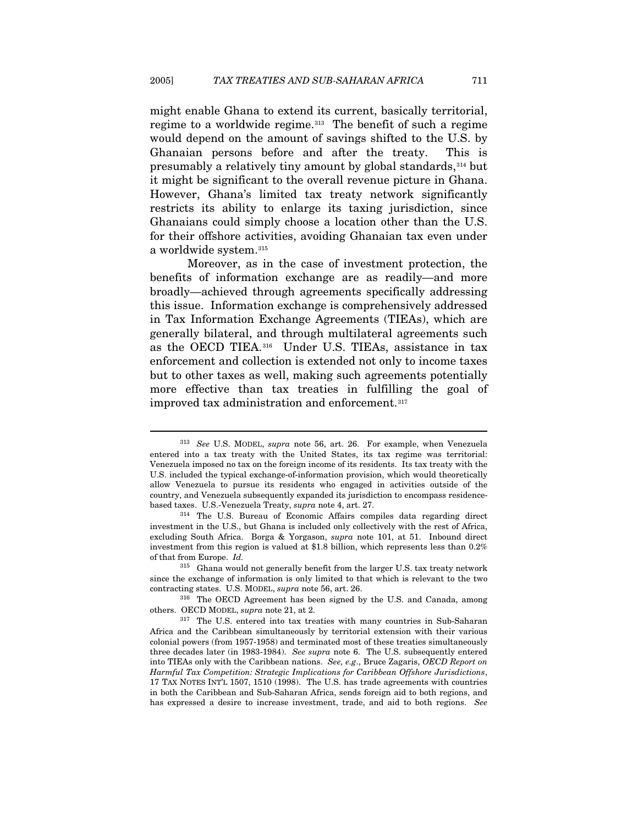might enable Ghana to extend its current, basically territorial, regime to a worldwide regime.<sup>[3](#page-73-0)13</sup> The benefit of such a regime would depend on the amount of savings shifted to the U.S. by Ghanaian persons before and after the treaty. This is presumably a relatively tiny amount by global standards,<sup>[3](#page-73-1)14</sup> but it might be significant to the overall revenue picture in Ghana. However, Ghana's limited tax treaty network significantly restricts its ability to enlarge its taxing jurisdiction, since Ghanaians could simply choose a location other than the U.S. for their offshore activities, avoiding Ghanaian tax even under a worldwide system.[3](#page-73-2)15

Moreover, as in the case of investment protection, the benefits of information exchange are as readily—and more broadly—achieved through agreements specifically addressing this issue. Information exchange is comprehensively addressed in Tax Information Exchange Agreements (TIEAs), which are generally bilateral, and through multilateral agreements such as the OECD TIEA.[3](#page-73-3)16 Under U.S. TIEAs, assistance in tax enforcement and collection is extended not only to income taxes but to other taxes as well, making such agreements potentially more effective than tax treaties in fulfilling the goal of improved tax administration and enforcement.[3](#page-73-4)17

 $\overline{a}$ 

<span id="page-73-0"></span><sup>313</sup> *See* U.S. MODEL, *supra* note 56, art. 26. For example, when Venezuela entered into a tax treaty with the United States, its tax regime was territorial: Venezuela imposed no tax on the foreign income of its residents. Its tax treaty with the U.S. included the typical exchange-of-information provision, which would theoretically allow Venezuela to pursue its residents who engaged in activities outside of the country, and Venezuela subsequently expanded its jurisdiction to encompass residence-

<span id="page-73-1"></span>based taxes. U.S.-Venezuela Treaty, *supra* note 4, art. 27. 314 The U.S. Bureau of Economic Affairs compiles data regarding direct investment in the U.S., but Ghana is included only collectively with the rest of Africa, excluding South Africa. Borga & Yorgason, *supra* note 101, at 51. Inbound direct investment from this region is valued at \$1.8 billion, which represents less than 0.2% of that from Europe. *Id.*

<span id="page-73-2"></span> $315$  Ghana would not generally benefit from the larger U.S. tax treaty network since the exchange of information is only limited to that which is relevant to the two contracting states. U.S. MODEL, *supra* note 56, art. 26.<br><sup>316</sup> The OECD Agreement has been signed by the U.S. and Canada, among

<span id="page-73-3"></span>others. OECD MODEL, *supra* note 21, at 2.<br><sup>317</sup> The U.S. entered into tax treaties with many countries in Sub-Saharan

<span id="page-73-4"></span>Africa and the Caribbean simultaneously by territorial extension with their various colonial powers (from 1957-1958) and terminated most of these treaties simultaneously three decades later (in 1983-1984). *See supra* note 6. The U.S. subsequently entered into TIEAs only with the Caribbean nations. *See, e.g*., Bruce Zagaris, *OECD Report on Harmful Tax Competition: Strategic Implications for Caribbean Offshore Jurisdictions*, 17 TAX NOTES INT'L 1507, 1510 (1998). The U.S. has trade agreements with countries in both the Caribbean and Sub-Saharan Africa, sends foreign aid to both regions, and has expressed a desire to increase investment, trade, and aid to both regions. *See*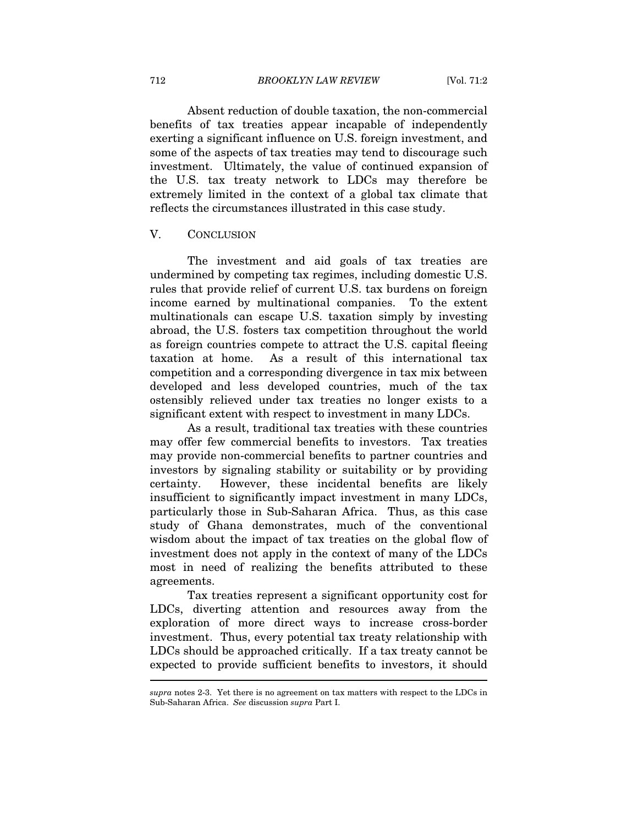Absent reduction of double taxation, the non-commercial benefits of tax treaties appear incapable of independently exerting a significant influence on U.S. foreign investment, and some of the aspects of tax treaties may tend to discourage such investment. Ultimately, the value of continued expansion of the U.S. tax treaty network to LDCs may therefore be extremely limited in the context of a global tax climate that reflects the circumstances illustrated in this case study.

## V. CONCLUSION

The investment and aid goals of tax treaties are undermined by competing tax regimes, including domestic U.S. rules that provide relief of current U.S. tax burdens on foreign income earned by multinational companies. To the extent multinationals can escape U.S. taxation simply by investing abroad, the U.S. fosters tax competition throughout the world as foreign countries compete to attract the U.S. capital fleeing taxation at home. As a result of this international tax competition and a corresponding divergence in tax mix between developed and less developed countries, much of the tax ostensibly relieved under tax treaties no longer exists to a significant extent with respect to investment in many LDCs.

As a result, traditional tax treaties with these countries may offer few commercial benefits to investors. Tax treaties may provide non-commercial benefits to partner countries and investors by signaling stability or suitability or by providing certainty. However, these incidental benefits are likely insufficient to significantly impact investment in many LDCs, particularly those in Sub-Saharan Africa. Thus, as this case study of Ghana demonstrates, much of the conventional wisdom about the impact of tax treaties on the global flow of investment does not apply in the context of many of the LDCs most in need of realizing the benefits attributed to these agreements.

Tax treaties represent a significant opportunity cost for LDCs, diverting attention and resources away from the exploration of more direct ways to increase cross-border investment. Thus, every potential tax treaty relationship with LDCs should be approached critically. If a tax treaty cannot be expected to provide sufficient benefits to investors, it should  $\overline{a}$ 

*supra* notes 2-3. Yet there is no agreement on tax matters with respect to the LDCs in Sub-Saharan Africa. *See* discussion *supra* Part I.